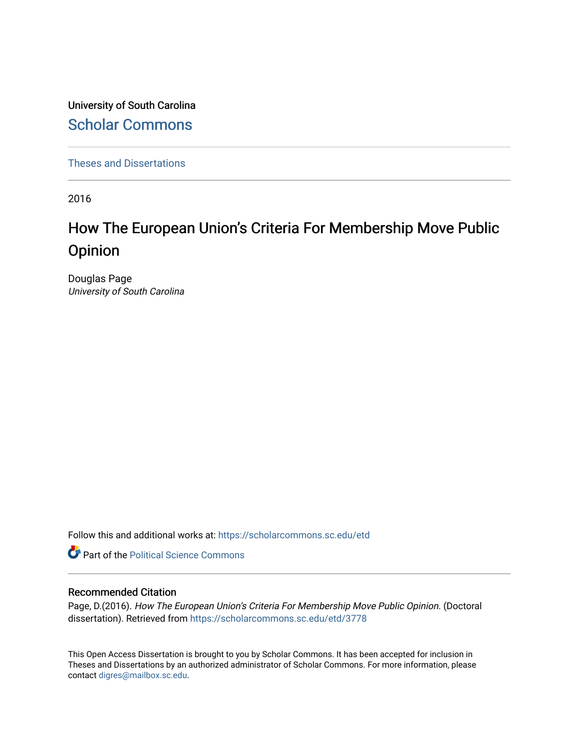University of South Carolina [Scholar Commons](https://scholarcommons.sc.edu/) 

[Theses and Dissertations](https://scholarcommons.sc.edu/etd)

2016

# How The European Union's Criteria For Membership Move Public Opinion

Douglas Page University of South Carolina

Follow this and additional works at: [https://scholarcommons.sc.edu/etd](https://scholarcommons.sc.edu/etd?utm_source=scholarcommons.sc.edu%2Fetd%2F3778&utm_medium=PDF&utm_campaign=PDFCoverPages)

**Part of the Political Science Commons** 

#### Recommended Citation

Page, D.(2016). How The European Union's Criteria For Membership Move Public Opinion. (Doctoral dissertation). Retrieved from [https://scholarcommons.sc.edu/etd/3778](https://scholarcommons.sc.edu/etd/3778?utm_source=scholarcommons.sc.edu%2Fetd%2F3778&utm_medium=PDF&utm_campaign=PDFCoverPages)

This Open Access Dissertation is brought to you by Scholar Commons. It has been accepted for inclusion in Theses and Dissertations by an authorized administrator of Scholar Commons. For more information, please contact [digres@mailbox.sc.edu.](mailto:digres@mailbox.sc.edu)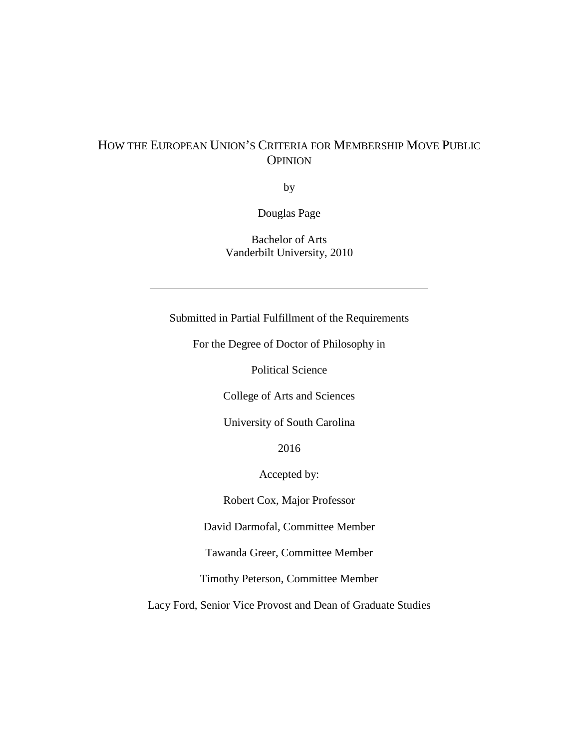## HOW THE EUROPEAN UNION'S CRITERIA FOR MEMBERSHIP MOVE PUBLIC **OPINION**

by

Douglas Page

Bachelor of Arts Vanderbilt University, 2010

Submitted in Partial Fulfillment of the Requirements

For the Degree of Doctor of Philosophy in

Political Science

College of Arts and Sciences

University of South Carolina

2016

Accepted by:

Robert Cox, Major Professor

David Darmofal, Committee Member

Tawanda Greer, Committee Member

Timothy Peterson, Committee Member

Lacy Ford, Senior Vice Provost and Dean of Graduate Studies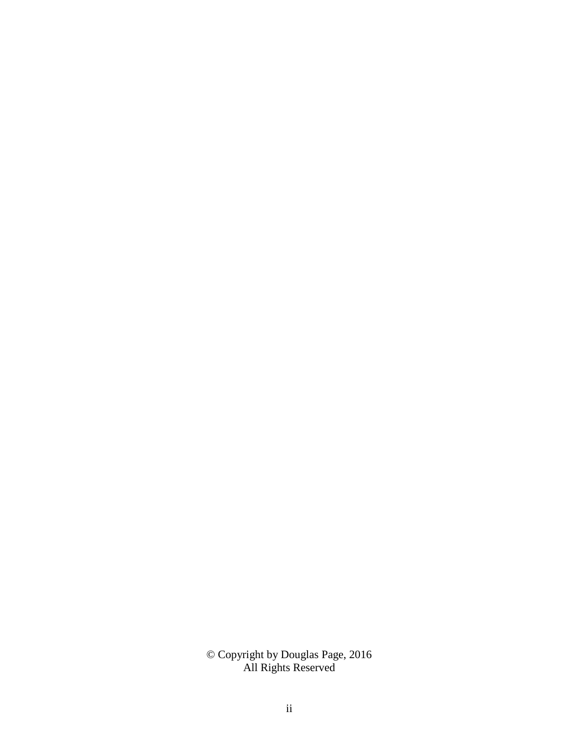© Copyright by Douglas Page, 2016 All Rights Reserved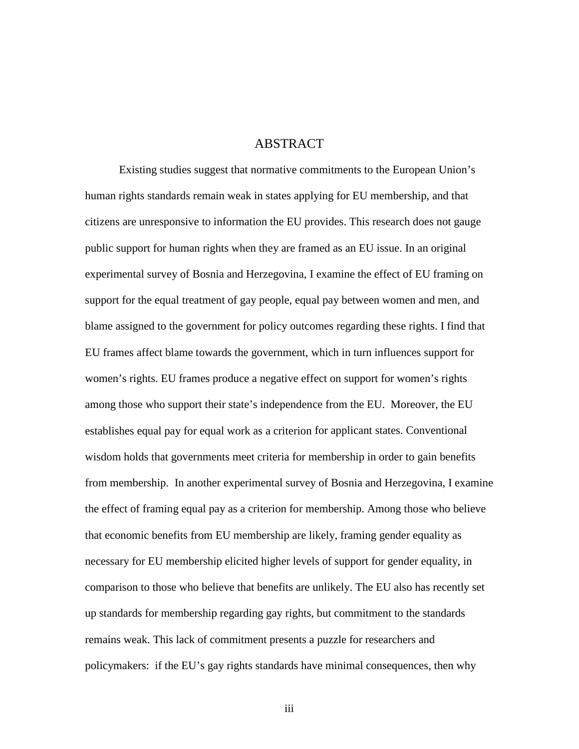## ABSTRACT

Existing studies suggest that normative commitments to the European Union's human rights standards remain weak in states applying for EU membership, and that citizens are unresponsive to information the EU provides. This research does not gauge public support for human rights when they are framed as an EU issue. In an original experimental survey of Bosnia and Herzegovina, I examine the effect of EU framing on support for the equal treatment of gay people, equal pay between women and men, and blame assigned to the government for policy outcomes regarding these rights. I find that EU frames affect blame towards the government, which in turn influences support for women's rights. EU frames produce a negative effect on support for women's rights among those who support their state's independence from the EU. Moreover, the EU establishes equal pay for equal work as a criterion for applicant states. Conventional wisdom holds that governments meet criteria for membership in order to gain benefits from membership. In another experimental survey of Bosnia and Herzegovina, I examine the effect of framing equal pay as a criterion for membership. Among those who believe that economic benefits from EU membership are likely, framing gender equality as necessary for EU membership elicited higher levels of support for gender equality, in comparison to those who believe that benefits are unlikely. The EU also has recently set up standards for membership regarding gay rights, but commitment to the standards remains weak. This lack of commitment presents a puzzle for researchers and policymakers: if the EU's gay rights standards have minimal consequences, then why

iii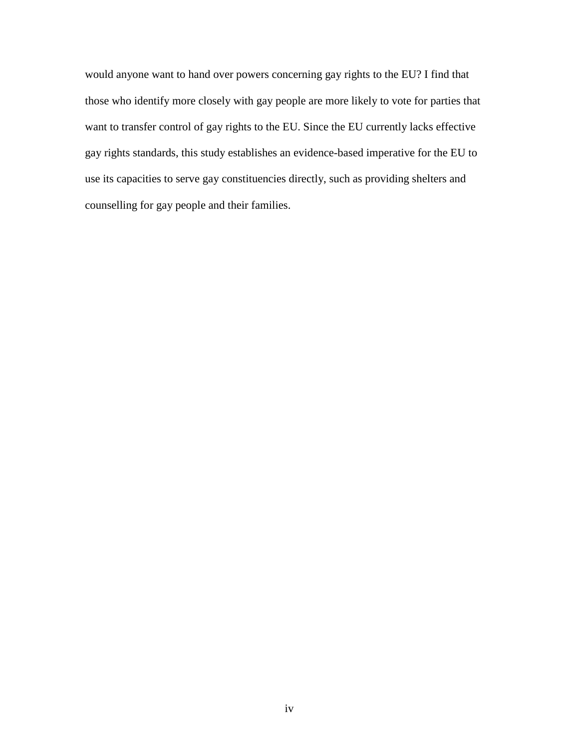would anyone want to hand over powers concerning gay rights to the EU? I find that those who identify more closely with gay people are more likely to vote for parties that want to transfer control of gay rights to the EU. Since the EU currently lacks effective gay rights standards, this study establishes an evidence-based imperative for the EU to use its capacities to serve gay constituencies directly, such as providing shelters and counselling for gay people and their families.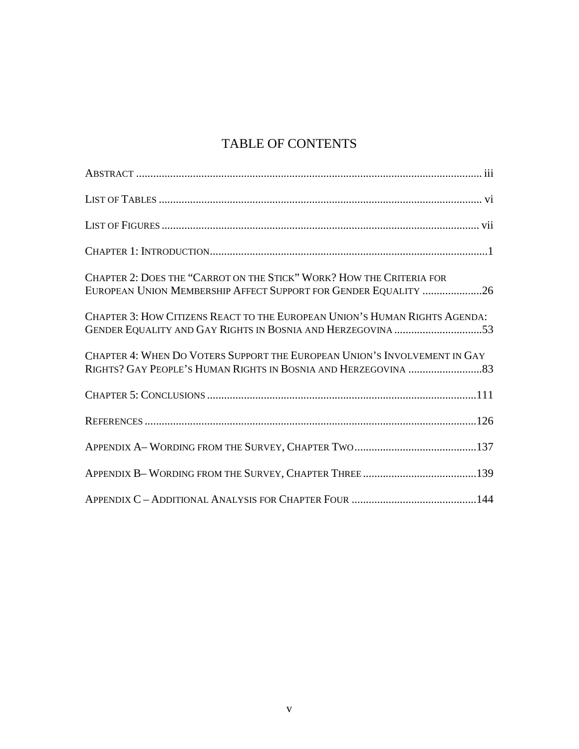## TABLE OF CONTENTS

| CHAPTER 2: DOES THE "CARROT ON THE STICK" WORK? HOW THE CRITERIA FOR<br>EUROPEAN UNION MEMBERSHIP AFFECT SUPPORT FOR GENDER EQUALITY 26   |
|-------------------------------------------------------------------------------------------------------------------------------------------|
| CHAPTER 3: HOW CITIZENS REACT TO THE EUROPEAN UNION'S HUMAN RIGHTS AGENDA:<br>GENDER EQUALITY AND GAY RIGHTS IN BOSNIA AND HERZEGOVINA 53 |
| CHAPTER 4: WHEN DO VOTERS SUPPORT THE EUROPEAN UNION'S INVOLVEMENT IN GAY                                                                 |
|                                                                                                                                           |
|                                                                                                                                           |
|                                                                                                                                           |
|                                                                                                                                           |
|                                                                                                                                           |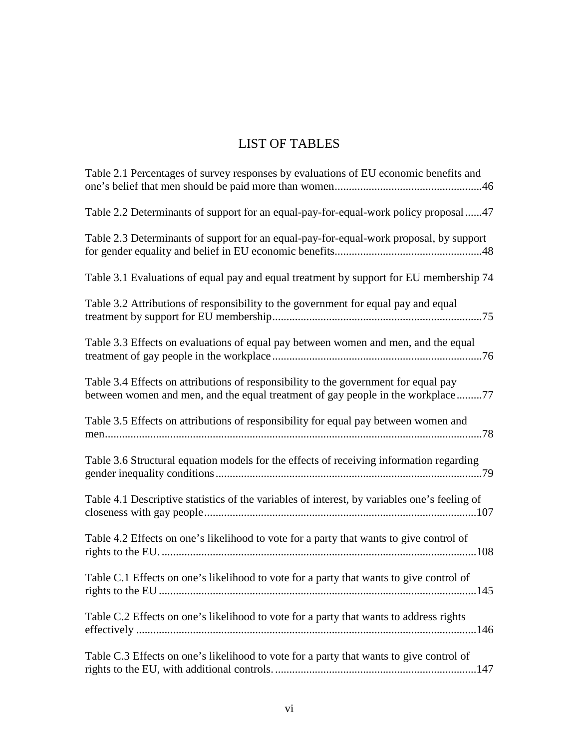## LIST OF TABLES

| Table 2.1 Percentages of survey responses by evaluations of EU economic benefits and                                                                                   |
|------------------------------------------------------------------------------------------------------------------------------------------------------------------------|
| Table 2.2 Determinants of support for an equal-pay-for-equal-work policy proposal 47                                                                                   |
| Table 2.3 Determinants of support for an equal-pay-for-equal-work proposal, by support                                                                                 |
| Table 3.1 Evaluations of equal pay and equal treatment by support for EU membership 74                                                                                 |
| Table 3.2 Attributions of responsibility to the government for equal pay and equal                                                                                     |
| Table 3.3 Effects on evaluations of equal pay between women and men, and the equal                                                                                     |
| Table 3.4 Effects on attributions of responsibility to the government for equal pay<br>between women and men, and the equal treatment of gay people in the workplace77 |
| Table 3.5 Effects on attributions of responsibility for equal pay between women and                                                                                    |
| Table 3.6 Structural equation models for the effects of receiving information regarding                                                                                |
| Table 4.1 Descriptive statistics of the variables of interest, by variables one's feeling of                                                                           |
| Table 4.2 Effects on one's likelihood to vote for a party that wants to give control of                                                                                |
| Table C.1 Effects on one's likelihood to vote for a party that wants to give control of<br>rights to the EU                                                            |
| Table C.2 Effects on one's likelihood to vote for a party that wants to address rights                                                                                 |
| Table C.3 Effects on one's likelihood to vote for a party that wants to give control of                                                                                |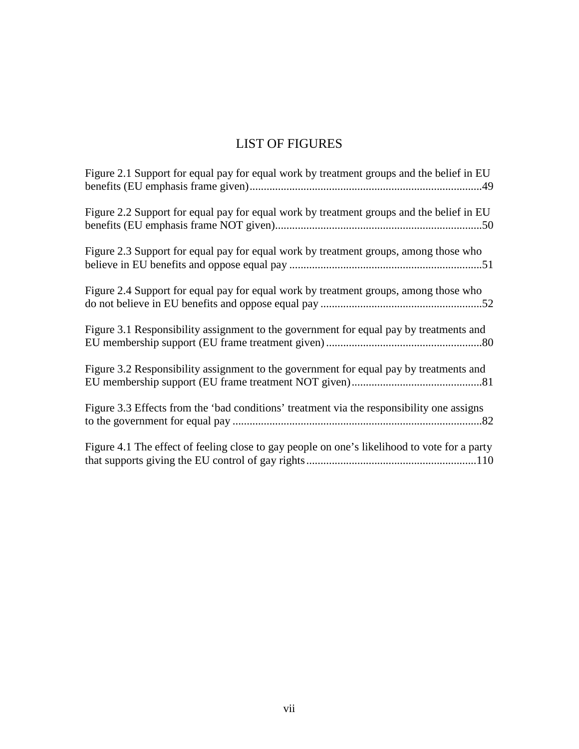## LIST OF FIGURES

| Figure 2.1 Support for equal pay for equal work by treatment groups and the belief in EU     |
|----------------------------------------------------------------------------------------------|
| Figure 2.2 Support for equal pay for equal work by treatment groups and the belief in EU     |
| Figure 2.3 Support for equal pay for equal work by treatment groups, among those who         |
| Figure 2.4 Support for equal pay for equal work by treatment groups, among those who         |
| Figure 3.1 Responsibility assignment to the government for equal pay by treatments and       |
| Figure 3.2 Responsibility assignment to the government for equal pay by treatments and       |
| Figure 3.3 Effects from the 'bad conditions' treatment via the responsibility one assigns    |
| Figure 4.1 The effect of feeling close to gay people on one's likelihood to vote for a party |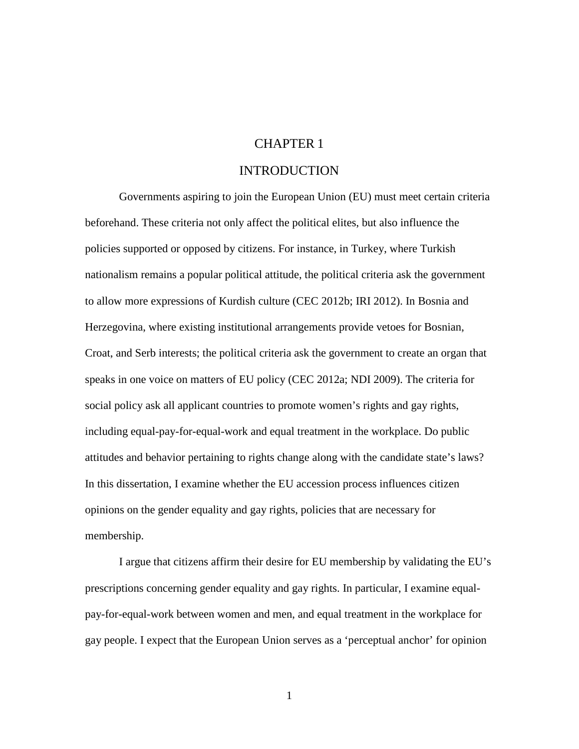### CHAPTER 1

### INTRODUCTION

Governments aspiring to join the European Union (EU) must meet certain criteria beforehand. These criteria not only affect the political elites, but also influence the policies supported or opposed by citizens. For instance, in Turkey, where Turkish nationalism remains a popular political attitude, the political criteria ask the government to allow more expressions of Kurdish culture (CEC 2012b; IRI 2012). In Bosnia and Herzegovina, where existing institutional arrangements provide vetoes for Bosnian, Croat, and Serb interests; the political criteria ask the government to create an organ that speaks in one voice on matters of EU policy (CEC 2012a; NDI 2009). The criteria for social policy ask all applicant countries to promote women's rights and gay rights, including equal-pay-for-equal-work and equal treatment in the workplace. Do public attitudes and behavior pertaining to rights change along with the candidate state's laws? In this dissertation, I examine whether the EU accession process influences citizen opinions on the gender equality and gay rights, policies that are necessary for membership.

I argue that citizens affirm their desire for EU membership by validating the EU's prescriptions concerning gender equality and gay rights. In particular, I examine equalpay-for-equal-work between women and men, and equal treatment in the workplace for gay people. I expect that the European Union serves as a 'perceptual anchor' for opinion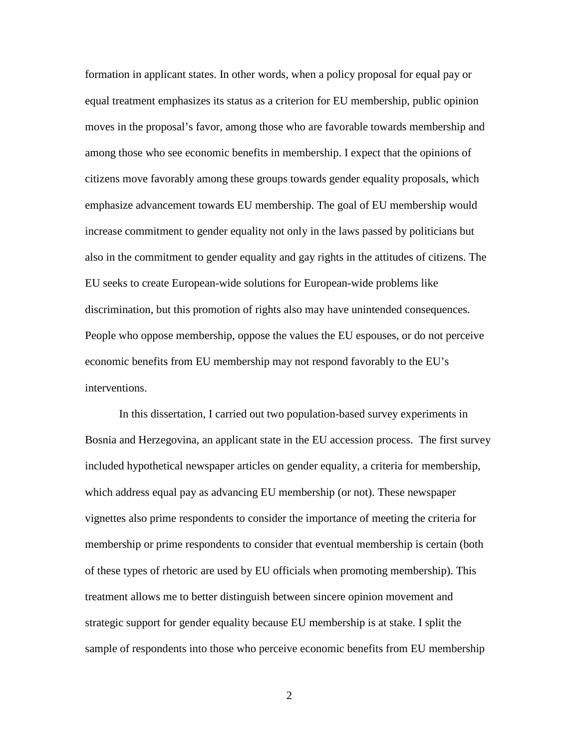formation in applicant states. In other words, when a policy proposal for equal pay or equal treatment emphasizes its status as a criterion for EU membership, public opinion moves in the proposal's favor, among those who are favorable towards membership and among those who see economic benefits in membership. I expect that the opinions of citizens move favorably among these groups towards gender equality proposals, which emphasize advancement towards EU membership. The goal of EU membership would increase commitment to gender equality not only in the laws passed by politicians but also in the commitment to gender equality and gay rights in the attitudes of citizens. The EU seeks to create European-wide solutions for European-wide problems like discrimination, but this promotion of rights also may have unintended consequences. People who oppose membership, oppose the values the EU espouses, or do not perceive economic benefits from EU membership may not respond favorably to the EU's interventions.

In this dissertation, I carried out two population-based survey experiments in Bosnia and Herzegovina, an applicant state in the EU accession process. The first survey included hypothetical newspaper articles on gender equality, a criteria for membership, which address equal pay as advancing EU membership (or not). These newspaper vignettes also prime respondents to consider the importance of meeting the criteria for membership or prime respondents to consider that eventual membership is certain (both of these types of rhetoric are used by EU officials when promoting membership). This treatment allows me to better distinguish between sincere opinion movement and strategic support for gender equality because EU membership is at stake. I split the sample of respondents into those who perceive economic benefits from EU membership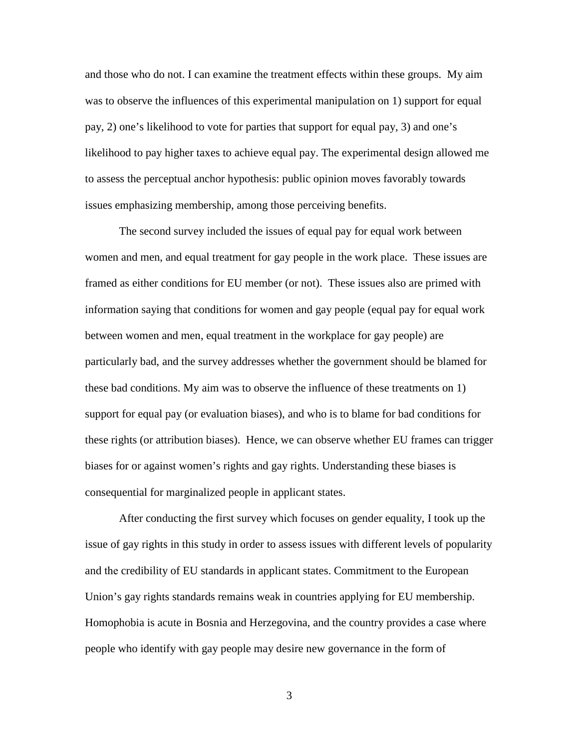and those who do not. I can examine the treatment effects within these groups. My aim was to observe the influences of this experimental manipulation on 1) support for equal pay, 2) one's likelihood to vote for parties that support for equal pay, 3) and one's likelihood to pay higher taxes to achieve equal pay. The experimental design allowed me to assess the perceptual anchor hypothesis: public opinion moves favorably towards issues emphasizing membership, among those perceiving benefits.

The second survey included the issues of equal pay for equal work between women and men, and equal treatment for gay people in the work place. These issues are framed as either conditions for EU member (or not). These issues also are primed with information saying that conditions for women and gay people (equal pay for equal work between women and men, equal treatment in the workplace for gay people) are particularly bad, and the survey addresses whether the government should be blamed for these bad conditions. My aim was to observe the influence of these treatments on 1) support for equal pay (or evaluation biases), and who is to blame for bad conditions for these rights (or attribution biases). Hence, we can observe whether EU frames can trigger biases for or against women's rights and gay rights. Understanding these biases is consequential for marginalized people in applicant states.

After conducting the first survey which focuses on gender equality, I took up the issue of gay rights in this study in order to assess issues with different levels of popularity and the credibility of EU standards in applicant states. Commitment to the European Union's gay rights standards remains weak in countries applying for EU membership. Homophobia is acute in Bosnia and Herzegovina, and the country provides a case where people who identify with gay people may desire new governance in the form of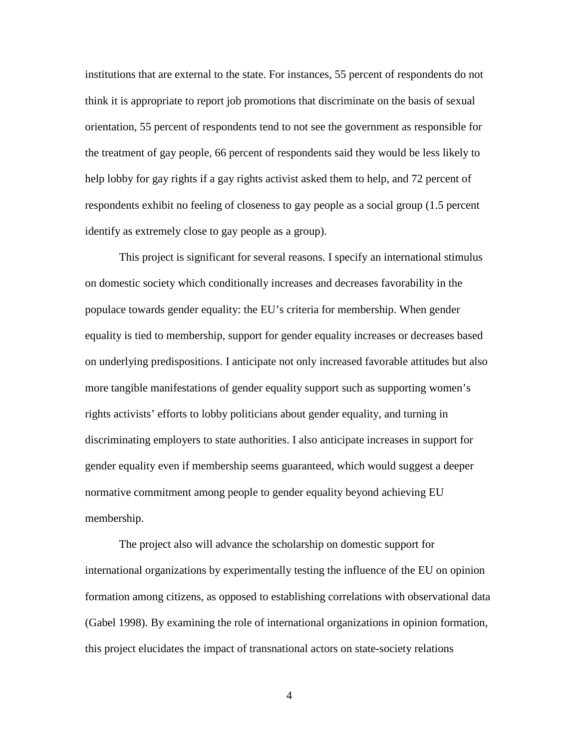institutions that are external to the state. For instances, 55 percent of respondents do not think it is appropriate to report job promotions that discriminate on the basis of sexual orientation, 55 percent of respondents tend to not see the government as responsible for the treatment of gay people, 66 percent of respondents said they would be less likely to help lobby for gay rights if a gay rights activist asked them to help, and 72 percent of respondents exhibit no feeling of closeness to gay people as a social group (1.5 percent identify as extremely close to gay people as a group).

This project is significant for several reasons. I specify an international stimulus on domestic society which conditionally increases and decreases favorability in the populace towards gender equality: the EU's criteria for membership. When gender equality is tied to membership, support for gender equality increases or decreases based on underlying predispositions. I anticipate not only increased favorable attitudes but also more tangible manifestations of gender equality support such as supporting women's rights activists' efforts to lobby politicians about gender equality, and turning in discriminating employers to state authorities. I also anticipate increases in support for gender equality even if membership seems guaranteed, which would suggest a deeper normative commitment among people to gender equality beyond achieving EU membership.

The project also will advance the scholarship on domestic support for international organizations by experimentally testing the influence of the EU on opinion formation among citizens, as opposed to establishing correlations with observational data (Gabel 1998). By examining the role of international organizations in opinion formation, this project elucidates the impact of transnational actors on state-society relations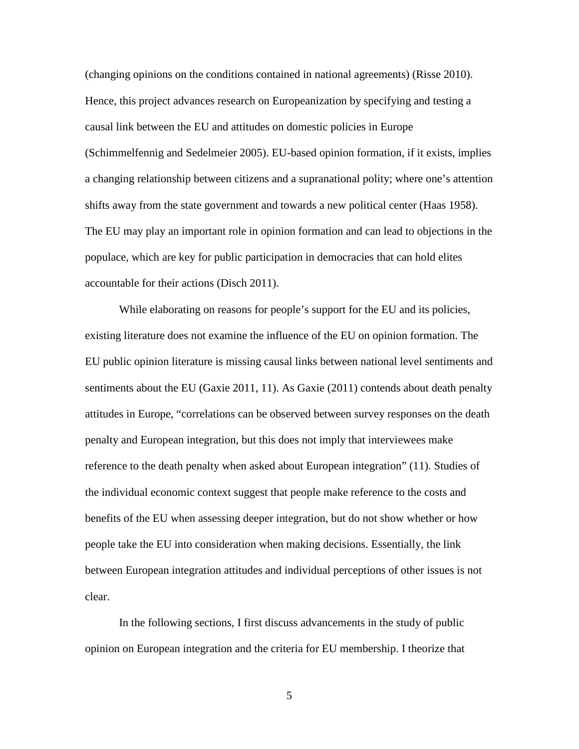(changing opinions on the conditions contained in national agreements) (Risse 2010). Hence, this project advances research on Europeanization by specifying and testing a causal link between the EU and attitudes on domestic policies in Europe (Schimmelfennig and Sedelmeier 2005). EU-based opinion formation, if it exists, implies a changing relationship between citizens and a supranational polity; where one's attention shifts away from the state government and towards a new political center (Haas 1958). The EU may play an important role in opinion formation and can lead to objections in the populace, which are key for public participation in democracies that can hold elites accountable for their actions (Disch 2011).

While elaborating on reasons for people's support for the EU and its policies, existing literature does not examine the influence of the EU on opinion formation. The EU public opinion literature is missing causal links between national level sentiments and sentiments about the EU (Gaxie 2011, 11). As Gaxie (2011) contends about death penalty attitudes in Europe, "correlations can be observed between survey responses on the death penalty and European integration, but this does not imply that interviewees make reference to the death penalty when asked about European integration" (11). Studies of the individual economic context suggest that people make reference to the costs and benefits of the EU when assessing deeper integration, but do not show whether or how people take the EU into consideration when making decisions. Essentially, the link between European integration attitudes and individual perceptions of other issues is not clear.

In the following sections, I first discuss advancements in the study of public opinion on European integration and the criteria for EU membership. I theorize that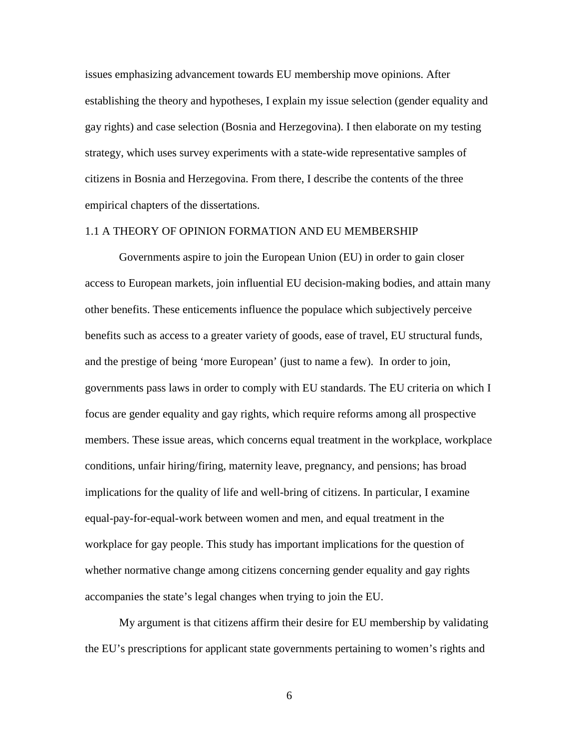issues emphasizing advancement towards EU membership move opinions. After establishing the theory and hypotheses, I explain my issue selection (gender equality and gay rights) and case selection (Bosnia and Herzegovina). I then elaborate on my testing strategy, which uses survey experiments with a state-wide representative samples of citizens in Bosnia and Herzegovina. From there, I describe the contents of the three empirical chapters of the dissertations.

#### 1.1 A THEORY OF OPINION FORMATION AND EU MEMBERSHIP

Governments aspire to join the European Union (EU) in order to gain closer access to European markets, join influential EU decision-making bodies, and attain many other benefits. These enticements influence the populace which subjectively perceive benefits such as access to a greater variety of goods, ease of travel, EU structural funds, and the prestige of being 'more European' (just to name a few). In order to join, governments pass laws in order to comply with EU standards. The EU criteria on which I focus are gender equality and gay rights, which require reforms among all prospective members. These issue areas, which concerns equal treatment in the workplace, workplace conditions, unfair hiring/firing, maternity leave, pregnancy, and pensions; has broad implications for the quality of life and well-bring of citizens. In particular, I examine equal-pay-for-equal-work between women and men, and equal treatment in the workplace for gay people. This study has important implications for the question of whether normative change among citizens concerning gender equality and gay rights accompanies the state's legal changes when trying to join the EU.

My argument is that citizens affirm their desire for EU membership by validating the EU's prescriptions for applicant state governments pertaining to women's rights and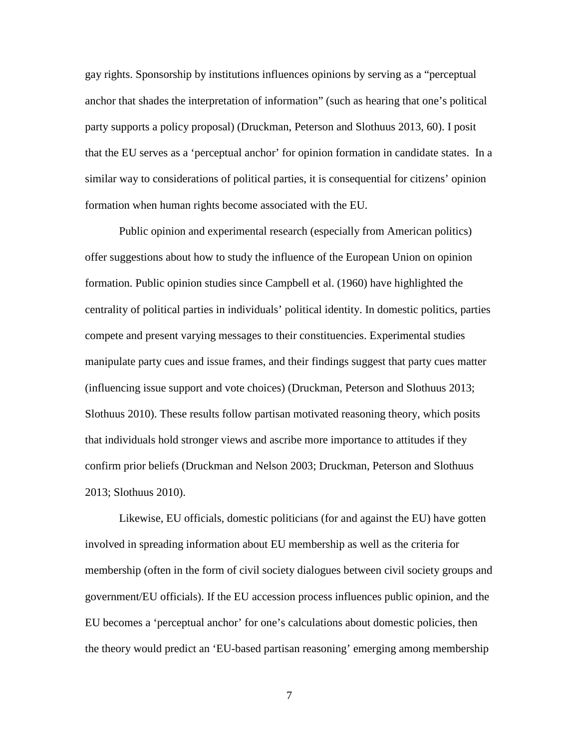gay rights. Sponsorship by institutions influences opinions by serving as a "perceptual anchor that shades the interpretation of information" (such as hearing that one's political party supports a policy proposal) (Druckman, Peterson and Slothuus 2013, 60). I posit that the EU serves as a 'perceptual anchor' for opinion formation in candidate states. In a similar way to considerations of political parties, it is consequential for citizens' opinion formation when human rights become associated with the EU.

Public opinion and experimental research (especially from American politics) offer suggestions about how to study the influence of the European Union on opinion formation. Public opinion studies since Campbell et al. (1960) have highlighted the centrality of political parties in individuals' political identity. In domestic politics, parties compete and present varying messages to their constituencies. Experimental studies manipulate party cues and issue frames, and their findings suggest that party cues matter (influencing issue support and vote choices) (Druckman, Peterson and Slothuus 2013; Slothuus 2010). These results follow partisan motivated reasoning theory, which posits that individuals hold stronger views and ascribe more importance to attitudes if they confirm prior beliefs (Druckman and Nelson 2003; Druckman, Peterson and Slothuus 2013; Slothuus 2010).

Likewise, EU officials, domestic politicians (for and against the EU) have gotten involved in spreading information about EU membership as well as the criteria for membership (often in the form of civil society dialogues between civil society groups and government/EU officials). If the EU accession process influences public opinion, and the EU becomes a 'perceptual anchor' for one's calculations about domestic policies, then the theory would predict an 'EU-based partisan reasoning' emerging among membership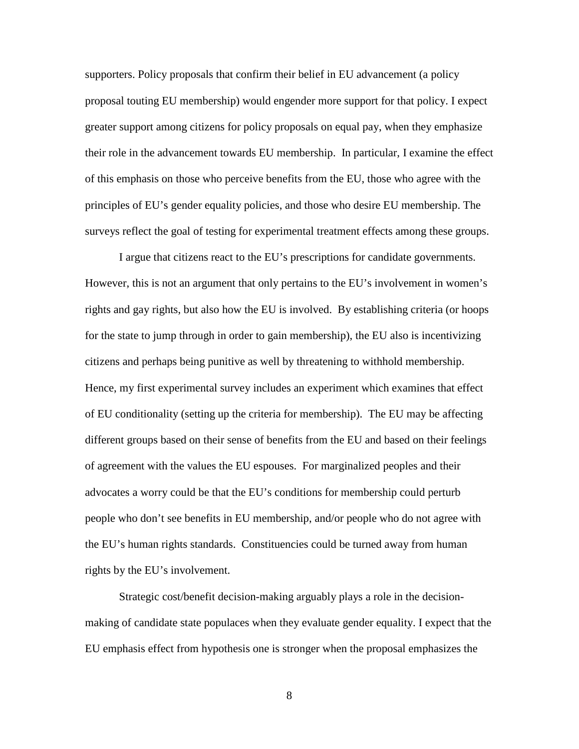supporters. Policy proposals that confirm their belief in EU advancement (a policy proposal touting EU membership) would engender more support for that policy. I expect greater support among citizens for policy proposals on equal pay, when they emphasize their role in the advancement towards EU membership. In particular, I examine the effect of this emphasis on those who perceive benefits from the EU, those who agree with the principles of EU's gender equality policies, and those who desire EU membership. The surveys reflect the goal of testing for experimental treatment effects among these groups.

I argue that citizens react to the EU's prescriptions for candidate governments. However, this is not an argument that only pertains to the EU's involvement in women's rights and gay rights, but also how the EU is involved. By establishing criteria (or hoops for the state to jump through in order to gain membership), the EU also is incentivizing citizens and perhaps being punitive as well by threatening to withhold membership. Hence, my first experimental survey includes an experiment which examines that effect of EU conditionality (setting up the criteria for membership). The EU may be affecting different groups based on their sense of benefits from the EU and based on their feelings of agreement with the values the EU espouses. For marginalized peoples and their advocates a worry could be that the EU's conditions for membership could perturb people who don't see benefits in EU membership, and/or people who do not agree with the EU's human rights standards. Constituencies could be turned away from human rights by the EU's involvement.

Strategic cost/benefit decision-making arguably plays a role in the decisionmaking of candidate state populaces when they evaluate gender equality. I expect that the EU emphasis effect from hypothesis one is stronger when the proposal emphasizes the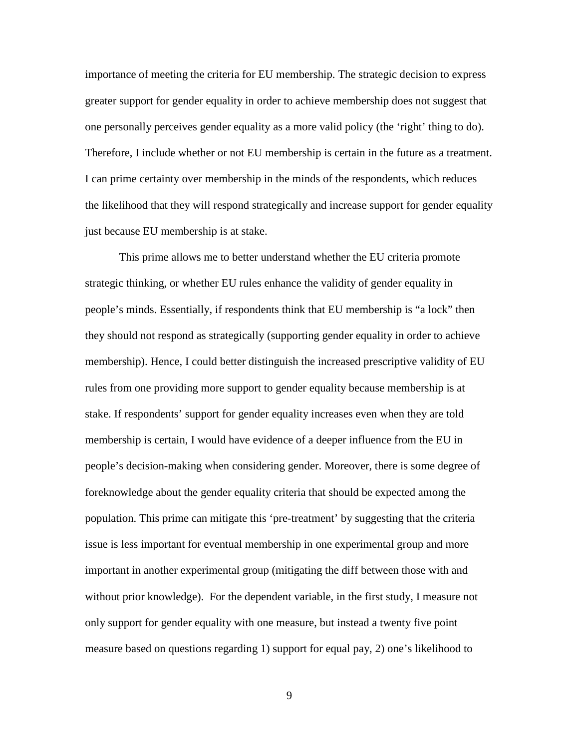importance of meeting the criteria for EU membership. The strategic decision to express greater support for gender equality in order to achieve membership does not suggest that one personally perceives gender equality as a more valid policy (the 'right' thing to do). Therefore, I include whether or not EU membership is certain in the future as a treatment. I can prime certainty over membership in the minds of the respondents, which reduces the likelihood that they will respond strategically and increase support for gender equality just because EU membership is at stake.

This prime allows me to better understand whether the EU criteria promote strategic thinking, or whether EU rules enhance the validity of gender equality in people's minds. Essentially, if respondents think that EU membership is "a lock" then they should not respond as strategically (supporting gender equality in order to achieve membership). Hence, I could better distinguish the increased prescriptive validity of EU rules from one providing more support to gender equality because membership is at stake. If respondents' support for gender equality increases even when they are told membership is certain, I would have evidence of a deeper influence from the EU in people's decision-making when considering gender. Moreover, there is some degree of foreknowledge about the gender equality criteria that should be expected among the population. This prime can mitigate this 'pre-treatment' by suggesting that the criteria issue is less important for eventual membership in one experimental group and more important in another experimental group (mitigating the diff between those with and without prior knowledge). For the dependent variable, in the first study, I measure not only support for gender equality with one measure, but instead a twenty five point measure based on questions regarding 1) support for equal pay, 2) one's likelihood to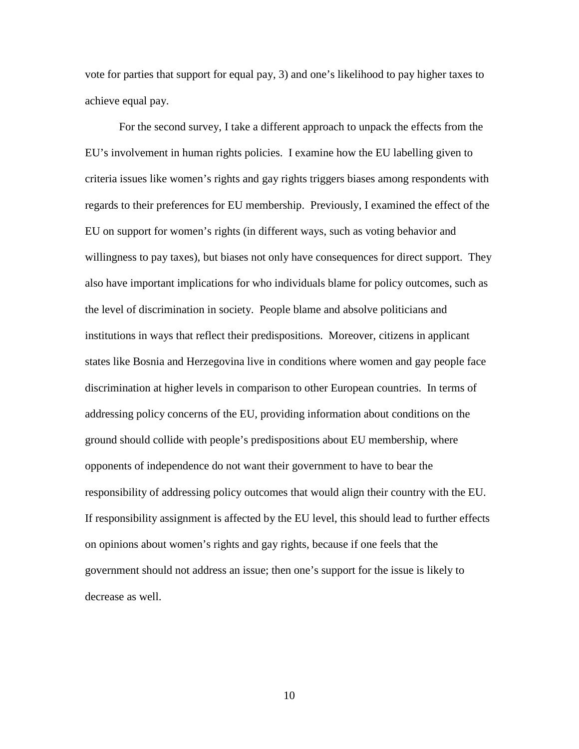vote for parties that support for equal pay, 3) and one's likelihood to pay higher taxes to achieve equal pay.

For the second survey, I take a different approach to unpack the effects from the EU's involvement in human rights policies. I examine how the EU labelling given to criteria issues like women's rights and gay rights triggers biases among respondents with regards to their preferences for EU membership. Previously, I examined the effect of the EU on support for women's rights (in different ways, such as voting behavior and willingness to pay taxes), but biases not only have consequences for direct support. They also have important implications for who individuals blame for policy outcomes, such as the level of discrimination in society. People blame and absolve politicians and institutions in ways that reflect their predispositions. Moreover, citizens in applicant states like Bosnia and Herzegovina live in conditions where women and gay people face discrimination at higher levels in comparison to other European countries. In terms of addressing policy concerns of the EU, providing information about conditions on the ground should collide with people's predispositions about EU membership, where opponents of independence do not want their government to have to bear the responsibility of addressing policy outcomes that would align their country with the EU. If responsibility assignment is affected by the EU level, this should lead to further effects on opinions about women's rights and gay rights, because if one feels that the government should not address an issue; then one's support for the issue is likely to decrease as well.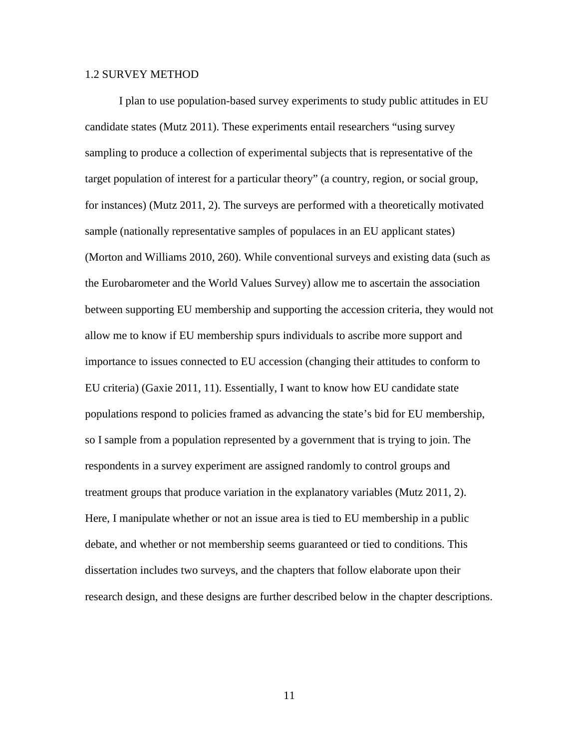#### 1.2 SURVEY METHOD

I plan to use population-based survey experiments to study public attitudes in EU candidate states (Mutz 2011). These experiments entail researchers "using survey sampling to produce a collection of experimental subjects that is representative of the target population of interest for a particular theory" (a country, region, or social group, for instances) (Mutz 2011, 2). The surveys are performed with a theoretically motivated sample (nationally representative samples of populaces in an EU applicant states) (Morton and Williams 2010, 260). While conventional surveys and existing data (such as the Eurobarometer and the World Values Survey) allow me to ascertain the association between supporting EU membership and supporting the accession criteria, they would not allow me to know if EU membership spurs individuals to ascribe more support and importance to issues connected to EU accession (changing their attitudes to conform to EU criteria) (Gaxie 2011, 11). Essentially, I want to know how EU candidate state populations respond to policies framed as advancing the state's bid for EU membership, so I sample from a population represented by a government that is trying to join. The respondents in a survey experiment are assigned randomly to control groups and treatment groups that produce variation in the explanatory variables (Mutz 2011, 2). Here, I manipulate whether or not an issue area is tied to EU membership in a public debate, and whether or not membership seems guaranteed or tied to conditions. This dissertation includes two surveys, and the chapters that follow elaborate upon their research design, and these designs are further described below in the chapter descriptions.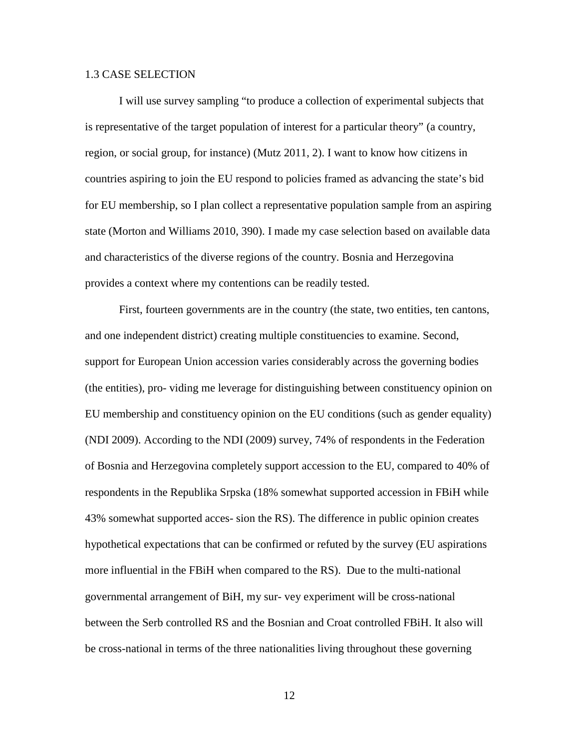#### 1.3 CASE SELECTION

I will use survey sampling "to produce a collection of experimental subjects that is representative of the target population of interest for a particular theory" (a country, region, or social group, for instance) (Mutz 2011, 2). I want to know how citizens in countries aspiring to join the EU respond to policies framed as advancing the state's bid for EU membership, so I plan collect a representative population sample from an aspiring state (Morton and Williams 2010, 390). I made my case selection based on available data and characteristics of the diverse regions of the country. Bosnia and Herzegovina provides a context where my contentions can be readily tested.

First, fourteen governments are in the country (the state, two entities, ten cantons, and one independent district) creating multiple constituencies to examine. Second, support for European Union accession varies considerably across the governing bodies (the entities), pro- viding me leverage for distinguishing between constituency opinion on EU membership and constituency opinion on the EU conditions (such as gender equality) (NDI 2009). According to the NDI (2009) survey, 74% of respondents in the Federation of Bosnia and Herzegovina completely support accession to the EU, compared to 40% of respondents in the Republika Srpska (18% somewhat supported accession in FBiH while 43% somewhat supported acces- sion the RS). The difference in public opinion creates hypothetical expectations that can be confirmed or refuted by the survey (EU aspirations more influential in the FBiH when compared to the RS). Due to the multi-national governmental arrangement of BiH, my sur- vey experiment will be cross-national between the Serb controlled RS and the Bosnian and Croat controlled FBiH. It also will be cross-national in terms of the three nationalities living throughout these governing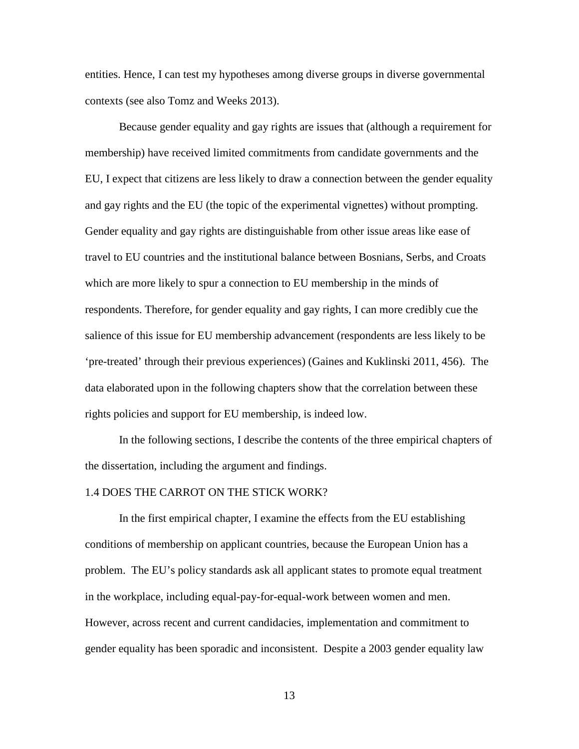entities. Hence, I can test my hypotheses among diverse groups in diverse governmental contexts (see also Tomz and Weeks 2013).

Because gender equality and gay rights are issues that (although a requirement for membership) have received limited commitments from candidate governments and the EU, I expect that citizens are less likely to draw a connection between the gender equality and gay rights and the EU (the topic of the experimental vignettes) without prompting. Gender equality and gay rights are distinguishable from other issue areas like ease of travel to EU countries and the institutional balance between Bosnians, Serbs, and Croats which are more likely to spur a connection to EU membership in the minds of respondents. Therefore, for gender equality and gay rights, I can more credibly cue the salience of this issue for EU membership advancement (respondents are less likely to be 'pre-treated' through their previous experiences) (Gaines and Kuklinski 2011, 456). The data elaborated upon in the following chapters show that the correlation between these rights policies and support for EU membership, is indeed low.

In the following sections, I describe the contents of the three empirical chapters of the dissertation, including the argument and findings.

#### 1.4 DOES THE CARROT ON THE STICK WORK?

In the first empirical chapter, I examine the effects from the EU establishing conditions of membership on applicant countries, because the European Union has a problem. The EU's policy standards ask all applicant states to promote equal treatment in the workplace, including equal-pay-for-equal-work between women and men. However, across recent and current candidacies, implementation and commitment to gender equality has been sporadic and inconsistent. Despite a 2003 gender equality law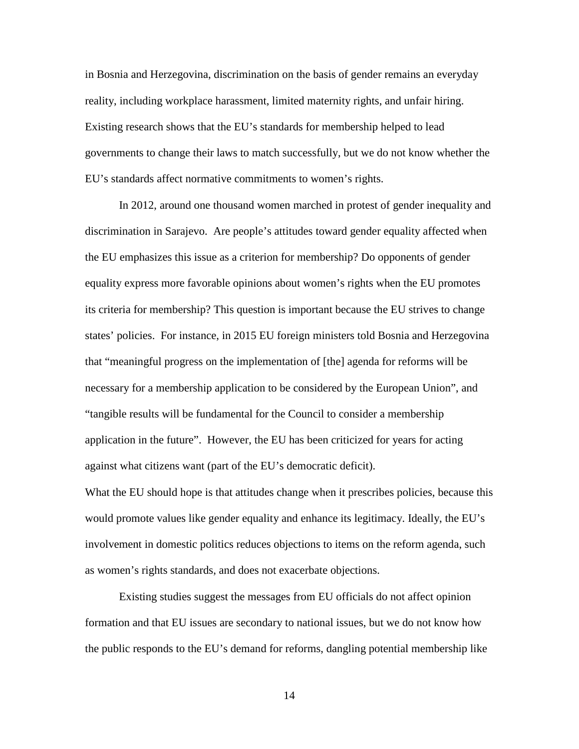in Bosnia and Herzegovina, discrimination on the basis of gender remains an everyday reality, including workplace harassment, limited maternity rights, and unfair hiring. Existing research shows that the EU's standards for membership helped to lead governments to change their laws to match successfully, but we do not know whether the EU's standards affect normative commitments to women's rights.

In 2012, around one thousand women marched in protest of gender inequality and discrimination in Sarajevo. Are people's attitudes toward gender equality affected when the EU emphasizes this issue as a criterion for membership? Do opponents of gender equality express more favorable opinions about women's rights when the EU promotes its criteria for membership? This question is important because the EU strives to change states' policies. For instance, in 2015 EU foreign ministers told Bosnia and Herzegovina that "meaningful progress on the implementation of [the] agenda for reforms will be necessary for a membership application to be considered by the European Union", and "tangible results will be fundamental for the Council to consider a membership application in the future". However, the EU has been criticized for years for acting against what citizens want (part of the EU's democratic deficit).

What the EU should hope is that attitudes change when it prescribes policies, because this would promote values like gender equality and enhance its legitimacy. Ideally, the EU's involvement in domestic politics reduces objections to items on the reform agenda, such as women's rights standards, and does not exacerbate objections.

Existing studies suggest the messages from EU officials do not affect opinion formation and that EU issues are secondary to national issues, but we do not know how the public responds to the EU's demand for reforms, dangling potential membership like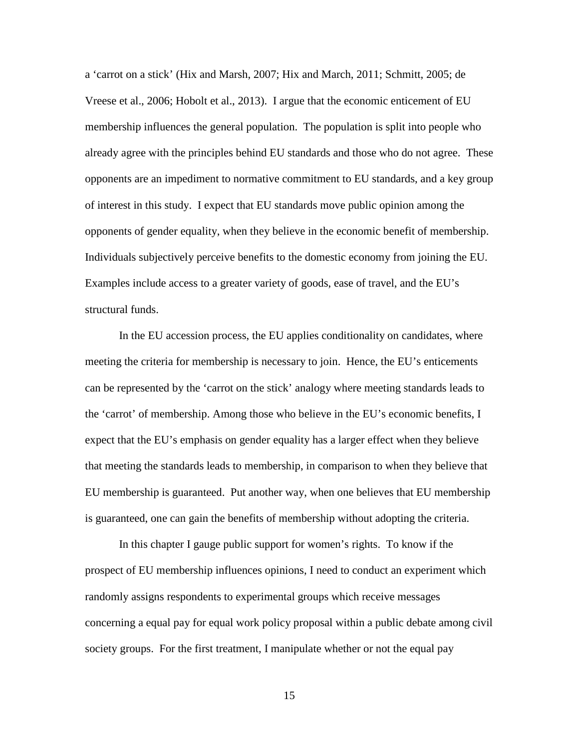a 'carrot on a stick' (Hix and Marsh, 2007; Hix and March, 2011; Schmitt, 2005; de Vreese et al., 2006; Hobolt et al., 2013). I argue that the economic enticement of EU membership influences the general population. The population is split into people who already agree with the principles behind EU standards and those who do not agree. These opponents are an impediment to normative commitment to EU standards, and a key group of interest in this study. I expect that EU standards move public opinion among the opponents of gender equality, when they believe in the economic benefit of membership. Individuals subjectively perceive benefits to the domestic economy from joining the EU. Examples include access to a greater variety of goods, ease of travel, and the EU's structural funds.

In the EU accession process, the EU applies conditionality on candidates, where meeting the criteria for membership is necessary to join. Hence, the EU's enticements can be represented by the 'carrot on the stick' analogy where meeting standards leads to the 'carrot' of membership. Among those who believe in the EU's economic benefits, I expect that the EU's emphasis on gender equality has a larger effect when they believe that meeting the standards leads to membership, in comparison to when they believe that EU membership is guaranteed. Put another way, when one believes that EU membership is guaranteed, one can gain the benefits of membership without adopting the criteria.

In this chapter I gauge public support for women's rights. To know if the prospect of EU membership influences opinions, I need to conduct an experiment which randomly assigns respondents to experimental groups which receive messages concerning a equal pay for equal work policy proposal within a public debate among civil society groups. For the first treatment, I manipulate whether or not the equal pay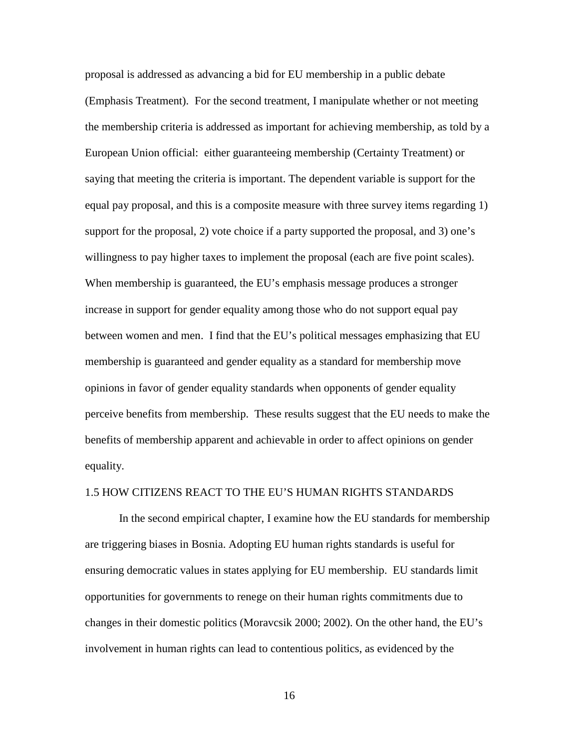proposal is addressed as advancing a bid for EU membership in a public debate (Emphasis Treatment). For the second treatment, I manipulate whether or not meeting the membership criteria is addressed as important for achieving membership, as told by a European Union official: either guaranteeing membership (Certainty Treatment) or saying that meeting the criteria is important. The dependent variable is support for the equal pay proposal, and this is a composite measure with three survey items regarding 1) support for the proposal, 2) vote choice if a party supported the proposal, and 3) one's willingness to pay higher taxes to implement the proposal (each are five point scales). When membership is guaranteed, the EU's emphasis message produces a stronger increase in support for gender equality among those who do not support equal pay between women and men. I find that the EU's political messages emphasizing that EU membership is guaranteed and gender equality as a standard for membership move opinions in favor of gender equality standards when opponents of gender equality perceive benefits from membership. These results suggest that the EU needs to make the benefits of membership apparent and achievable in order to affect opinions on gender equality.

#### 1.5 HOW CITIZENS REACT TO THE EU'S HUMAN RIGHTS STANDARDS

In the second empirical chapter, I examine how the EU standards for membership are triggering biases in Bosnia. Adopting EU human rights standards is useful for ensuring democratic values in states applying for EU membership. EU standards limit opportunities for governments to renege on their human rights commitments due to changes in their domestic politics (Moravcsik 2000; 2002). On the other hand, the EU's involvement in human rights can lead to contentious politics, as evidenced by the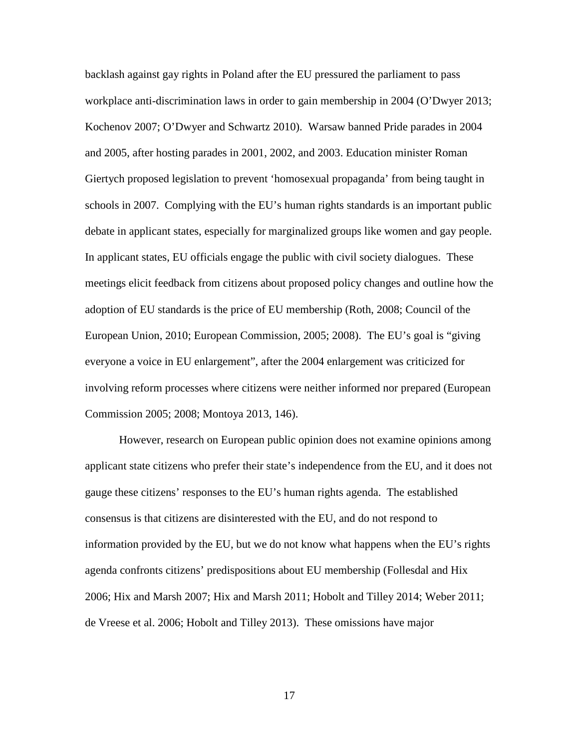backlash against gay rights in Poland after the EU pressured the parliament to pass workplace anti-discrimination laws in order to gain membership in 2004 (O'Dwyer 2013; Kochenov 2007; O'Dwyer and Schwartz 2010). Warsaw banned Pride parades in 2004 and 2005, after hosting parades in 2001, 2002, and 2003. Education minister Roman Giertych proposed legislation to prevent 'homosexual propaganda' from being taught in schools in 2007. Complying with the EU's human rights standards is an important public debate in applicant states, especially for marginalized groups like women and gay people. In applicant states, EU officials engage the public with civil society dialogues. These meetings elicit feedback from citizens about proposed policy changes and outline how the adoption of EU standards is the price of EU membership (Roth, 2008; Council of the European Union, 2010; European Commission, 2005; 2008). The EU's goal is "giving everyone a voice in EU enlargement", after the 2004 enlargement was criticized for involving reform processes where citizens were neither informed nor prepared (European Commission 2005; 2008; Montoya 2013, 146).

However, research on European public opinion does not examine opinions among applicant state citizens who prefer their state's independence from the EU, and it does not gauge these citizens' responses to the EU's human rights agenda. The established consensus is that citizens are disinterested with the EU, and do not respond to information provided by the EU, but we do not know what happens when the EU's rights agenda confronts citizens' predispositions about EU membership (Follesdal and Hix 2006; Hix and Marsh 2007; Hix and Marsh 2011; Hobolt and Tilley 2014; Weber 2011; de Vreese et al. 2006; Hobolt and Tilley 2013). These omissions have major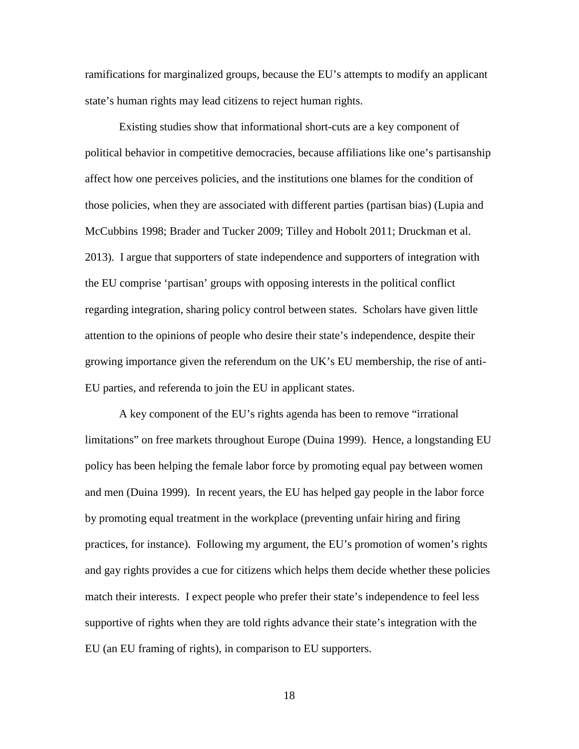ramifications for marginalized groups, because the EU's attempts to modify an applicant state's human rights may lead citizens to reject human rights.

Existing studies show that informational short-cuts are a key component of political behavior in competitive democracies, because affiliations like one's partisanship affect how one perceives policies, and the institutions one blames for the condition of those policies, when they are associated with different parties (partisan bias) (Lupia and McCubbins 1998; Brader and Tucker 2009; Tilley and Hobolt 2011; Druckman et al. 2013). I argue that supporters of state independence and supporters of integration with the EU comprise 'partisan' groups with opposing interests in the political conflict regarding integration, sharing policy control between states. Scholars have given little attention to the opinions of people who desire their state's independence, despite their growing importance given the referendum on the UK's EU membership, the rise of anti-EU parties, and referenda to join the EU in applicant states.

A key component of the EU's rights agenda has been to remove "irrational limitations" on free markets throughout Europe (Duina 1999). Hence, a longstanding EU policy has been helping the female labor force by promoting equal pay between women and men (Duina 1999). In recent years, the EU has helped gay people in the labor force by promoting equal treatment in the workplace (preventing unfair hiring and firing practices, for instance). Following my argument, the EU's promotion of women's rights and gay rights provides a cue for citizens which helps them decide whether these policies match their interests. I expect people who prefer their state's independence to feel less supportive of rights when they are told rights advance their state's integration with the EU (an EU framing of rights), in comparison to EU supporters.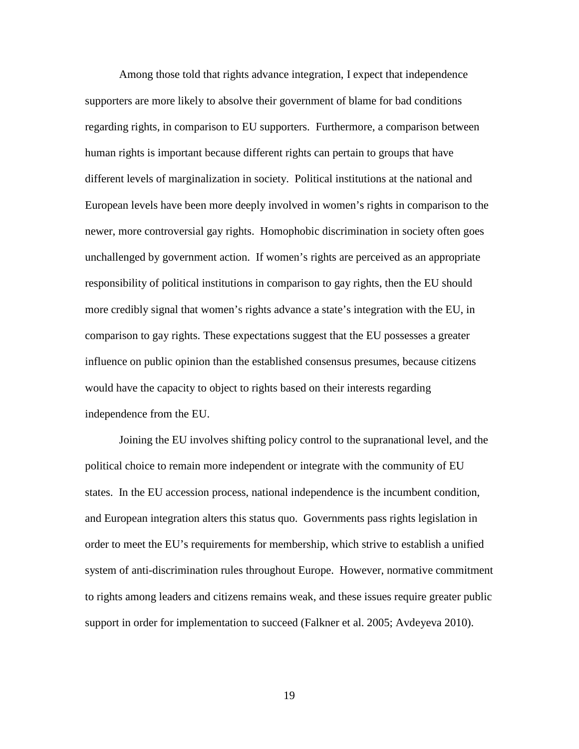Among those told that rights advance integration, I expect that independence supporters are more likely to absolve their government of blame for bad conditions regarding rights, in comparison to EU supporters. Furthermore, a comparison between human rights is important because different rights can pertain to groups that have different levels of marginalization in society. Political institutions at the national and European levels have been more deeply involved in women's rights in comparison to the newer, more controversial gay rights. Homophobic discrimination in society often goes unchallenged by government action. If women's rights are perceived as an appropriate responsibility of political institutions in comparison to gay rights, then the EU should more credibly signal that women's rights advance a state's integration with the EU, in comparison to gay rights. These expectations suggest that the EU possesses a greater influence on public opinion than the established consensus presumes, because citizens would have the capacity to object to rights based on their interests regarding independence from the EU.

Joining the EU involves shifting policy control to the supranational level, and the political choice to remain more independent or integrate with the community of EU states. In the EU accession process, national independence is the incumbent condition, and European integration alters this status quo. Governments pass rights legislation in order to meet the EU's requirements for membership, which strive to establish a unified system of anti-discrimination rules throughout Europe. However, normative commitment to rights among leaders and citizens remains weak, and these issues require greater public support in order for implementation to succeed (Falkner et al. 2005; Avdeyeva 2010).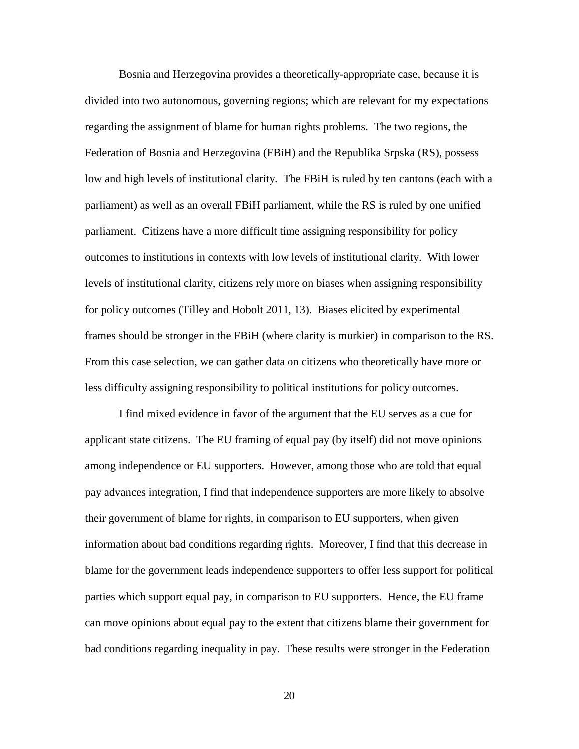Bosnia and Herzegovina provides a theoretically-appropriate case, because it is divided into two autonomous, governing regions; which are relevant for my expectations regarding the assignment of blame for human rights problems. The two regions, the Federation of Bosnia and Herzegovina (FBiH) and the Republika Srpska (RS), possess low and high levels of institutional clarity. The FBiH is ruled by ten cantons (each with a parliament) as well as an overall FBiH parliament, while the RS is ruled by one unified parliament. Citizens have a more difficult time assigning responsibility for policy outcomes to institutions in contexts with low levels of institutional clarity. With lower levels of institutional clarity, citizens rely more on biases when assigning responsibility for policy outcomes (Tilley and Hobolt 2011, 13). Biases elicited by experimental frames should be stronger in the FBiH (where clarity is murkier) in comparison to the RS. From this case selection, we can gather data on citizens who theoretically have more or less difficulty assigning responsibility to political institutions for policy outcomes.

I find mixed evidence in favor of the argument that the EU serves as a cue for applicant state citizens. The EU framing of equal pay (by itself) did not move opinions among independence or EU supporters. However, among those who are told that equal pay advances integration, I find that independence supporters are more likely to absolve their government of blame for rights, in comparison to EU supporters, when given information about bad conditions regarding rights. Moreover, I find that this decrease in blame for the government leads independence supporters to offer less support for political parties which support equal pay, in comparison to EU supporters. Hence, the EU frame can move opinions about equal pay to the extent that citizens blame their government for bad conditions regarding inequality in pay. These results were stronger in the Federation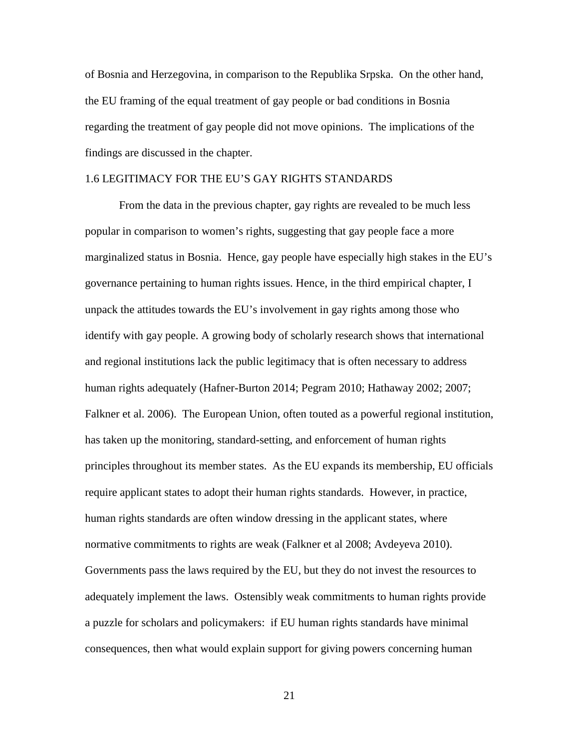of Bosnia and Herzegovina, in comparison to the Republika Srpska. On the other hand, the EU framing of the equal treatment of gay people or bad conditions in Bosnia regarding the treatment of gay people did not move opinions. The implications of the findings are discussed in the chapter.

### 1.6 LEGITIMACY FOR THE EU'S GAY RIGHTS STANDARDS

From the data in the previous chapter, gay rights are revealed to be much less popular in comparison to women's rights, suggesting that gay people face a more marginalized status in Bosnia. Hence, gay people have especially high stakes in the EU's governance pertaining to human rights issues. Hence, in the third empirical chapter, I unpack the attitudes towards the EU's involvement in gay rights among those who identify with gay people. A growing body of scholarly research shows that international and regional institutions lack the public legitimacy that is often necessary to address human rights adequately (Hafner-Burton 2014; Pegram 2010; Hathaway 2002; 2007; Falkner et al. 2006). The European Union, often touted as a powerful regional institution, has taken up the monitoring, standard-setting, and enforcement of human rights principles throughout its member states. As the EU expands its membership, EU officials require applicant states to adopt their human rights standards. However, in practice, human rights standards are often window dressing in the applicant states, where normative commitments to rights are weak (Falkner et al 2008; Avdeyeva 2010). Governments pass the laws required by the EU, but they do not invest the resources to adequately implement the laws. Ostensibly weak commitments to human rights provide a puzzle for scholars and policymakers: if EU human rights standards have minimal consequences, then what would explain support for giving powers concerning human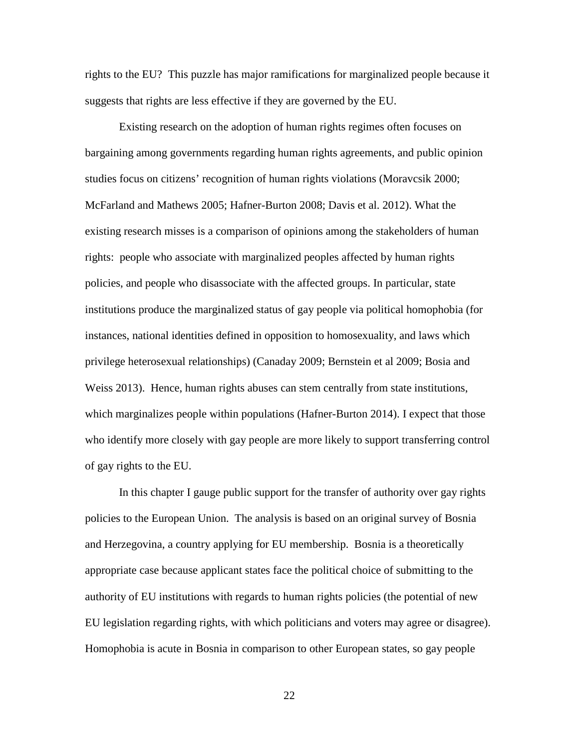rights to the EU? This puzzle has major ramifications for marginalized people because it suggests that rights are less effective if they are governed by the EU.

Existing research on the adoption of human rights regimes often focuses on bargaining among governments regarding human rights agreements, and public opinion studies focus on citizens' recognition of human rights violations (Moravcsik 2000; McFarland and Mathews 2005; Hafner-Burton 2008; Davis et al. 2012). What the existing research misses is a comparison of opinions among the stakeholders of human rights: people who associate with marginalized peoples affected by human rights policies, and people who disassociate with the affected groups. In particular, state institutions produce the marginalized status of gay people via political homophobia (for instances, national identities defined in opposition to homosexuality, and laws which privilege heterosexual relationships) (Canaday 2009; Bernstein et al 2009; Bosia and Weiss 2013). Hence, human rights abuses can stem centrally from state institutions, which marginalizes people within populations (Hafner-Burton 2014). I expect that those who identify more closely with gay people are more likely to support transferring control of gay rights to the EU.

In this chapter I gauge public support for the transfer of authority over gay rights policies to the European Union. The analysis is based on an original survey of Bosnia and Herzegovina, a country applying for EU membership. Bosnia is a theoretically appropriate case because applicant states face the political choice of submitting to the authority of EU institutions with regards to human rights policies (the potential of new EU legislation regarding rights, with which politicians and voters may agree or disagree). Homophobia is acute in Bosnia in comparison to other European states, so gay people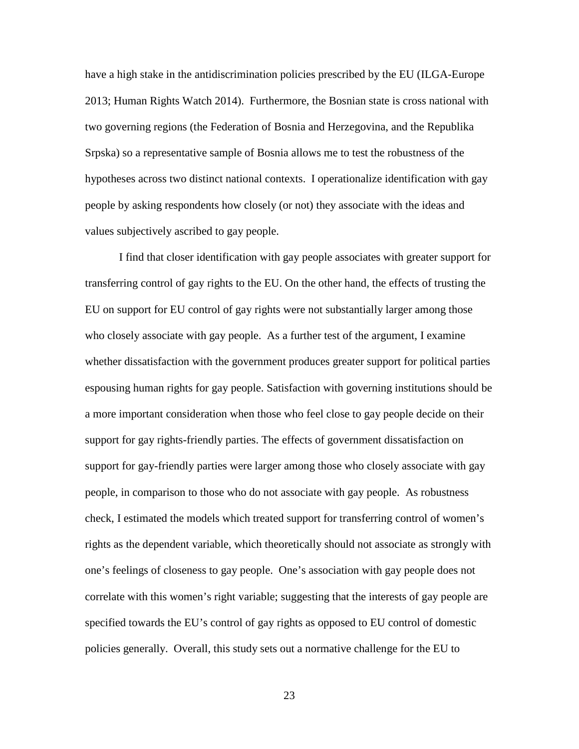have a high stake in the antidiscrimination policies prescribed by the EU (ILGA-Europe 2013; Human Rights Watch 2014). Furthermore, the Bosnian state is cross national with two governing regions (the Federation of Bosnia and Herzegovina, and the Republika Srpska) so a representative sample of Bosnia allows me to test the robustness of the hypotheses across two distinct national contexts. I operationalize identification with gay people by asking respondents how closely (or not) they associate with the ideas and values subjectively ascribed to gay people.

I find that closer identification with gay people associates with greater support for transferring control of gay rights to the EU. On the other hand, the effects of trusting the EU on support for EU control of gay rights were not substantially larger among those who closely associate with gay people. As a further test of the argument, I examine whether dissatisfaction with the government produces greater support for political parties espousing human rights for gay people. Satisfaction with governing institutions should be a more important consideration when those who feel close to gay people decide on their support for gay rights-friendly parties. The effects of government dissatisfaction on support for gay-friendly parties were larger among those who closely associate with gay people, in comparison to those who do not associate with gay people. As robustness check, I estimated the models which treated support for transferring control of women's rights as the dependent variable, which theoretically should not associate as strongly with one's feelings of closeness to gay people. One's association with gay people does not correlate with this women's right variable; suggesting that the interests of gay people are specified towards the EU's control of gay rights as opposed to EU control of domestic policies generally. Overall, this study sets out a normative challenge for the EU to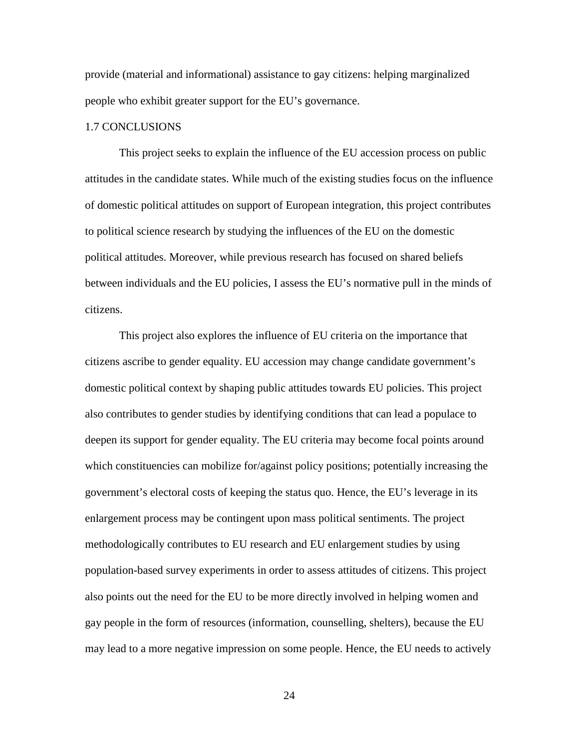provide (material and informational) assistance to gay citizens: helping marginalized people who exhibit greater support for the EU's governance.

#### 1.7 CONCLUSIONS

This project seeks to explain the influence of the EU accession process on public attitudes in the candidate states. While much of the existing studies focus on the influence of domestic political attitudes on support of European integration, this project contributes to political science research by studying the influences of the EU on the domestic political attitudes. Moreover, while previous research has focused on shared beliefs between individuals and the EU policies, I assess the EU's normative pull in the minds of citizens.

This project also explores the influence of EU criteria on the importance that citizens ascribe to gender equality. EU accession may change candidate government's domestic political context by shaping public attitudes towards EU policies. This project also contributes to gender studies by identifying conditions that can lead a populace to deepen its support for gender equality. The EU criteria may become focal points around which constituencies can mobilize for/against policy positions; potentially increasing the government's electoral costs of keeping the status quo. Hence, the EU's leverage in its enlargement process may be contingent upon mass political sentiments. The project methodologically contributes to EU research and EU enlargement studies by using population-based survey experiments in order to assess attitudes of citizens. This project also points out the need for the EU to be more directly involved in helping women and gay people in the form of resources (information, counselling, shelters), because the EU may lead to a more negative impression on some people. Hence, the EU needs to actively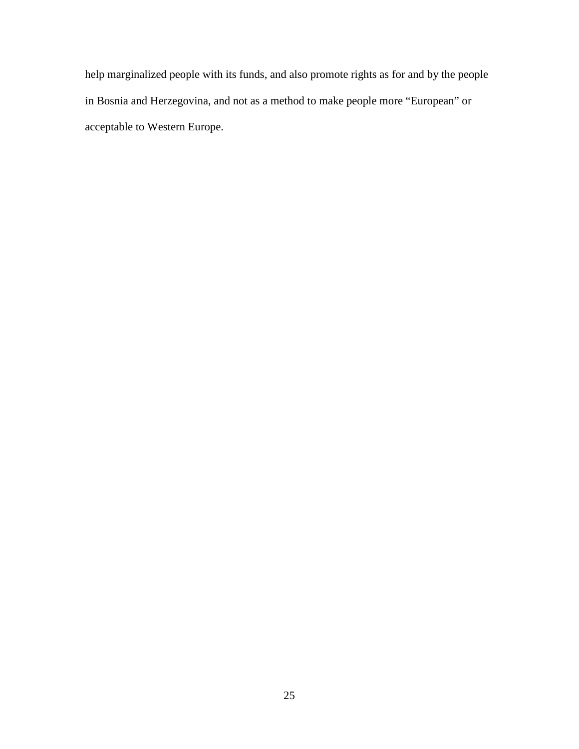help marginalized people with its funds, and also promote rights as for and by the people in Bosnia and Herzegovina, and not as a method to make people more "European" or acceptable to Western Europe.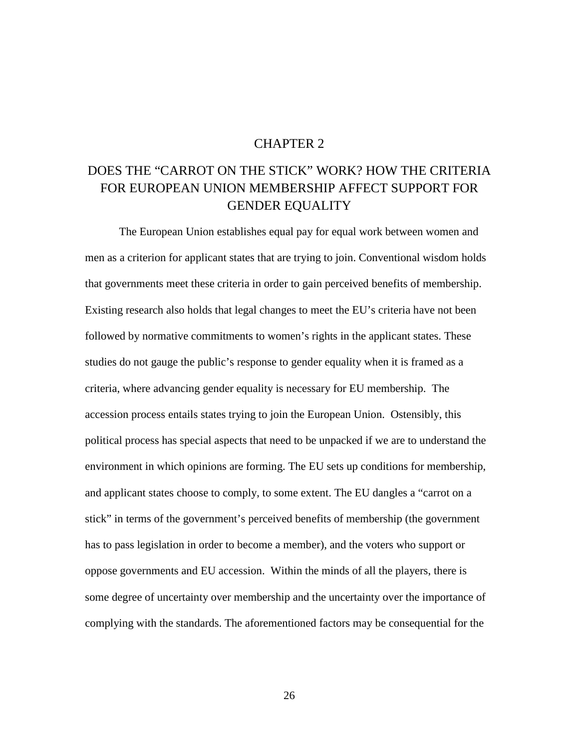## CHAPTER 2

## DOES THE "CARROT ON THE STICK" WORK? HOW THE CRITERIA FOR EUROPEAN UNION MEMBERSHIP AFFECT SUPPORT FOR GENDER EQUALITY

The European Union establishes equal pay for equal work between women and men as a criterion for applicant states that are trying to join. Conventional wisdom holds that governments meet these criteria in order to gain perceived benefits of membership. Existing research also holds that legal changes to meet the EU's criteria have not been followed by normative commitments to women's rights in the applicant states. These studies do not gauge the public's response to gender equality when it is framed as a criteria, where advancing gender equality is necessary for EU membership. The accession process entails states trying to join the European Union. Ostensibly, this political process has special aspects that need to be unpacked if we are to understand the environment in which opinions are forming. The EU sets up conditions for membership, and applicant states choose to comply, to some extent. The EU dangles a "carrot on a stick" in terms of the government's perceived benefits of membership (the government has to pass legislation in order to become a member), and the voters who support or oppose governments and EU accession. Within the minds of all the players, there is some degree of uncertainty over membership and the uncertainty over the importance of complying with the standards. The aforementioned factors may be consequential for the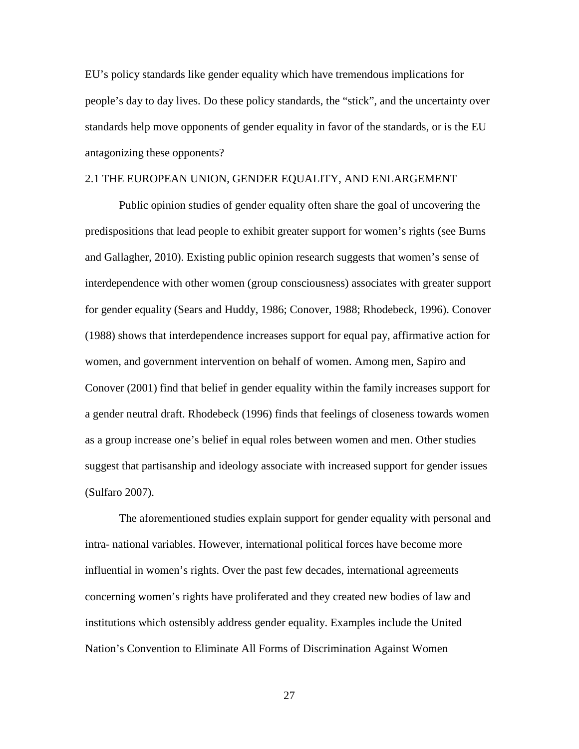EU's policy standards like gender equality which have tremendous implications for people's day to day lives. Do these policy standards, the "stick", and the uncertainty over standards help move opponents of gender equality in favor of the standards, or is the EU antagonizing these opponents?

### 2.1 THE EUROPEAN UNION, GENDER EQUALITY, AND ENLARGEMENT

Public opinion studies of gender equality often share the goal of uncovering the predispositions that lead people to exhibit greater support for women's rights (see Burns and Gallagher, 2010). Existing public opinion research suggests that women's sense of interdependence with other women (group consciousness) associates with greater support for gender equality (Sears and Huddy, 1986; Conover, 1988; Rhodebeck, 1996). Conover (1988) shows that interdependence increases support for equal pay, affirmative action for women, and government intervention on behalf of women. Among men, Sapiro and Conover (2001) find that belief in gender equality within the family increases support for a gender neutral draft. Rhodebeck (1996) finds that feelings of closeness towards women as a group increase one's belief in equal roles between women and men. Other studies suggest that partisanship and ideology associate with increased support for gender issues (Sulfaro 2007).

The aforementioned studies explain support for gender equality with personal and intra- national variables. However, international political forces have become more influential in women's rights. Over the past few decades, international agreements concerning women's rights have proliferated and they created new bodies of law and institutions which ostensibly address gender equality. Examples include the United Nation's Convention to Eliminate All Forms of Discrimination Against Women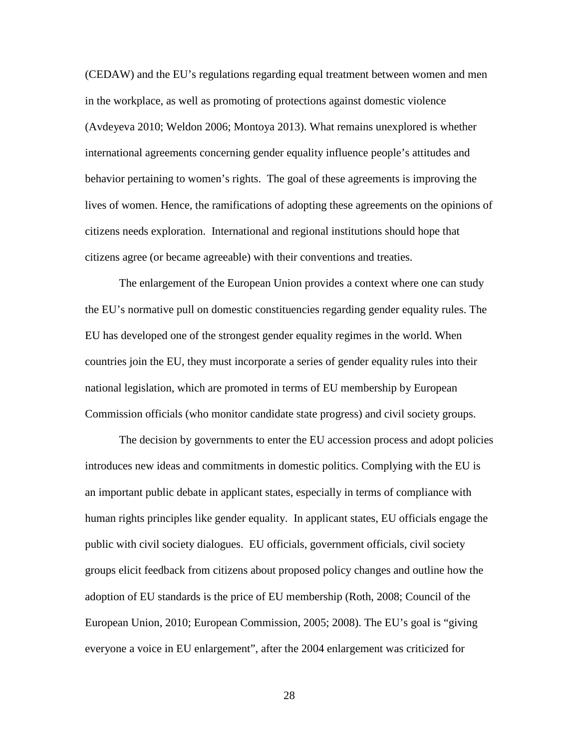(CEDAW) and the EU's regulations regarding equal treatment between women and men in the workplace, as well as promoting of protections against domestic violence (Avdeyeva 2010; Weldon 2006; Montoya 2013). What remains unexplored is whether international agreements concerning gender equality influence people's attitudes and behavior pertaining to women's rights. The goal of these agreements is improving the lives of women. Hence, the ramifications of adopting these agreements on the opinions of citizens needs exploration. International and regional institutions should hope that citizens agree (or became agreeable) with their conventions and treaties.

The enlargement of the European Union provides a context where one can study the EU's normative pull on domestic constituencies regarding gender equality rules. The EU has developed one of the strongest gender equality regimes in the world. When countries join the EU, they must incorporate a series of gender equality rules into their national legislation, which are promoted in terms of EU membership by European Commission officials (who monitor candidate state progress) and civil society groups.

The decision by governments to enter the EU accession process and adopt policies introduces new ideas and commitments in domestic politics. Complying with the EU is an important public debate in applicant states, especially in terms of compliance with human rights principles like gender equality. In applicant states, EU officials engage the public with civil society dialogues. EU officials, government officials, civil society groups elicit feedback from citizens about proposed policy changes and outline how the adoption of EU standards is the price of EU membership (Roth, 2008; Council of the European Union, 2010; European Commission, 2005; 2008). The EU's goal is "giving everyone a voice in EU enlargement", after the 2004 enlargement was criticized for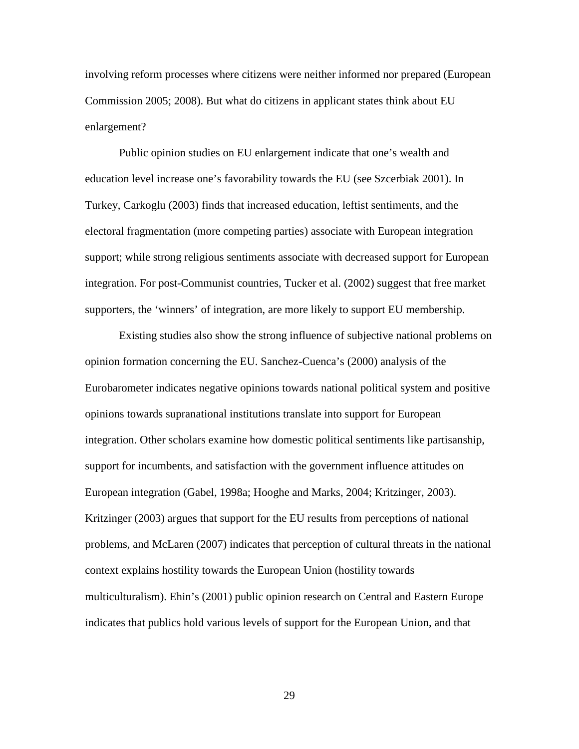involving reform processes where citizens were neither informed nor prepared (European Commission 2005; 2008). But what do citizens in applicant states think about EU enlargement?

Public opinion studies on EU enlargement indicate that one's wealth and education level increase one's favorability towards the EU (see Szcerbiak 2001). In Turkey, Carkoglu (2003) finds that increased education, leftist sentiments, and the electoral fragmentation (more competing parties) associate with European integration support; while strong religious sentiments associate with decreased support for European integration. For post-Communist countries, Tucker et al. (2002) suggest that free market supporters, the 'winners' of integration, are more likely to support EU membership.

Existing studies also show the strong influence of subjective national problems on opinion formation concerning the EU. Sanchez-Cuenca's (2000) analysis of the Eurobarometer indicates negative opinions towards national political system and positive opinions towards supranational institutions translate into support for European integration. Other scholars examine how domestic political sentiments like partisanship, support for incumbents, and satisfaction with the government influence attitudes on European integration (Gabel, 1998a; Hooghe and Marks, 2004; Kritzinger, 2003). Kritzinger (2003) argues that support for the EU results from perceptions of national problems, and McLaren (2007) indicates that perception of cultural threats in the national context explains hostility towards the European Union (hostility towards multiculturalism). Ehin's (2001) public opinion research on Central and Eastern Europe indicates that publics hold various levels of support for the European Union, and that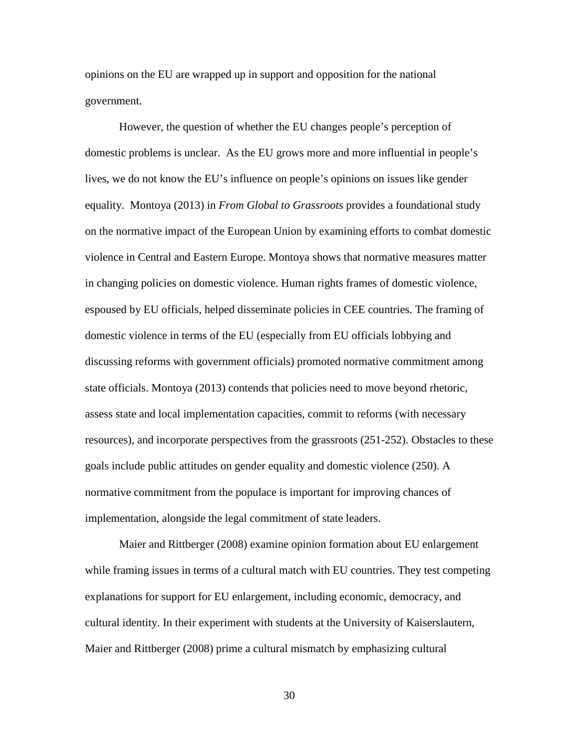opinions on the EU are wrapped up in support and opposition for the national government.

However, the question of whether the EU changes people's perception of domestic problems is unclear. As the EU grows more and more influential in people's lives, we do not know the EU's influence on people's opinions on issues like gender equality. Montoya (2013) in *From Global to Grassroots* provides a foundational study on the normative impact of the European Union by examining efforts to combat domestic violence in Central and Eastern Europe. Montoya shows that normative measures matter in changing policies on domestic violence. Human rights frames of domestic violence, espoused by EU officials, helped disseminate policies in CEE countries. The framing of domestic violence in terms of the EU (especially from EU officials lobbying and discussing reforms with government officials) promoted normative commitment among state officials. Montoya (2013) contends that policies need to move beyond rhetoric, assess state and local implementation capacities, commit to reforms (with necessary resources), and incorporate perspectives from the grassroots (251-252). Obstacles to these goals include public attitudes on gender equality and domestic violence (250). A normative commitment from the populace is important for improving chances of implementation, alongside the legal commitment of state leaders.

Maier and Rittberger (2008) examine opinion formation about EU enlargement while framing issues in terms of a cultural match with EU countries. They test competing explanations for support for EU enlargement, including economic, democracy, and cultural identity. In their experiment with students at the University of Kaiserslautern, Maier and Rittberger (2008) prime a cultural mismatch by emphasizing cultural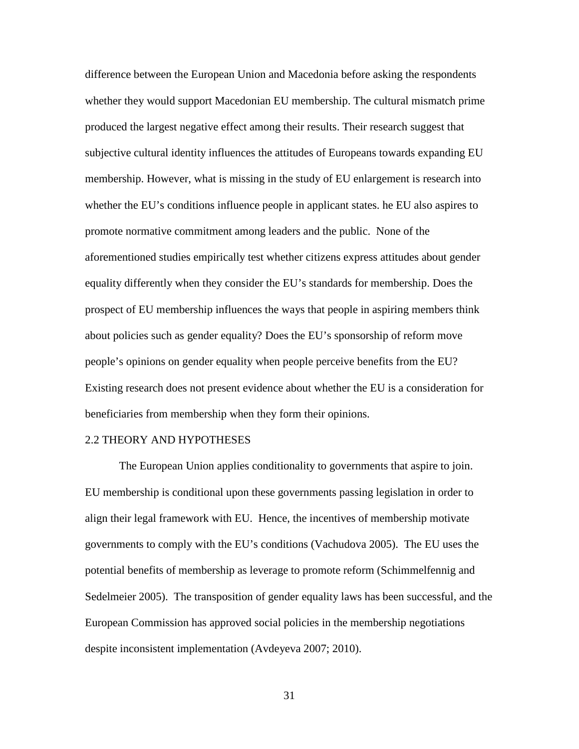difference between the European Union and Macedonia before asking the respondents whether they would support Macedonian EU membership. The cultural mismatch prime produced the largest negative effect among their results. Their research suggest that subjective cultural identity influences the attitudes of Europeans towards expanding EU membership. However, what is missing in the study of EU enlargement is research into whether the EU's conditions influence people in applicant states. he EU also aspires to promote normative commitment among leaders and the public. None of the aforementioned studies empirically test whether citizens express attitudes about gender equality differently when they consider the EU's standards for membership. Does the prospect of EU membership influences the ways that people in aspiring members think about policies such as gender equality? Does the EU's sponsorship of reform move people's opinions on gender equality when people perceive benefits from the EU? Existing research does not present evidence about whether the EU is a consideration for beneficiaries from membership when they form their opinions.

### 2.2 THEORY AND HYPOTHESES

The European Union applies conditionality to governments that aspire to join. EU membership is conditional upon these governments passing legislation in order to align their legal framework with EU. Hence, the incentives of membership motivate governments to comply with the EU's conditions (Vachudova 2005). The EU uses the potential benefits of membership as leverage to promote reform (Schimmelfennig and Sedelmeier 2005). The transposition of gender equality laws has been successful, and the European Commission has approved social policies in the membership negotiations despite inconsistent implementation (Avdeyeva 2007; 2010).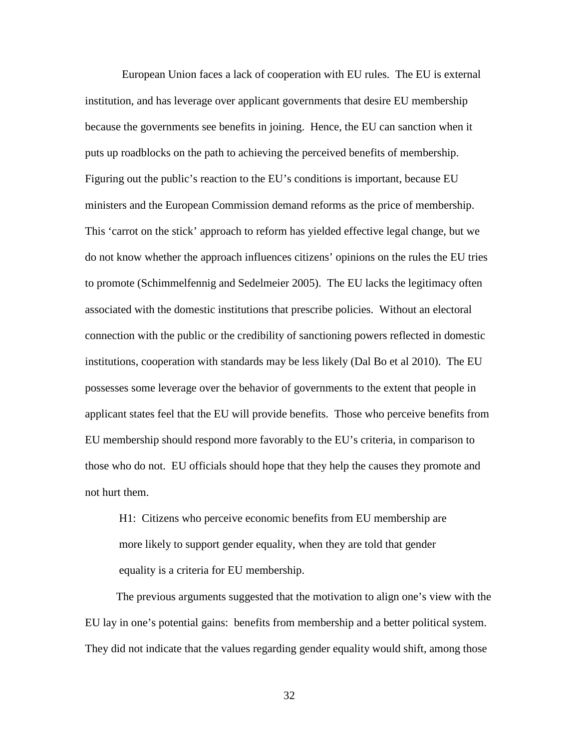European Union faces a lack of cooperation with EU rules. The EU is external institution, and has leverage over applicant governments that desire EU membership because the governments see benefits in joining. Hence, the EU can sanction when it puts up roadblocks on the path to achieving the perceived benefits of membership. Figuring out the public's reaction to the EU's conditions is important, because EU ministers and the European Commission demand reforms as the price of membership. This 'carrot on the stick' approach to reform has yielded effective legal change, but we do not know whether the approach influences citizens' opinions on the rules the EU tries to promote (Schimmelfennig and Sedelmeier 2005). The EU lacks the legitimacy often associated with the domestic institutions that prescribe policies. Without an electoral connection with the public or the credibility of sanctioning powers reflected in domestic institutions, cooperation with standards may be less likely (Dal Bo et al 2010). The EU possesses some leverage over the behavior of governments to the extent that people in applicant states feel that the EU will provide benefits. Those who perceive benefits from EU membership should respond more favorably to the EU's criteria, in comparison to those who do not. EU officials should hope that they help the causes they promote and not hurt them.

H1: Citizens who perceive economic benefits from EU membership are more likely to support gender equality, when they are told that gender equality is a criteria for EU membership.

 The previous arguments suggested that the motivation to align one's view with the EU lay in one's potential gains: benefits from membership and a better political system. They did not indicate that the values regarding gender equality would shift, among those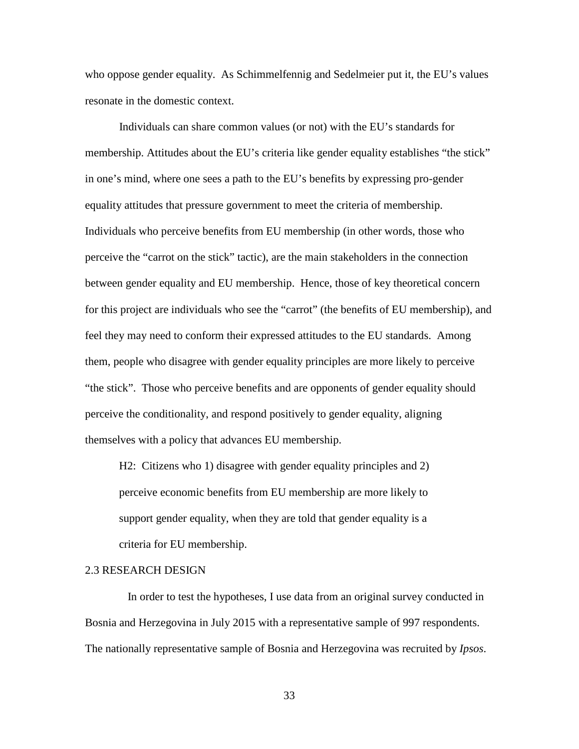who oppose gender equality. As Schimmelfennig and Sedelmeier put it, the EU's values resonate in the domestic context.

 Individuals can share common values (or not) with the EU's standards for membership. Attitudes about the EU's criteria like gender equality establishes "the stick" in one's mind, where one sees a path to the EU's benefits by expressing pro-gender equality attitudes that pressure government to meet the criteria of membership. Individuals who perceive benefits from EU membership (in other words, those who perceive the "carrot on the stick" tactic), are the main stakeholders in the connection between gender equality and EU membership. Hence, those of key theoretical concern for this project are individuals who see the "carrot" (the benefits of EU membership), and feel they may need to conform their expressed attitudes to the EU standards. Among them, people who disagree with gender equality principles are more likely to perceive "the stick". Those who perceive benefits and are opponents of gender equality should perceive the conditionality, and respond positively to gender equality, aligning themselves with a policy that advances EU membership.

H2: Citizens who 1) disagree with gender equality principles and 2) perceive economic benefits from EU membership are more likely to support gender equality, when they are told that gender equality is a criteria for EU membership.

### 2.3 RESEARCH DESIGN

 In order to test the hypotheses, I use data from an original survey conducted in Bosnia and Herzegovina in July 2015 with a representative sample of 997 respondents. The nationally representative sample of Bosnia and Herzegovina was recruited by *Ipsos*.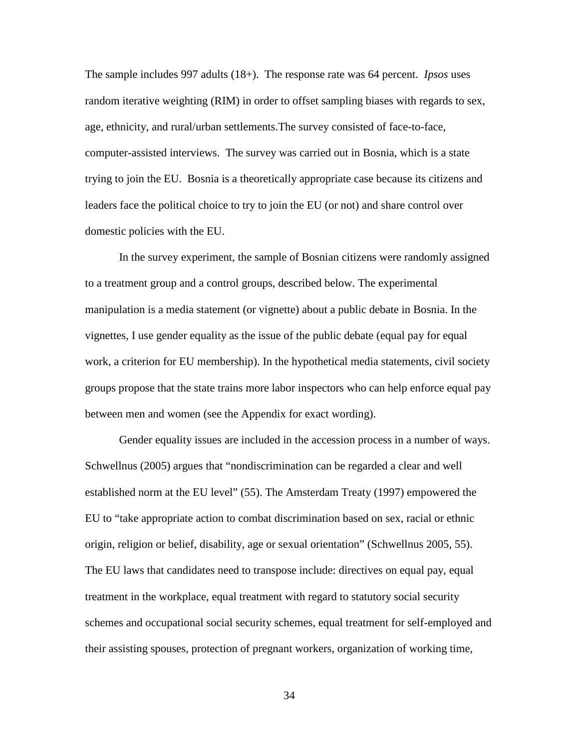The sample includes 997 adults (18+). The response rate was 64 percent. *Ipsos* uses random iterative weighting (RIM) in order to offset sampling biases with regards to sex, age, ethnicity, and rural/urban settlements.The survey consisted of face-to-face, computer-assisted interviews. The survey was carried out in Bosnia, which is a state trying to join the EU. Bosnia is a theoretically appropriate case because its citizens and leaders face the political choice to try to join the EU (or not) and share control over domestic policies with the EU.

In the survey experiment, the sample of Bosnian citizens were randomly assigned to a treatment group and a control groups, described below. The experimental manipulation is a media statement (or vignette) about a public debate in Bosnia. In the vignettes, I use gender equality as the issue of the public debate (equal pay for equal work, a criterion for EU membership). In the hypothetical media statements, civil society groups propose that the state trains more labor inspectors who can help enforce equal pay between men and women (see the Appendix for exact wording).

Gender equality issues are included in the accession process in a number of ways. Schwellnus (2005) argues that "nondiscrimination can be regarded a clear and well established norm at the EU level" (55). The Amsterdam Treaty (1997) empowered the EU to "take appropriate action to combat discrimination based on sex, racial or ethnic origin, religion or belief, disability, age or sexual orientation" (Schwellnus 2005, 55). The EU laws that candidates need to transpose include: directives on equal pay, equal treatment in the workplace, equal treatment with regard to statutory social security schemes and occupational social security schemes, equal treatment for self-employed and their assisting spouses, protection of pregnant workers, organization of working time,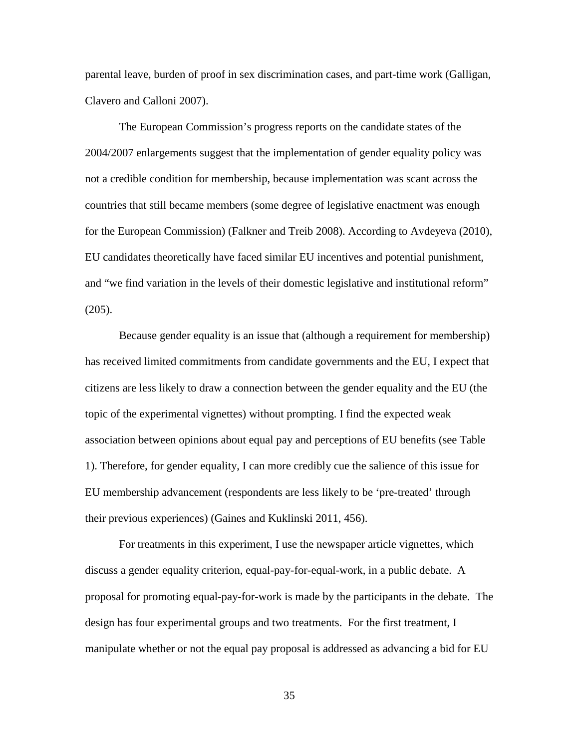parental leave, burden of proof in sex discrimination cases, and part-time work (Galligan, Clavero and Calloni 2007).

The European Commission's progress reports on the candidate states of the 2004/2007 enlargements suggest that the implementation of gender equality policy was not a credible condition for membership, because implementation was scant across the countries that still became members (some degree of legislative enactment was enough for the European Commission) (Falkner and Treib 2008). According to Avdeyeva (2010), EU candidates theoretically have faced similar EU incentives and potential punishment, and "we find variation in the levels of their domestic legislative and institutional reform" (205).

Because gender equality is an issue that (although a requirement for membership) has received limited commitments from candidate governments and the EU, I expect that citizens are less likely to draw a connection between the gender equality and the EU (the topic of the experimental vignettes) without prompting. I find the expected weak association between opinions about equal pay and perceptions of EU benefits (see Table 1). Therefore, for gender equality, I can more credibly cue the salience of this issue for EU membership advancement (respondents are less likely to be 'pre-treated' through their previous experiences) (Gaines and Kuklinski 2011, 456).

For treatments in this experiment, I use the newspaper article vignettes, which discuss a gender equality criterion, equal-pay-for-equal-work, in a public debate. A proposal for promoting equal-pay-for-work is made by the participants in the debate. The design has four experimental groups and two treatments. For the first treatment, I manipulate whether or not the equal pay proposal is addressed as advancing a bid for EU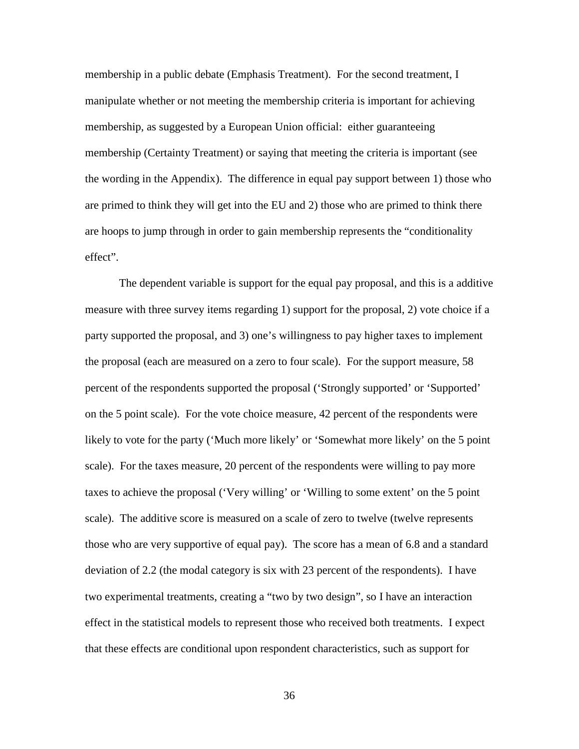membership in a public debate (Emphasis Treatment). For the second treatment, I manipulate whether or not meeting the membership criteria is important for achieving membership, as suggested by a European Union official: either guaranteeing membership (Certainty Treatment) or saying that meeting the criteria is important (see the wording in the Appendix). The difference in equal pay support between 1) those who are primed to think they will get into the EU and 2) those who are primed to think there are hoops to jump through in order to gain membership represents the "conditionality effect".

The dependent variable is support for the equal pay proposal, and this is a additive measure with three survey items regarding 1) support for the proposal, 2) vote choice if a party supported the proposal, and 3) one's willingness to pay higher taxes to implement the proposal (each are measured on a zero to four scale). For the support measure, 58 percent of the respondents supported the proposal ('Strongly supported' or 'Supported' on the 5 point scale). For the vote choice measure, 42 percent of the respondents were likely to vote for the party ('Much more likely' or 'Somewhat more likely' on the 5 point scale). For the taxes measure, 20 percent of the respondents were willing to pay more taxes to achieve the proposal ('Very willing' or 'Willing to some extent' on the 5 point scale). The additive score is measured on a scale of zero to twelve (twelve represents those who are very supportive of equal pay). The score has a mean of 6.8 and a standard deviation of 2.2 (the modal category is six with 23 percent of the respondents). I have two experimental treatments, creating a "two by two design", so I have an interaction effect in the statistical models to represent those who received both treatments. I expect that these effects are conditional upon respondent characteristics, such as support for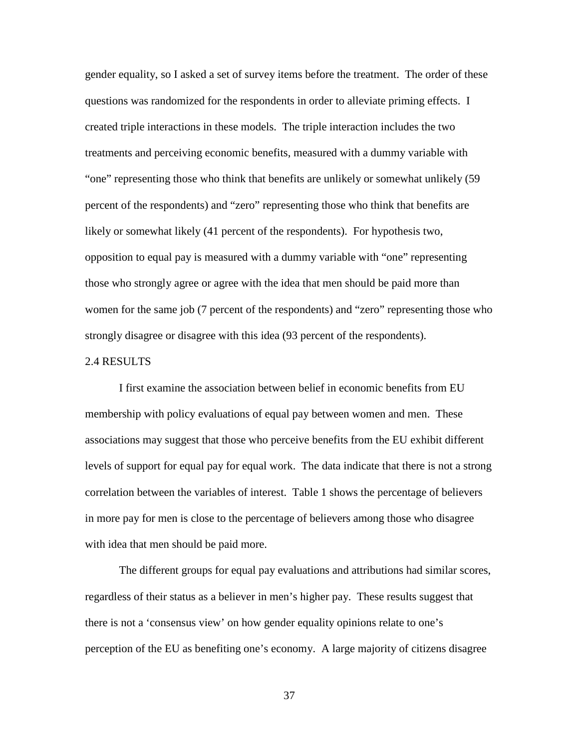gender equality, so I asked a set of survey items before the treatment. The order of these questions was randomized for the respondents in order to alleviate priming effects. I created triple interactions in these models. The triple interaction includes the two treatments and perceiving economic benefits, measured with a dummy variable with "one" representing those who think that benefits are unlikely or somewhat unlikely (59 percent of the respondents) and "zero" representing those who think that benefits are likely or somewhat likely (41 percent of the respondents). For hypothesis two, opposition to equal pay is measured with a dummy variable with "one" representing those who strongly agree or agree with the idea that men should be paid more than women for the same job (7 percent of the respondents) and "zero" representing those who strongly disagree or disagree with this idea (93 percent of the respondents).

### 2.4 RESULTS

I first examine the association between belief in economic benefits from EU membership with policy evaluations of equal pay between women and men. These associations may suggest that those who perceive benefits from the EU exhibit different levels of support for equal pay for equal work. The data indicate that there is not a strong correlation between the variables of interest. Table 1 shows the percentage of believers in more pay for men is close to the percentage of believers among those who disagree with idea that men should be paid more.

The different groups for equal pay evaluations and attributions had similar scores, regardless of their status as a believer in men's higher pay. These results suggest that there is not a 'consensus view' on how gender equality opinions relate to one's perception of the EU as benefiting one's economy. A large majority of citizens disagree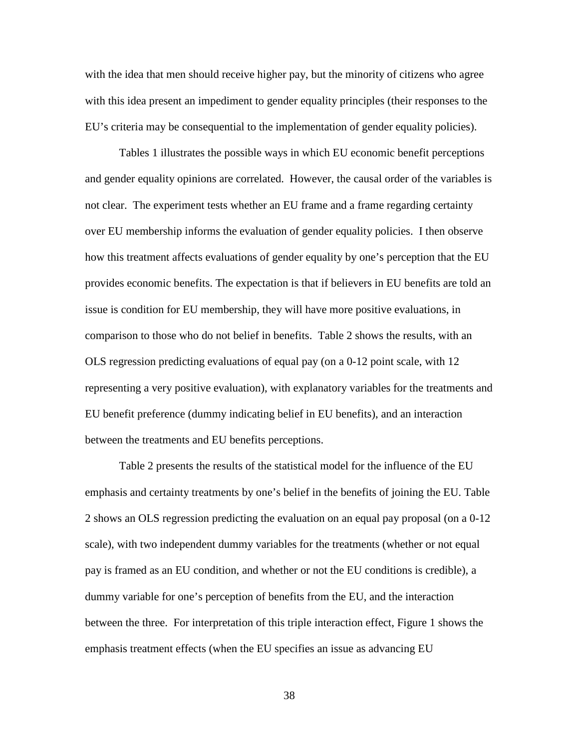with the idea that men should receive higher pay, but the minority of citizens who agree with this idea present an impediment to gender equality principles (their responses to the EU's criteria may be consequential to the implementation of gender equality policies).

Tables 1 illustrates the possible ways in which EU economic benefit perceptions and gender equality opinions are correlated. However, the causal order of the variables is not clear. The experiment tests whether an EU frame and a frame regarding certainty over EU membership informs the evaluation of gender equality policies. I then observe how this treatment affects evaluations of gender equality by one's perception that the EU provides economic benefits. The expectation is that if believers in EU benefits are told an issue is condition for EU membership, they will have more positive evaluations, in comparison to those who do not belief in benefits. Table 2 shows the results, with an OLS regression predicting evaluations of equal pay (on a 0-12 point scale, with 12 representing a very positive evaluation), with explanatory variables for the treatments and EU benefit preference (dummy indicating belief in EU benefits), and an interaction between the treatments and EU benefits perceptions.

Table 2 presents the results of the statistical model for the influence of the EU emphasis and certainty treatments by one's belief in the benefits of joining the EU. Table 2 shows an OLS regression predicting the evaluation on an equal pay proposal (on a 0-12 scale), with two independent dummy variables for the treatments (whether or not equal pay is framed as an EU condition, and whether or not the EU conditions is credible), a dummy variable for one's perception of benefits from the EU, and the interaction between the three. For interpretation of this triple interaction effect, Figure 1 shows the emphasis treatment effects (when the EU specifies an issue as advancing EU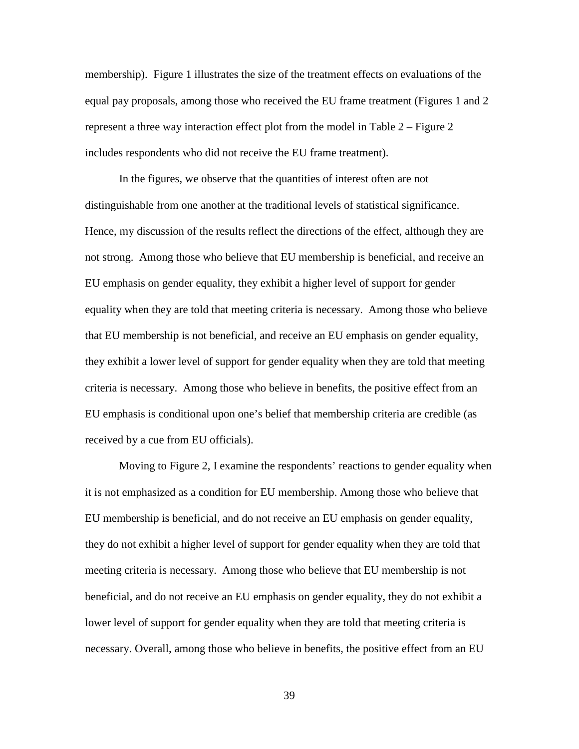membership). Figure 1 illustrates the size of the treatment effects on evaluations of the equal pay proposals, among those who received the EU frame treatment (Figures 1 and 2 represent a three way interaction effect plot from the model in Table 2 – Figure 2 includes respondents who did not receive the EU frame treatment).

In the figures, we observe that the quantities of interest often are not distinguishable from one another at the traditional levels of statistical significance. Hence, my discussion of the results reflect the directions of the effect, although they are not strong. Among those who believe that EU membership is beneficial, and receive an EU emphasis on gender equality, they exhibit a higher level of support for gender equality when they are told that meeting criteria is necessary. Among those who believe that EU membership is not beneficial, and receive an EU emphasis on gender equality, they exhibit a lower level of support for gender equality when they are told that meeting criteria is necessary. Among those who believe in benefits, the positive effect from an EU emphasis is conditional upon one's belief that membership criteria are credible (as received by a cue from EU officials).

Moving to Figure 2, I examine the respondents' reactions to gender equality when it is not emphasized as a condition for EU membership. Among those who believe that EU membership is beneficial, and do not receive an EU emphasis on gender equality, they do not exhibit a higher level of support for gender equality when they are told that meeting criteria is necessary. Among those who believe that EU membership is not beneficial, and do not receive an EU emphasis on gender equality, they do not exhibit a lower level of support for gender equality when they are told that meeting criteria is necessary. Overall, among those who believe in benefits, the positive effect from an EU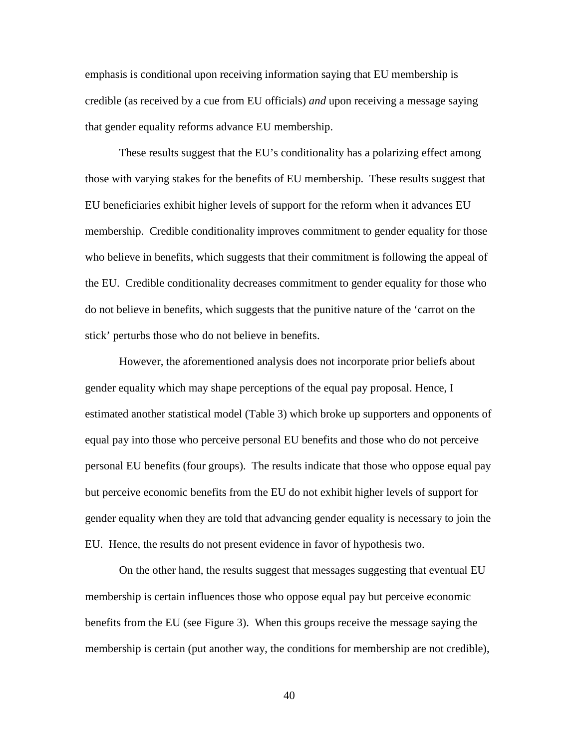emphasis is conditional upon receiving information saying that EU membership is credible (as received by a cue from EU officials) *and* upon receiving a message saying that gender equality reforms advance EU membership.

These results suggest that the EU's conditionality has a polarizing effect among those with varying stakes for the benefits of EU membership. These results suggest that EU beneficiaries exhibit higher levels of support for the reform when it advances EU membership. Credible conditionality improves commitment to gender equality for those who believe in benefits, which suggests that their commitment is following the appeal of the EU. Credible conditionality decreases commitment to gender equality for those who do not believe in benefits, which suggests that the punitive nature of the 'carrot on the stick' perturbs those who do not believe in benefits.

However, the aforementioned analysis does not incorporate prior beliefs about gender equality which may shape perceptions of the equal pay proposal. Hence, I estimated another statistical model (Table 3) which broke up supporters and opponents of equal pay into those who perceive personal EU benefits and those who do not perceive personal EU benefits (four groups). The results indicate that those who oppose equal pay but perceive economic benefits from the EU do not exhibit higher levels of support for gender equality when they are told that advancing gender equality is necessary to join the EU. Hence, the results do not present evidence in favor of hypothesis two.

On the other hand, the results suggest that messages suggesting that eventual EU membership is certain influences those who oppose equal pay but perceive economic benefits from the EU (see Figure 3). When this groups receive the message saying the membership is certain (put another way, the conditions for membership are not credible),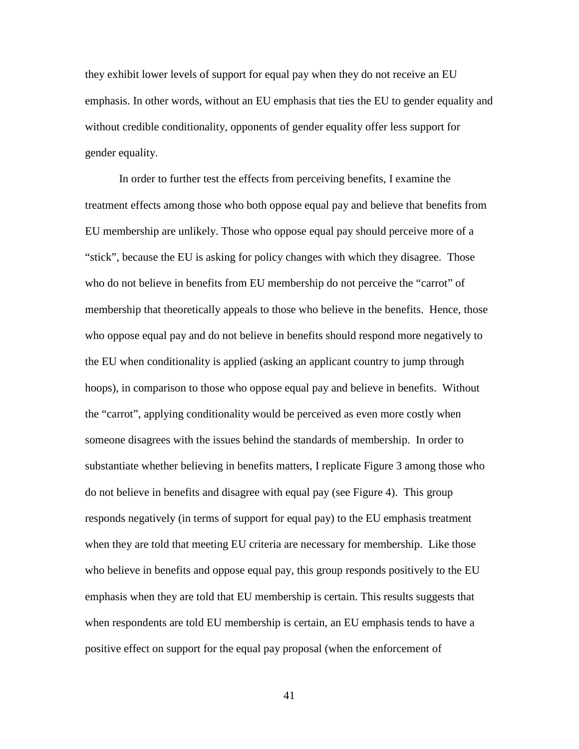they exhibit lower levels of support for equal pay when they do not receive an EU emphasis. In other words, without an EU emphasis that ties the EU to gender equality and without credible conditionality, opponents of gender equality offer less support for gender equality.

In order to further test the effects from perceiving benefits, I examine the treatment effects among those who both oppose equal pay and believe that benefits from EU membership are unlikely. Those who oppose equal pay should perceive more of a "stick", because the EU is asking for policy changes with which they disagree. Those who do not believe in benefits from EU membership do not perceive the "carrot" of membership that theoretically appeals to those who believe in the benefits. Hence, those who oppose equal pay and do not believe in benefits should respond more negatively to the EU when conditionality is applied (asking an applicant country to jump through hoops), in comparison to those who oppose equal pay and believe in benefits. Without the "carrot", applying conditionality would be perceived as even more costly when someone disagrees with the issues behind the standards of membership. In order to substantiate whether believing in benefits matters, I replicate Figure 3 among those who do not believe in benefits and disagree with equal pay (see Figure 4). This group responds negatively (in terms of support for equal pay) to the EU emphasis treatment when they are told that meeting EU criteria are necessary for membership. Like those who believe in benefits and oppose equal pay, this group responds positively to the EU emphasis when they are told that EU membership is certain. This results suggests that when respondents are told EU membership is certain, an EU emphasis tends to have a positive effect on support for the equal pay proposal (when the enforcement of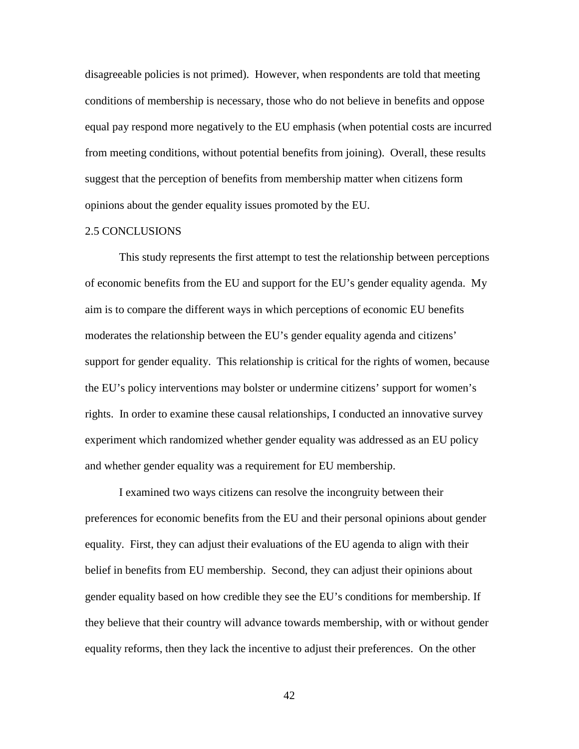disagreeable policies is not primed). However, when respondents are told that meeting conditions of membership is necessary, those who do not believe in benefits and oppose equal pay respond more negatively to the EU emphasis (when potential costs are incurred from meeting conditions, without potential benefits from joining). Overall, these results suggest that the perception of benefits from membership matter when citizens form opinions about the gender equality issues promoted by the EU.

### 2.5 CONCLUSIONS

This study represents the first attempt to test the relationship between perceptions of economic benefits from the EU and support for the EU's gender equality agenda. My aim is to compare the different ways in which perceptions of economic EU benefits moderates the relationship between the EU's gender equality agenda and citizens' support for gender equality. This relationship is critical for the rights of women, because the EU's policy interventions may bolster or undermine citizens' support for women's rights. In order to examine these causal relationships, I conducted an innovative survey experiment which randomized whether gender equality was addressed as an EU policy and whether gender equality was a requirement for EU membership.

I examined two ways citizens can resolve the incongruity between their preferences for economic benefits from the EU and their personal opinions about gender equality. First, they can adjust their evaluations of the EU agenda to align with their belief in benefits from EU membership. Second, they can adjust their opinions about gender equality based on how credible they see the EU's conditions for membership. If they believe that their country will advance towards membership, with or without gender equality reforms, then they lack the incentive to adjust their preferences. On the other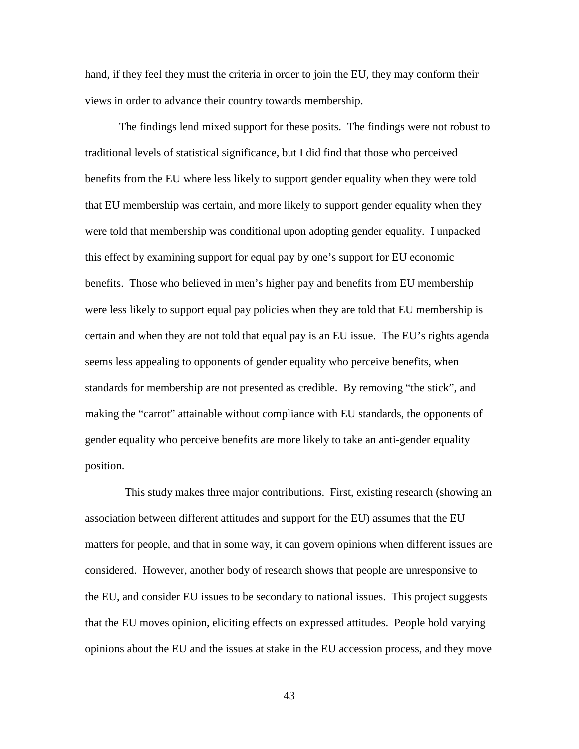hand, if they feel they must the criteria in order to join the EU, they may conform their views in order to advance their country towards membership.

The findings lend mixed support for these posits. The findings were not robust to traditional levels of statistical significance, but I did find that those who perceived benefits from the EU where less likely to support gender equality when they were told that EU membership was certain, and more likely to support gender equality when they were told that membership was conditional upon adopting gender equality. I unpacked this effect by examining support for equal pay by one's support for EU economic benefits. Those who believed in men's higher pay and benefits from EU membership were less likely to support equal pay policies when they are told that EU membership is certain and when they are not told that equal pay is an EU issue. The EU's rights agenda seems less appealing to opponents of gender equality who perceive benefits, when standards for membership are not presented as credible. By removing "the stick", and making the "carrot" attainable without compliance with EU standards, the opponents of gender equality who perceive benefits are more likely to take an anti-gender equality position.

 This study makes three major contributions. First, existing research (showing an association between different attitudes and support for the EU) assumes that the EU matters for people, and that in some way, it can govern opinions when different issues are considered. However, another body of research shows that people are unresponsive to the EU, and consider EU issues to be secondary to national issues. This project suggests that the EU moves opinion, eliciting effects on expressed attitudes. People hold varying opinions about the EU and the issues at stake in the EU accession process, and they move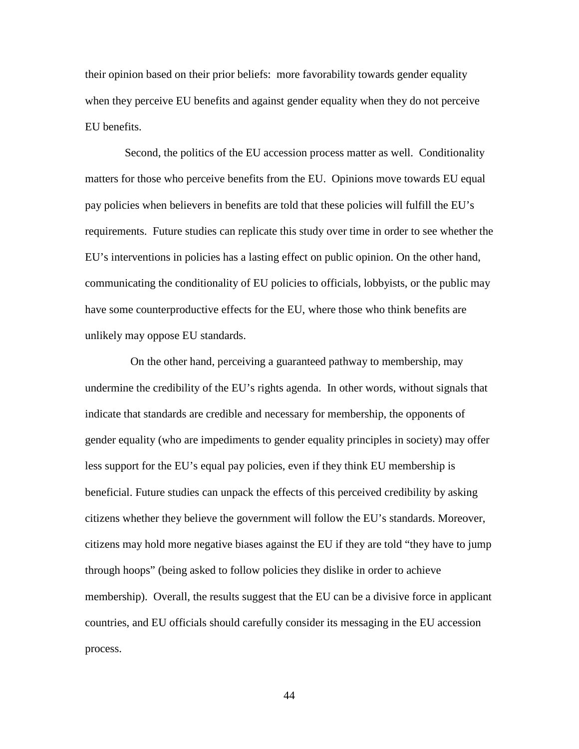their opinion based on their prior beliefs: more favorability towards gender equality when they perceive EU benefits and against gender equality when they do not perceive EU benefits.

 Second, the politics of the EU accession process matter as well. Conditionality matters for those who perceive benefits from the EU. Opinions move towards EU equal pay policies when believers in benefits are told that these policies will fulfill the EU's requirements. Future studies can replicate this study over time in order to see whether the EU's interventions in policies has a lasting effect on public opinion. On the other hand, communicating the conditionality of EU policies to officials, lobbyists, or the public may have some counterproductive effects for the EU, where those who think benefits are unlikely may oppose EU standards.

 On the other hand, perceiving a guaranteed pathway to membership, may undermine the credibility of the EU's rights agenda. In other words, without signals that indicate that standards are credible and necessary for membership, the opponents of gender equality (who are impediments to gender equality principles in society) may offer less support for the EU's equal pay policies, even if they think EU membership is beneficial. Future studies can unpack the effects of this perceived credibility by asking citizens whether they believe the government will follow the EU's standards. Moreover, citizens may hold more negative biases against the EU if they are told "they have to jump through hoops" (being asked to follow policies they dislike in order to achieve membership).Overall, the results suggest that the EU can be a divisive force in applicant countries, and EU officials should carefully consider its messaging in the EU accession process.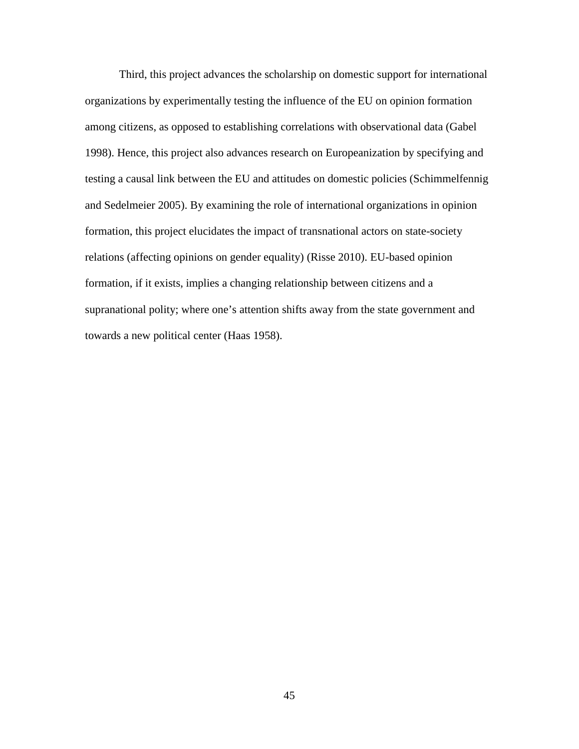Third, this project advances the scholarship on domestic support for international organizations by experimentally testing the influence of the EU on opinion formation among citizens, as opposed to establishing correlations with observational data (Gabel 1998). Hence, this project also advances research on Europeanization by specifying and testing a causal link between the EU and attitudes on domestic policies (Schimmelfennig and Sedelmeier 2005). By examining the role of international organizations in opinion formation, this project elucidates the impact of transnational actors on state-society relations (affecting opinions on gender equality) (Risse 2010). EU-based opinion formation, if it exists, implies a changing relationship between citizens and a supranational polity; where one's attention shifts away from the state government and towards a new political center (Haas 1958).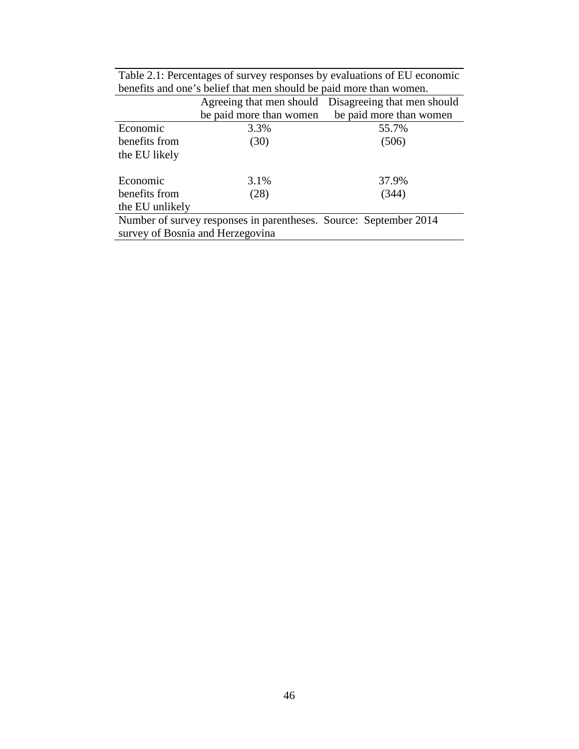|                                                                   | Agreeing that men should | Disagreeing that men should |  |  |
|-------------------------------------------------------------------|--------------------------|-----------------------------|--|--|
|                                                                   | be paid more than women  | be paid more than women     |  |  |
| Economic                                                          | 3.3%                     | 55.7%                       |  |  |
| benefits from                                                     | (30)                     | (506)                       |  |  |
| the EU likely                                                     |                          |                             |  |  |
|                                                                   |                          |                             |  |  |
| Economic                                                          | 3.1%                     | 37.9%                       |  |  |
| benefits from                                                     | (28)                     | (344)                       |  |  |
| the EU unlikely                                                   |                          |                             |  |  |
| Number of survey responses in parentheses. Source: September 2014 |                          |                             |  |  |
| survey of Bosnia and Herzegovina                                  |                          |                             |  |  |

Table 2.1: Percentages of survey responses by evaluations of EU economic benefits and one's belief that men should be paid more than women.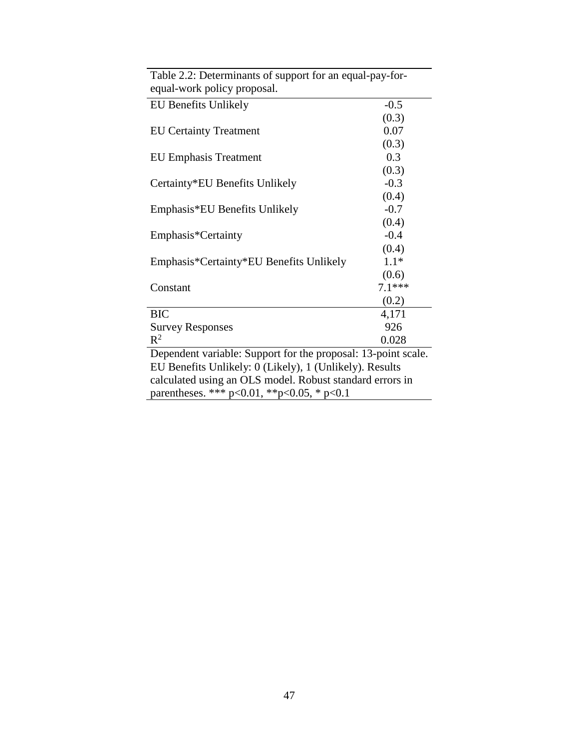| Table 2.2: Determinants of support for an equal-pay-for-      |          |
|---------------------------------------------------------------|----------|
| equal-work policy proposal.                                   |          |
| <b>EU Benefits Unlikely</b>                                   | $-0.5$   |
|                                                               | (0.3)    |
| <b>EU Certainty Treatment</b>                                 | 0.07     |
|                                                               | (0.3)    |
| <b>EU Emphasis Treatment</b>                                  | 0.3      |
|                                                               | (0.3)    |
| Certainty*EU Benefits Unlikely                                | $-0.3$   |
|                                                               | (0.4)    |
| Emphasis*EU Benefits Unlikely                                 | $-0.7$   |
|                                                               | (0.4)    |
| Emphasis*Certainty                                            | $-0.4$   |
|                                                               | (0.4)    |
| Emphasis*Certainty*EU Benefits Unlikely                       | $1.1*$   |
|                                                               | (0.6)    |
| Constant                                                      | $7.1***$ |
|                                                               | (0.2)    |
| <b>BIC</b>                                                    | 4,171    |
| <b>Survey Responses</b>                                       | 926      |
| $R^2$                                                         | 0.028    |
| Dependent variable: Support for the proposal: 13-point scale. |          |
| EU Benefits Unlikely: 0 (Likely), 1 (Unlikely). Results       |          |
| calculated using an OLS model. Robust standard errors in      |          |
| parentheses. *** $p<0.01$ , ** $p<0.05$ , * $p<0.1$           |          |
|                                                               |          |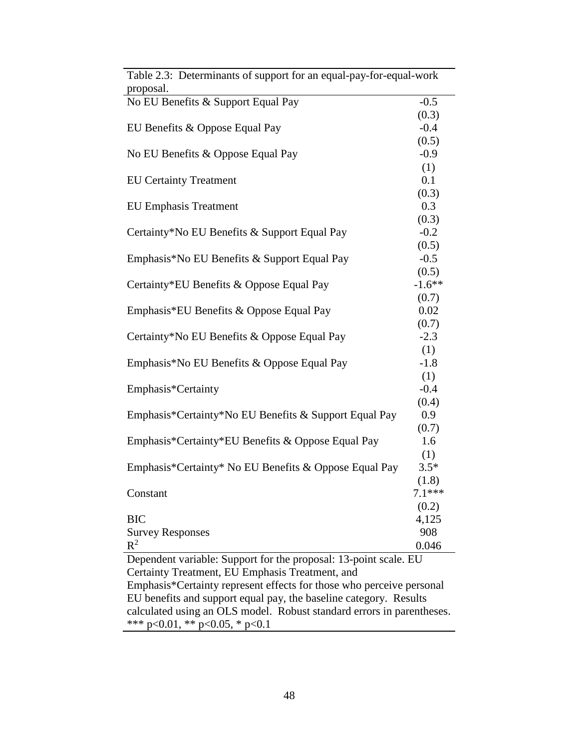| Table 2.3: Determinants of support for an equal-pay-for-equal-work<br>proposal. |          |  |  |
|---------------------------------------------------------------------------------|----------|--|--|
| No EU Benefits & Support Equal Pay                                              | $-0.5$   |  |  |
|                                                                                 | (0.3)    |  |  |
| EU Benefits & Oppose Equal Pay                                                  | $-0.4$   |  |  |
|                                                                                 | (0.5)    |  |  |
| No EU Benefits & Oppose Equal Pay                                               | $-0.9$   |  |  |
|                                                                                 | (1)      |  |  |
| <b>EU Certainty Treatment</b>                                                   | 0.1      |  |  |
|                                                                                 | (0.3)    |  |  |
| <b>EU Emphasis Treatment</b>                                                    | 0.3      |  |  |
|                                                                                 | (0.3)    |  |  |
| Certainty*No EU Benefits & Support Equal Pay                                    | $-0.2$   |  |  |
|                                                                                 | (0.5)    |  |  |
| Emphasis*No EU Benefits & Support Equal Pay                                     | $-0.5$   |  |  |
|                                                                                 | (0.5)    |  |  |
| Certainty*EU Benefits & Oppose Equal Pay                                        | $-1.6**$ |  |  |
|                                                                                 | (0.7)    |  |  |
| Emphasis*EU Benefits & Oppose Equal Pay                                         | 0.02     |  |  |
|                                                                                 | (0.7)    |  |  |
| Certainty*No EU Benefits & Oppose Equal Pay                                     | $-2.3$   |  |  |
|                                                                                 | (1)      |  |  |
| Emphasis*No EU Benefits & Oppose Equal Pay                                      | $-1.8$   |  |  |
|                                                                                 | (1)      |  |  |
| Emphasis*Certainty                                                              | $-0.4$   |  |  |
|                                                                                 | (0.4)    |  |  |
| Emphasis*Certainty*No EU Benefits & Support Equal Pay                           | 0.9      |  |  |
|                                                                                 | (0.7)    |  |  |
| Emphasis*Certainty*EU Benefits & Oppose Equal Pay                               | 1.6      |  |  |
|                                                                                 | (1)      |  |  |
| Emphasis*Certainty* No EU Benefits & Oppose Equal Pay                           | $3.5*$   |  |  |
|                                                                                 | (1.8)    |  |  |
| Constant                                                                        | $7.1***$ |  |  |
|                                                                                 | (0.2)    |  |  |
| <b>BIC</b>                                                                      | 4,125    |  |  |
| <b>Survey Responses</b>                                                         | 908      |  |  |
| $R^2$                                                                           | 0.046    |  |  |
| Dependent variable: Support for the proposal: 13-point scale. EU                |          |  |  |
| Certainty Treatment, EU Emphasis Treatment, and                                 |          |  |  |
| Emphasis*Certainty represent effects for those who perceive personal            |          |  |  |

 $\overline{Tahla}$  2. Determinants of support for an equal-pay-for-equal-work

EU benefits and support equal pay, the baseline category. Results calculated using an OLS model. Robust standard errors in parentheses.

\*\*\* p<0.01, \*\* p<0.05, \* p<0.1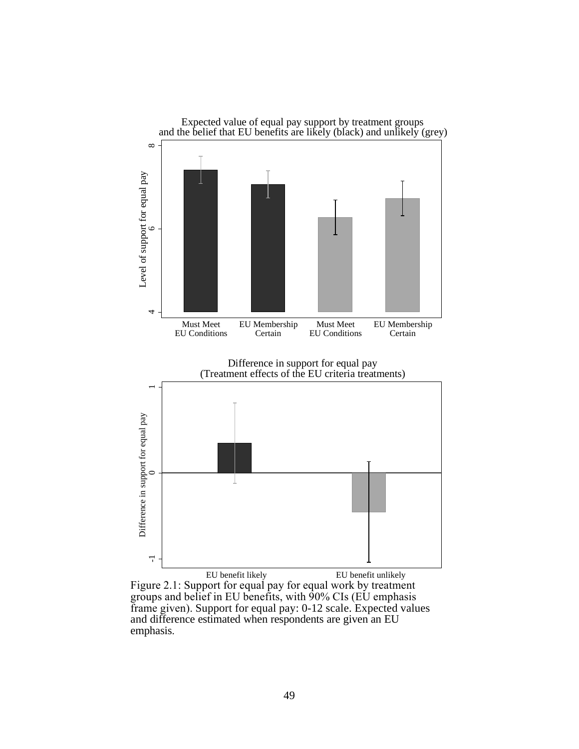

EU benefit likely EU benefit unlikely Figure 2.1: Support for equal pay for equal work by treatment groups and belief in EU benefits, with 90% CIs (EU emphasis frame given). Support for equal pay: 0-12 scale. Expected values and difference estimated when respondents are given an EU emphasis.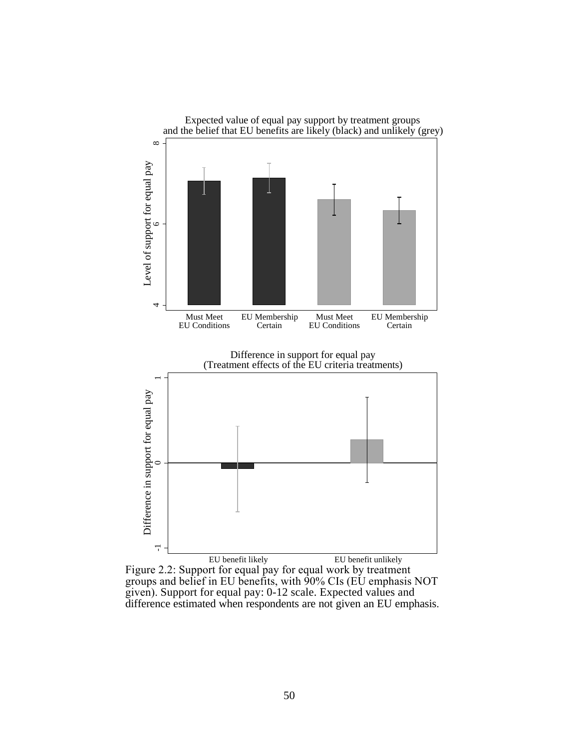

Figure 2.2: Support for equal pay for equal work by treatment groups and belief in EU benefits, with 90% CIs (EU emphasis NOT given). Support for equal pay: 0-12 scale. Expected values and difference estimated when respondents are not given an EU emphasis.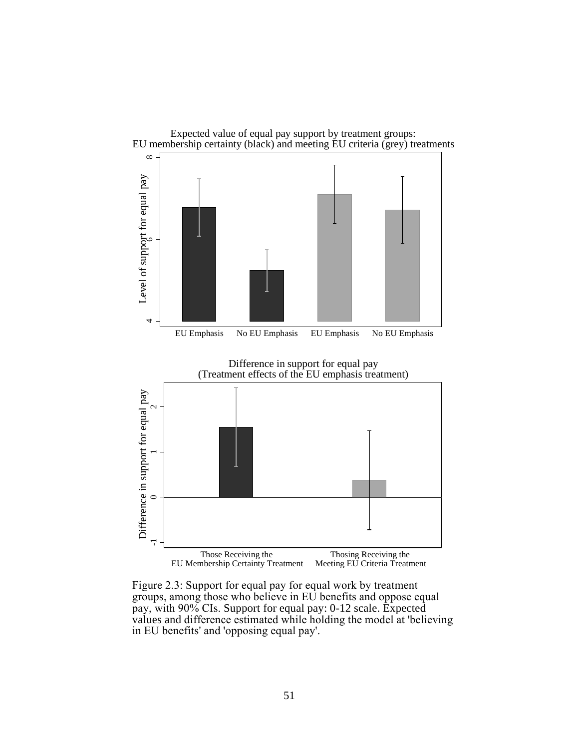

Figure 2.3: Support for equal pay for equal work by treatment groups, among those who believe in EU benefits and oppose equal pay, with 90% CIs. Support for equal pay: 0-12 scale. Expected values and difference estimated while holding the model at 'believing in EU benefits' and 'opposing equal pay'.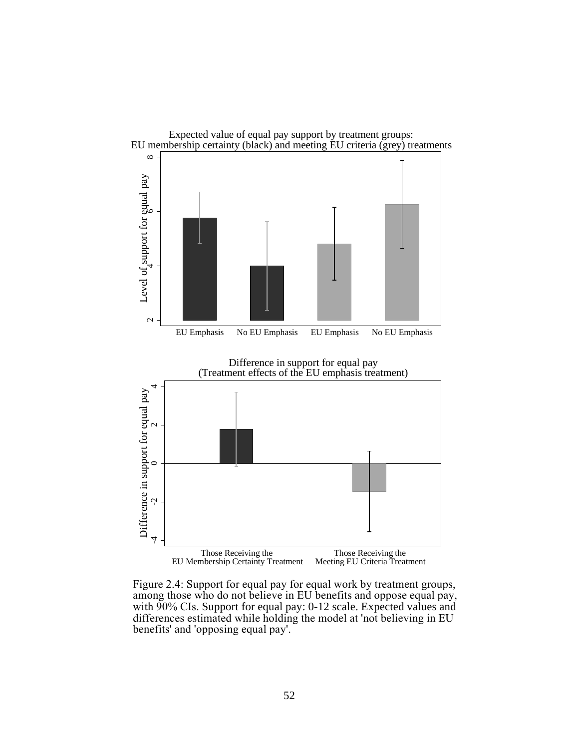

Figure 2.4: Support for equal pay for equal work by treatment groups, among those who do not believe in EU benefits and oppose equal pay, with 90% CIs. Support for equal pay: 0-12 scale. Expected values and differences estimated while holding the model at 'not believing in EU benefits' and 'opposing equal pay'.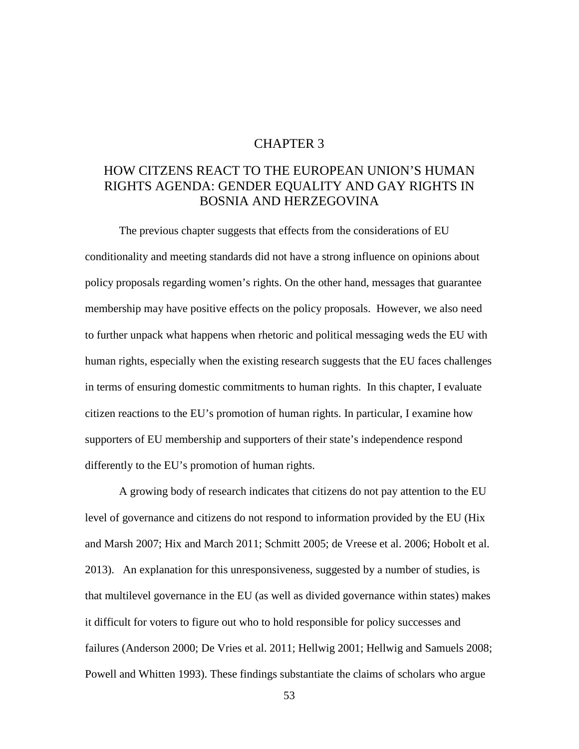## CHAPTER 3

# HOW CITZENS REACT TO THE EUROPEAN UNION'S HUMAN RIGHTS AGENDA: GENDER EQUALITY AND GAY RIGHTS IN BOSNIA AND HERZEGOVINA

The previous chapter suggests that effects from the considerations of EU conditionality and meeting standards did not have a strong influence on opinions about policy proposals regarding women's rights. On the other hand, messages that guarantee membership may have positive effects on the policy proposals. However, we also need to further unpack what happens when rhetoric and political messaging weds the EU with human rights, especially when the existing research suggests that the EU faces challenges in terms of ensuring domestic commitments to human rights. In this chapter, I evaluate citizen reactions to the EU's promotion of human rights. In particular, I examine how supporters of EU membership and supporters of their state's independence respond differently to the EU's promotion of human rights.

A growing body of research indicates that citizens do not pay attention to the EU level of governance and citizens do not respond to information provided by the EU (Hix and Marsh 2007; Hix and March 2011; Schmitt 2005; de Vreese et al. 2006; Hobolt et al. 2013). An explanation for this unresponsiveness, suggested by a number of studies, is that multilevel governance in the EU (as well as divided governance within states) makes it difficult for voters to figure out who to hold responsible for policy successes and failures (Anderson 2000; De Vries et al. 2011; Hellwig 2001; Hellwig and Samuels 2008; Powell and Whitten 1993). These findings substantiate the claims of scholars who argue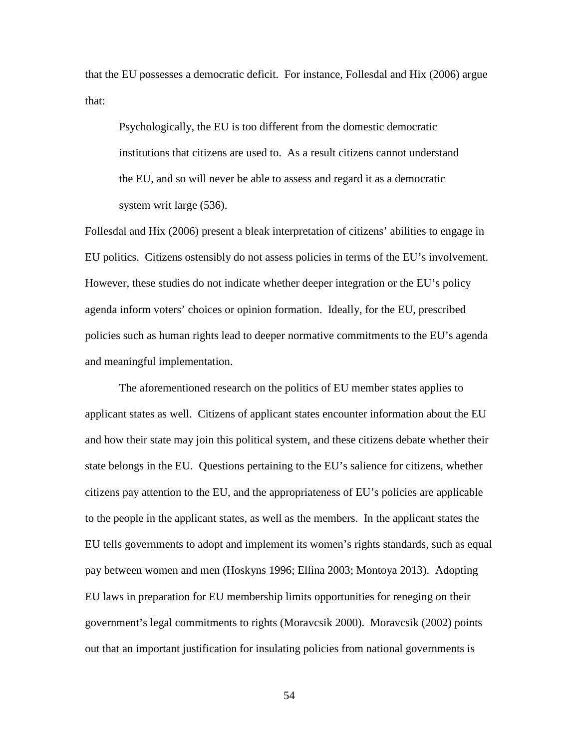that the EU possesses a democratic deficit. For instance, Follesdal and Hix (2006) argue that:

Psychologically, the EU is too different from the domestic democratic institutions that citizens are used to. As a result citizens cannot understand the EU, and so will never be able to assess and regard it as a democratic system writ large (536).

Follesdal and Hix (2006) present a bleak interpretation of citizens' abilities to engage in EU politics. Citizens ostensibly do not assess policies in terms of the EU's involvement. However, these studies do not indicate whether deeper integration or the EU's policy agenda inform voters' choices or opinion formation. Ideally, for the EU, prescribed policies such as human rights lead to deeper normative commitments to the EU's agenda and meaningful implementation.

The aforementioned research on the politics of EU member states applies to applicant states as well. Citizens of applicant states encounter information about the EU and how their state may join this political system, and these citizens debate whether their state belongs in the EU. Questions pertaining to the EU's salience for citizens, whether citizens pay attention to the EU, and the appropriateness of EU's policies are applicable to the people in the applicant states, as well as the members. In the applicant states the EU tells governments to adopt and implement its women's rights standards, such as equal pay between women and men (Hoskyns 1996; Ellina 2003; Montoya 2013). Adopting EU laws in preparation for EU membership limits opportunities for reneging on their government's legal commitments to rights (Moravcsik 2000). Moravcsik (2002) points out that an important justification for insulating policies from national governments is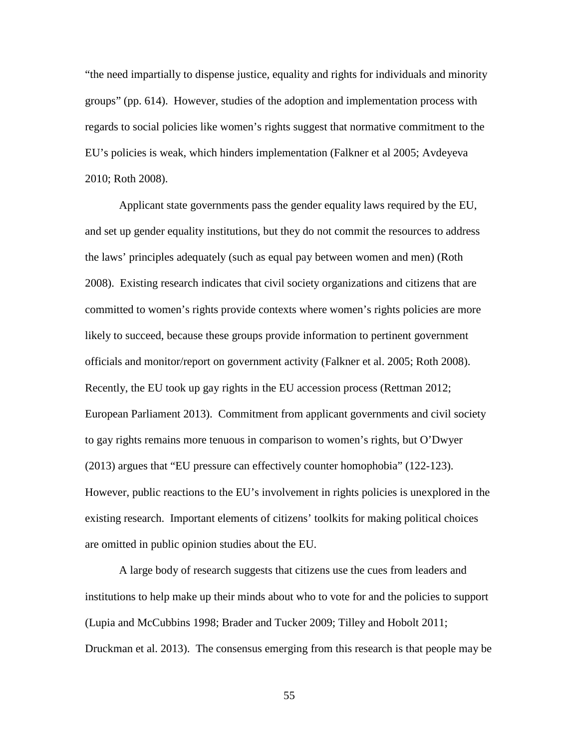"the need impartially to dispense justice, equality and rights for individuals and minority groups" (pp. 614). However, studies of the adoption and implementation process with regards to social policies like women's rights suggest that normative commitment to the EU's policies is weak, which hinders implementation (Falkner et al 2005; Avdeyeva 2010; Roth 2008).

Applicant state governments pass the gender equality laws required by the EU, and set up gender equality institutions, but they do not commit the resources to address the laws' principles adequately (such as equal pay between women and men) (Roth 2008). Existing research indicates that civil society organizations and citizens that are committed to women's rights provide contexts where women's rights policies are more likely to succeed, because these groups provide information to pertinent government officials and monitor/report on government activity (Falkner et al. 2005; Roth 2008). Recently, the EU took up gay rights in the EU accession process (Rettman 2012; European Parliament 2013). Commitment from applicant governments and civil society to gay rights remains more tenuous in comparison to women's rights, but O'Dwyer (2013) argues that "EU pressure can effectively counter homophobia" (122-123). However, public reactions to the EU's involvement in rights policies is unexplored in the existing research. Important elements of citizens' toolkits for making political choices are omitted in public opinion studies about the EU.

A large body of research suggests that citizens use the cues from leaders and institutions to help make up their minds about who to vote for and the policies to support (Lupia and McCubbins 1998; Brader and Tucker 2009; Tilley and Hobolt 2011; Druckman et al. 2013). The consensus emerging from this research is that people may be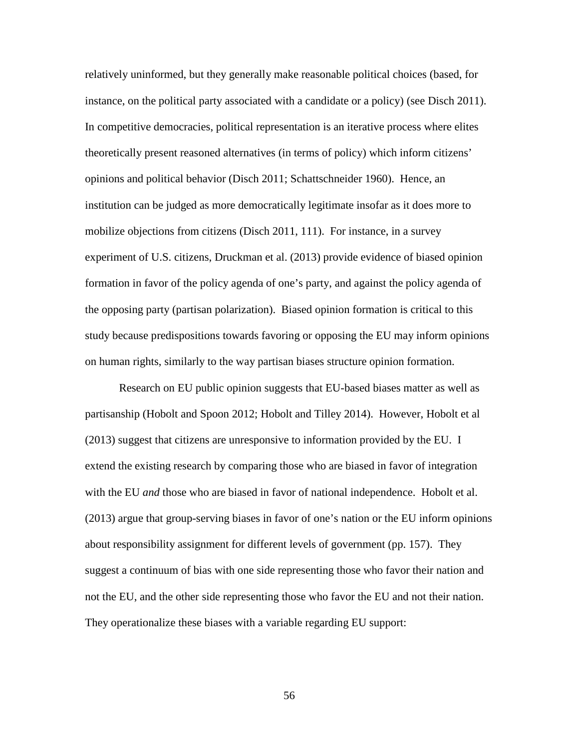relatively uninformed, but they generally make reasonable political choices (based, for instance, on the political party associated with a candidate or a policy) (see Disch 2011). In competitive democracies, political representation is an iterative process where elites theoretically present reasoned alternatives (in terms of policy) which inform citizens' opinions and political behavior (Disch 2011; Schattschneider 1960). Hence, an institution can be judged as more democratically legitimate insofar as it does more to mobilize objections from citizens (Disch 2011, 111). For instance, in a survey experiment of U.S. citizens, Druckman et al. (2013) provide evidence of biased opinion formation in favor of the policy agenda of one's party, and against the policy agenda of the opposing party (partisan polarization). Biased opinion formation is critical to this study because predispositions towards favoring or opposing the EU may inform opinions on human rights, similarly to the way partisan biases structure opinion formation.

Research on EU public opinion suggests that EU-based biases matter as well as partisanship (Hobolt and Spoon 2012; Hobolt and Tilley 2014). However, Hobolt et al (2013) suggest that citizens are unresponsive to information provided by the EU. I extend the existing research by comparing those who are biased in favor of integration with the EU *and* those who are biased in favor of national independence. Hobolt et al. (2013) argue that group-serving biases in favor of one's nation or the EU inform opinions about responsibility assignment for different levels of government (pp. 157). They suggest a continuum of bias with one side representing those who favor their nation and not the EU, and the other side representing those who favor the EU and not their nation. They operationalize these biases with a variable regarding EU support: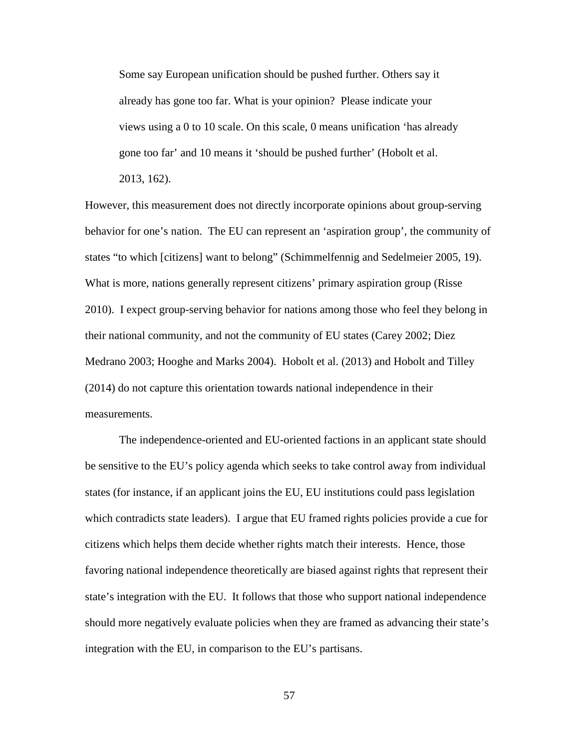Some say European unification should be pushed further. Others say it already has gone too far. What is your opinion? Please indicate your views using a 0 to 10 scale. On this scale, 0 means unification 'has already gone too far' and 10 means it 'should be pushed further' (Hobolt et al. 2013, 162).

However, this measurement does not directly incorporate opinions about group-serving behavior for one's nation. The EU can represent an 'aspiration group', the community of states "to which [citizens] want to belong" (Schimmelfennig and Sedelmeier 2005, 19). What is more, nations generally represent citizens' primary aspiration group (Risse 2010). I expect group-serving behavior for nations among those who feel they belong in their national community, and not the community of EU states (Carey 2002; Diez Medrano 2003; Hooghe and Marks 2004). Hobolt et al. (2013) and Hobolt and Tilley (2014) do not capture this orientation towards national independence in their measurements.

The independence-oriented and EU-oriented factions in an applicant state should be sensitive to the EU's policy agenda which seeks to take control away from individual states (for instance, if an applicant joins the EU, EU institutions could pass legislation which contradicts state leaders). I argue that EU framed rights policies provide a cue for citizens which helps them decide whether rights match their interests. Hence, those favoring national independence theoretically are biased against rights that represent their state's integration with the EU. It follows that those who support national independence should more negatively evaluate policies when they are framed as advancing their state's integration with the EU, in comparison to the EU's partisans.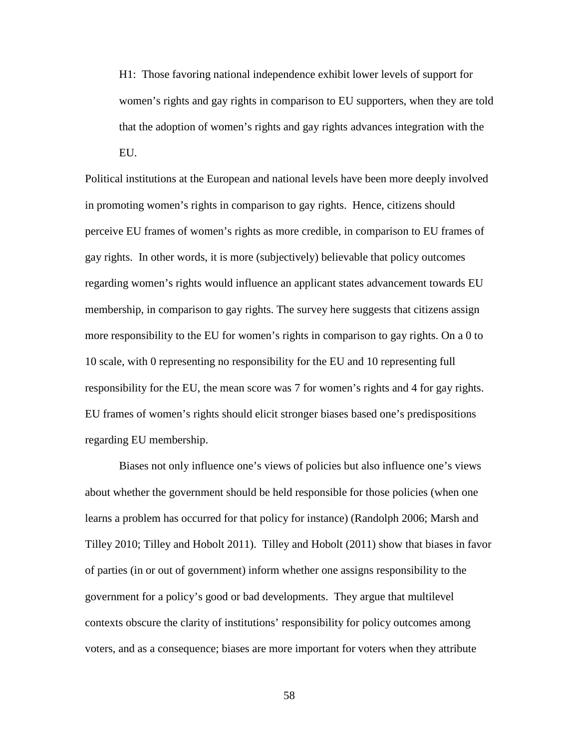H1: Those favoring national independence exhibit lower levels of support for women's rights and gay rights in comparison to EU supporters, when they are told that the adoption of women's rights and gay rights advances integration with the EU.

Political institutions at the European and national levels have been more deeply involved in promoting women's rights in comparison to gay rights. Hence, citizens should perceive EU frames of women's rights as more credible, in comparison to EU frames of gay rights. In other words, it is more (subjectively) believable that policy outcomes regarding women's rights would influence an applicant states advancement towards EU membership, in comparison to gay rights. The survey here suggests that citizens assign more responsibility to the EU for women's rights in comparison to gay rights. On a 0 to 10 scale, with 0 representing no responsibility for the EU and 10 representing full responsibility for the EU, the mean score was 7 for women's rights and 4 for gay rights. EU frames of women's rights should elicit stronger biases based one's predispositions regarding EU membership.

Biases not only influence one's views of policies but also influence one's views about whether the government should be held responsible for those policies (when one learns a problem has occurred for that policy for instance) (Randolph 2006; Marsh and Tilley 2010; Tilley and Hobolt 2011). Tilley and Hobolt (2011) show that biases in favor of parties (in or out of government) inform whether one assigns responsibility to the government for a policy's good or bad developments. They argue that multilevel contexts obscure the clarity of institutions' responsibility for policy outcomes among voters, and as a consequence; biases are more important for voters when they attribute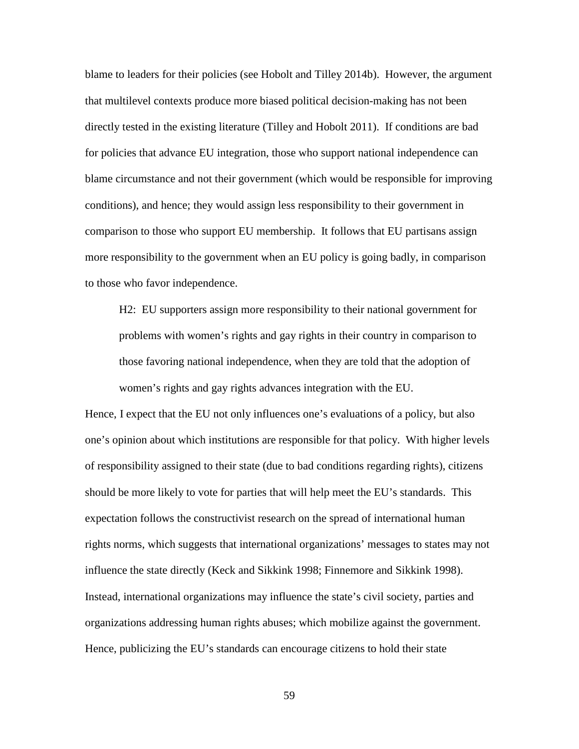blame to leaders for their policies (see Hobolt and Tilley 2014b). However, the argument that multilevel contexts produce more biased political decision-making has not been directly tested in the existing literature (Tilley and Hobolt 2011). If conditions are bad for policies that advance EU integration, those who support national independence can blame circumstance and not their government (which would be responsible for improving conditions), and hence; they would assign less responsibility to their government in comparison to those who support EU membership. It follows that EU partisans assign more responsibility to the government when an EU policy is going badly, in comparison to those who favor independence.

H2: EU supporters assign more responsibility to their national government for problems with women's rights and gay rights in their country in comparison to those favoring national independence, when they are told that the adoption of women's rights and gay rights advances integration with the EU.

Hence, I expect that the EU not only influences one's evaluations of a policy, but also one's opinion about which institutions are responsible for that policy. With higher levels of responsibility assigned to their state (due to bad conditions regarding rights), citizens should be more likely to vote for parties that will help meet the EU's standards. This expectation follows the constructivist research on the spread of international human rights norms, which suggests that international organizations' messages to states may not influence the state directly (Keck and Sikkink 1998; Finnemore and Sikkink 1998). Instead, international organizations may influence the state's civil society, parties and organizations addressing human rights abuses; which mobilize against the government. Hence, publicizing the EU's standards can encourage citizens to hold their state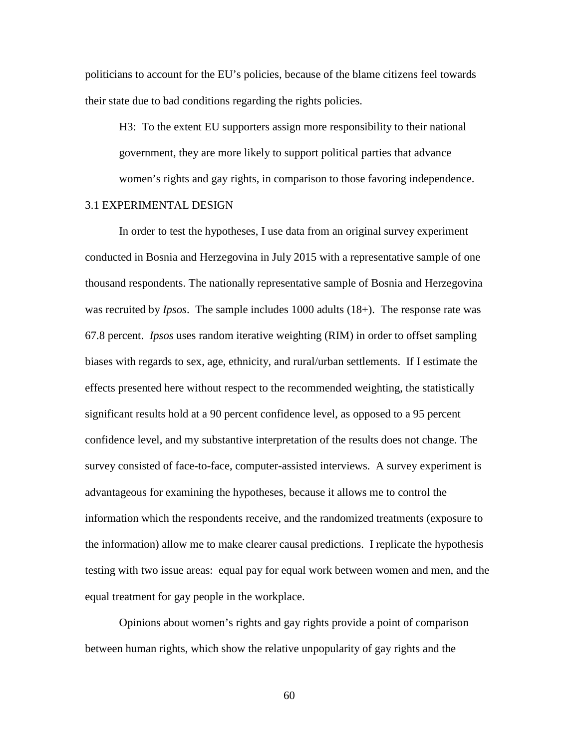politicians to account for the EU's policies, because of the blame citizens feel towards their state due to bad conditions regarding the rights policies.

H3: To the extent EU supporters assign more responsibility to their national government, they are more likely to support political parties that advance women's rights and gay rights, in comparison to those favoring independence.

### 3.1 EXPERIMENTAL DESIGN

In order to test the hypotheses, I use data from an original survey experiment conducted in Bosnia and Herzegovina in July 2015 with a representative sample of one thousand respondents. The nationally representative sample of Bosnia and Herzegovina was recruited by *Ipsos*. The sample includes 1000 adults (18+). The response rate was 67.8 percent. *Ipsos* uses random iterative weighting (RIM) in order to offset sampling biases with regards to sex, age, ethnicity, and rural/urban settlements. If I estimate the effects presented here without respect to the recommended weighting, the statistically significant results hold at a 90 percent confidence level, as opposed to a 95 percent confidence level, and my substantive interpretation of the results does not change. The survey consisted of face-to-face, computer-assisted interviews. A survey experiment is advantageous for examining the hypotheses, because it allows me to control the information which the respondents receive, and the randomized treatments (exposure to the information) allow me to make clearer causal predictions. I replicate the hypothesis testing with two issue areas: equal pay for equal work between women and men, and the equal treatment for gay people in the workplace.

Opinions about women's rights and gay rights provide a point of comparison between human rights, which show the relative unpopularity of gay rights and the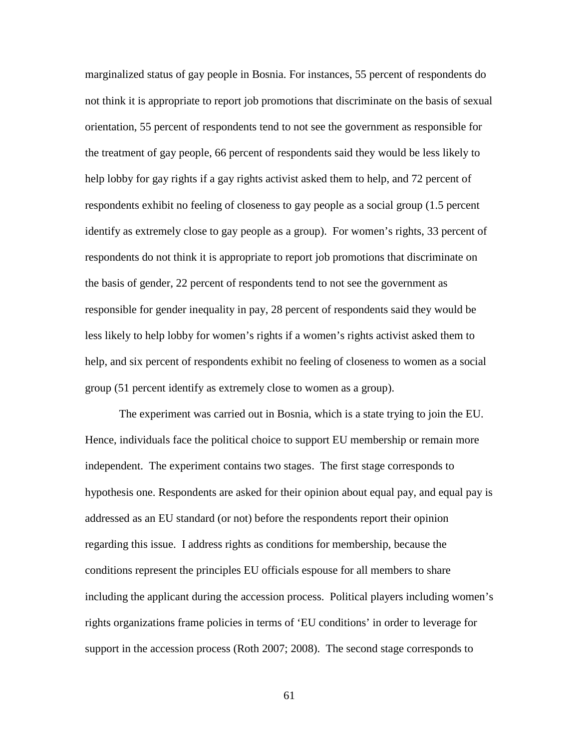marginalized status of gay people in Bosnia. For instances, 55 percent of respondents do not think it is appropriate to report job promotions that discriminate on the basis of sexual orientation, 55 percent of respondents tend to not see the government as responsible for the treatment of gay people, 66 percent of respondents said they would be less likely to help lobby for gay rights if a gay rights activist asked them to help, and 72 percent of respondents exhibit no feeling of closeness to gay people as a social group (1.5 percent identify as extremely close to gay people as a group). For women's rights, 33 percent of respondents do not think it is appropriate to report job promotions that discriminate on the basis of gender, 22 percent of respondents tend to not see the government as responsible for gender inequality in pay, 28 percent of respondents said they would be less likely to help lobby for women's rights if a women's rights activist asked them to help, and six percent of respondents exhibit no feeling of closeness to women as a social group (51 percent identify as extremely close to women as a group).

The experiment was carried out in Bosnia, which is a state trying to join the EU. Hence, individuals face the political choice to support EU membership or remain more independent. The experiment contains two stages. The first stage corresponds to hypothesis one. Respondents are asked for their opinion about equal pay, and equal pay is addressed as an EU standard (or not) before the respondents report their opinion regarding this issue. I address rights as conditions for membership, because the conditions represent the principles EU officials espouse for all members to share including the applicant during the accession process. Political players including women's rights organizations frame policies in terms of 'EU conditions' in order to leverage for support in the accession process (Roth 2007; 2008). The second stage corresponds to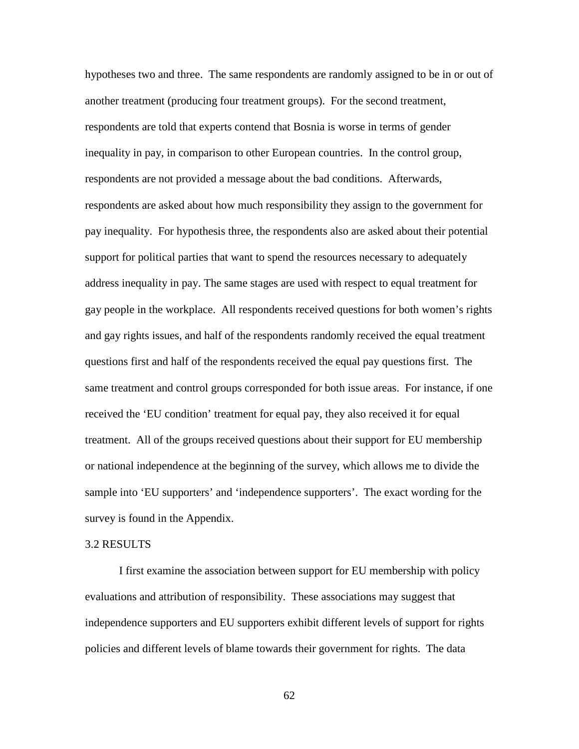hypotheses two and three. The same respondents are randomly assigned to be in or out of another treatment (producing four treatment groups). For the second treatment, respondents are told that experts contend that Bosnia is worse in terms of gender inequality in pay, in comparison to other European countries. In the control group, respondents are not provided a message about the bad conditions. Afterwards, respondents are asked about how much responsibility they assign to the government for pay inequality. For hypothesis three, the respondents also are asked about their potential support for political parties that want to spend the resources necessary to adequately address inequality in pay. The same stages are used with respect to equal treatment for gay people in the workplace. All respondents received questions for both women's rights and gay rights issues, and half of the respondents randomly received the equal treatment questions first and half of the respondents received the equal pay questions first. The same treatment and control groups corresponded for both issue areas. For instance, if one received the 'EU condition' treatment for equal pay, they also received it for equal treatment. All of the groups received questions about their support for EU membership or national independence at the beginning of the survey, which allows me to divide the sample into 'EU supporters' and 'independence supporters'. The exact wording for the survey is found in the Appendix.

#### 3.2 RESULTS

I first examine the association between support for EU membership with policy evaluations and attribution of responsibility. These associations may suggest that independence supporters and EU supporters exhibit different levels of support for rights policies and different levels of blame towards their government for rights. The data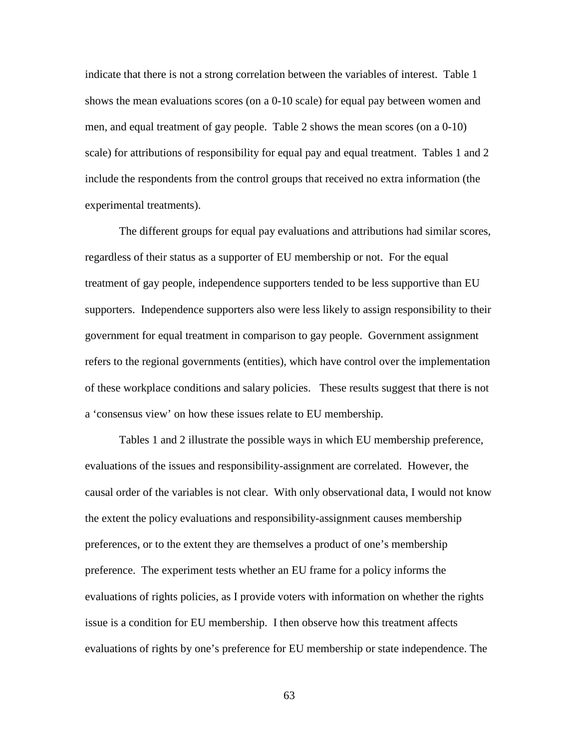indicate that there is not a strong correlation between the variables of interest. Table 1 shows the mean evaluations scores (on a 0-10 scale) for equal pay between women and men, and equal treatment of gay people. Table 2 shows the mean scores (on a 0-10) scale) for attributions of responsibility for equal pay and equal treatment. Tables 1 and 2 include the respondents from the control groups that received no extra information (the experimental treatments).

The different groups for equal pay evaluations and attributions had similar scores, regardless of their status as a supporter of EU membership or not. For the equal treatment of gay people, independence supporters tended to be less supportive than EU supporters. Independence supporters also were less likely to assign responsibility to their government for equal treatment in comparison to gay people. Government assignment refers to the regional governments (entities), which have control over the implementation of these workplace conditions and salary policies. These results suggest that there is not a 'consensus view' on how these issues relate to EU membership.

Tables 1 and 2 illustrate the possible ways in which EU membership preference, evaluations of the issues and responsibility-assignment are correlated. However, the causal order of the variables is not clear. With only observational data, I would not know the extent the policy evaluations and responsibility-assignment causes membership preferences, or to the extent they are themselves a product of one's membership preference. The experiment tests whether an EU frame for a policy informs the evaluations of rights policies, as I provide voters with information on whether the rights issue is a condition for EU membership. I then observe how this treatment affects evaluations of rights by one's preference for EU membership or state independence. The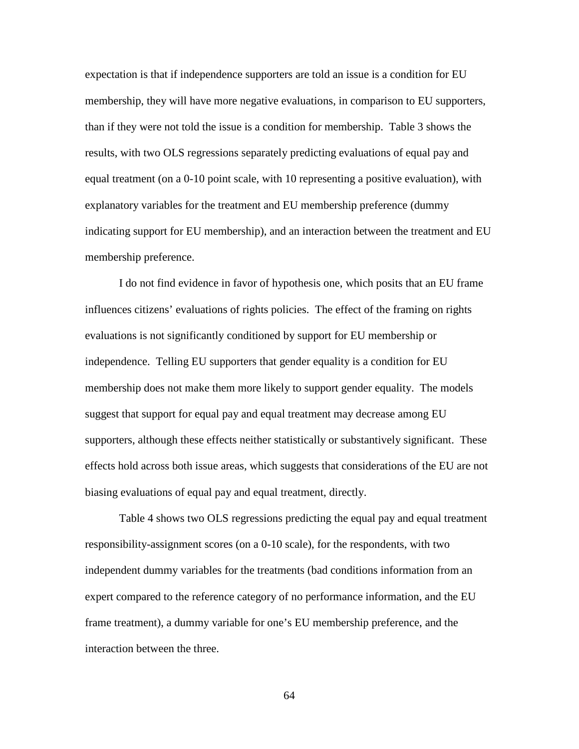expectation is that if independence supporters are told an issue is a condition for EU membership, they will have more negative evaluations, in comparison to EU supporters, than if they were not told the issue is a condition for membership. Table 3 shows the results, with two OLS regressions separately predicting evaluations of equal pay and equal treatment (on a 0-10 point scale, with 10 representing a positive evaluation), with explanatory variables for the treatment and EU membership preference (dummy indicating support for EU membership), and an interaction between the treatment and EU membership preference.

I do not find evidence in favor of hypothesis one, which posits that an EU frame influences citizens' evaluations of rights policies. The effect of the framing on rights evaluations is not significantly conditioned by support for EU membership or independence. Telling EU supporters that gender equality is a condition for EU membership does not make them more likely to support gender equality. The models suggest that support for equal pay and equal treatment may decrease among EU supporters, although these effects neither statistically or substantively significant. These effects hold across both issue areas, which suggests that considerations of the EU are not biasing evaluations of equal pay and equal treatment, directly.

Table 4 shows two OLS regressions predicting the equal pay and equal treatment responsibility-assignment scores (on a 0-10 scale), for the respondents, with two independent dummy variables for the treatments (bad conditions information from an expert compared to the reference category of no performance information, and the EU frame treatment), a dummy variable for one's EU membership preference, and the interaction between the three.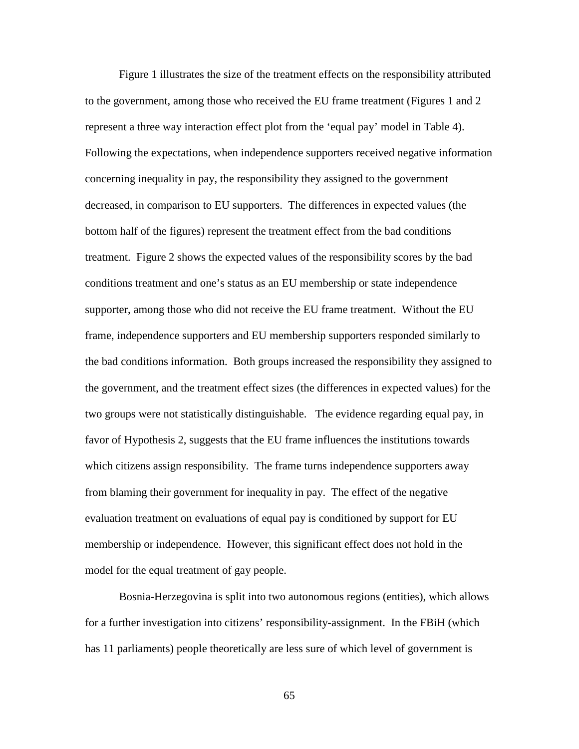Figure 1 illustrates the size of the treatment effects on the responsibility attributed to the government, among those who received the EU frame treatment (Figures 1 and 2 represent a three way interaction effect plot from the 'equal pay' model in Table 4). Following the expectations, when independence supporters received negative information concerning inequality in pay, the responsibility they assigned to the government decreased, in comparison to EU supporters. The differences in expected values (the bottom half of the figures) represent the treatment effect from the bad conditions treatment. Figure 2 shows the expected values of the responsibility scores by the bad conditions treatment and one's status as an EU membership or state independence supporter, among those who did not receive the EU frame treatment. Without the EU frame, independence supporters and EU membership supporters responded similarly to the bad conditions information. Both groups increased the responsibility they assigned to the government, and the treatment effect sizes (the differences in expected values) for the two groups were not statistically distinguishable. The evidence regarding equal pay, in favor of Hypothesis 2, suggests that the EU frame influences the institutions towards which citizens assign responsibility. The frame turns independence supporters away from blaming their government for inequality in pay. The effect of the negative evaluation treatment on evaluations of equal pay is conditioned by support for EU membership or independence. However, this significant effect does not hold in the model for the equal treatment of gay people.

Bosnia-Herzegovina is split into two autonomous regions (entities), which allows for a further investigation into citizens' responsibility-assignment. In the FBiH (which has 11 parliaments) people theoretically are less sure of which level of government is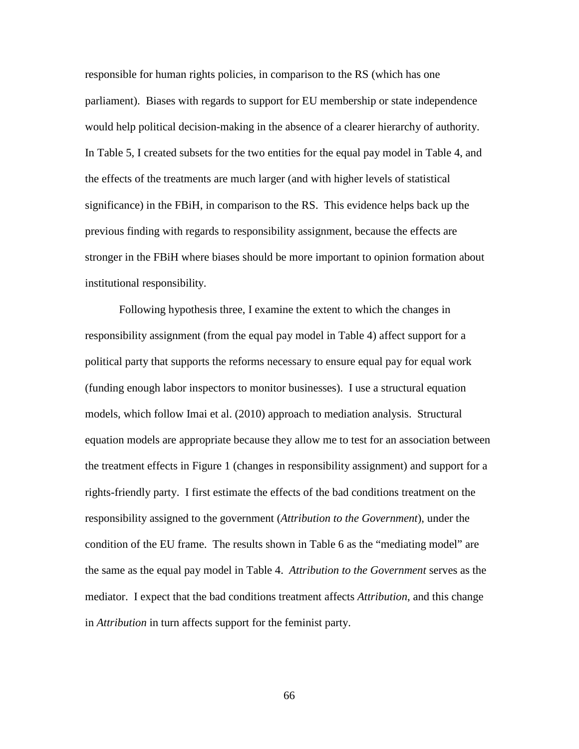responsible for human rights policies, in comparison to the RS (which has one parliament). Biases with regards to support for EU membership or state independence would help political decision-making in the absence of a clearer hierarchy of authority. In Table 5, I created subsets for the two entities for the equal pay model in Table 4, and the effects of the treatments are much larger (and with higher levels of statistical significance) in the FBiH, in comparison to the RS. This evidence helps back up the previous finding with regards to responsibility assignment, because the effects are stronger in the FBiH where biases should be more important to opinion formation about institutional responsibility.

Following hypothesis three, I examine the extent to which the changes in responsibility assignment (from the equal pay model in Table 4) affect support for a political party that supports the reforms necessary to ensure equal pay for equal work (funding enough labor inspectors to monitor businesses). I use a structural equation models, which follow Imai et al. (2010) approach to mediation analysis. Structural equation models are appropriate because they allow me to test for an association between the treatment effects in Figure 1 (changes in responsibility assignment) and support for a rights-friendly party. I first estimate the effects of the bad conditions treatment on the responsibility assigned to the government (*Attribution to the Government*), under the condition of the EU frame. The results shown in Table 6 as the "mediating model" are the same as the equal pay model in Table 4. *Attribution to the Government* serves as the mediator. I expect that the bad conditions treatment affects *Attribution*, and this change in *Attribution* in turn affects support for the feminist party.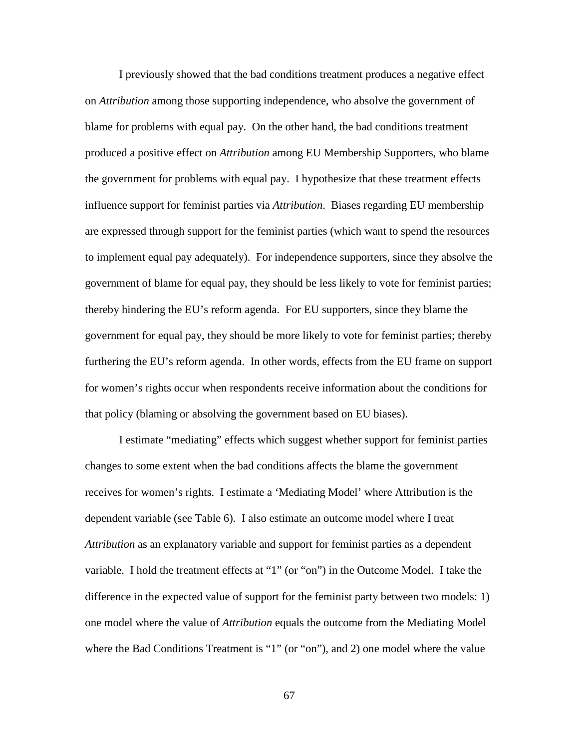I previously showed that the bad conditions treatment produces a negative effect on *Attribution* among those supporting independence, who absolve the government of blame for problems with equal pay. On the other hand, the bad conditions treatment produced a positive effect on *Attribution* among EU Membership Supporters, who blame the government for problems with equal pay. I hypothesize that these treatment effects influence support for feminist parties via *Attribution*. Biases regarding EU membership are expressed through support for the feminist parties (which want to spend the resources to implement equal pay adequately). For independence supporters, since they absolve the government of blame for equal pay, they should be less likely to vote for feminist parties; thereby hindering the EU's reform agenda. For EU supporters, since they blame the government for equal pay, they should be more likely to vote for feminist parties; thereby furthering the EU's reform agenda. In other words, effects from the EU frame on support for women's rights occur when respondents receive information about the conditions for that policy (blaming or absolving the government based on EU biases).

I estimate "mediating" effects which suggest whether support for feminist parties changes to some extent when the bad conditions affects the blame the government receives for women's rights. I estimate a 'Mediating Model' where Attribution is the dependent variable (see Table 6). I also estimate an outcome model where I treat *Attribution* as an explanatory variable and support for feminist parties as a dependent variable. I hold the treatment effects at "1" (or "on") in the Outcome Model. I take the difference in the expected value of support for the feminist party between two models: 1) one model where the value of *Attribution* equals the outcome from the Mediating Model where the Bad Conditions Treatment is "1" (or "on"), and 2) one model where the value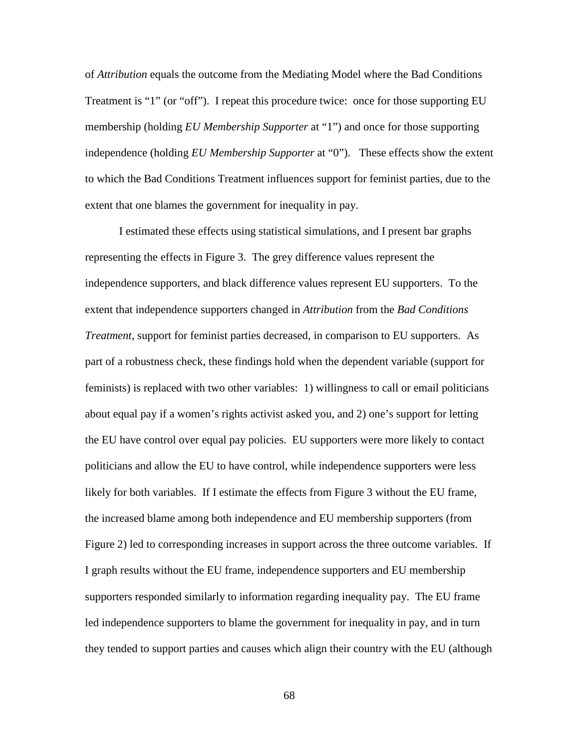of *Attribution* equals the outcome from the Mediating Model where the Bad Conditions Treatment is "1" (or "off"). I repeat this procedure twice: once for those supporting EU membership (holding *EU Membership Supporter* at "1") and once for those supporting independence (holding *EU Membership Supporter* at "0"). These effects show the extent to which the Bad Conditions Treatment influences support for feminist parties, due to the extent that one blames the government for inequality in pay.

I estimated these effects using statistical simulations, and I present bar graphs representing the effects in Figure 3. The grey difference values represent the independence supporters, and black difference values represent EU supporters. To the extent that independence supporters changed in *Attribution* from the *Bad Conditions Treatment*, support for feminist parties decreased, in comparison to EU supporters. As part of a robustness check, these findings hold when the dependent variable (support for feminists) is replaced with two other variables: 1) willingness to call or email politicians about equal pay if a women's rights activist asked you, and 2) one's support for letting the EU have control over equal pay policies. EU supporters were more likely to contact politicians and allow the EU to have control, while independence supporters were less likely for both variables. If I estimate the effects from Figure 3 without the EU frame, the increased blame among both independence and EU membership supporters (from Figure 2) led to corresponding increases in support across the three outcome variables. If I graph results without the EU frame, independence supporters and EU membership supporters responded similarly to information regarding inequality pay. The EU frame led independence supporters to blame the government for inequality in pay, and in turn they tended to support parties and causes which align their country with the EU (although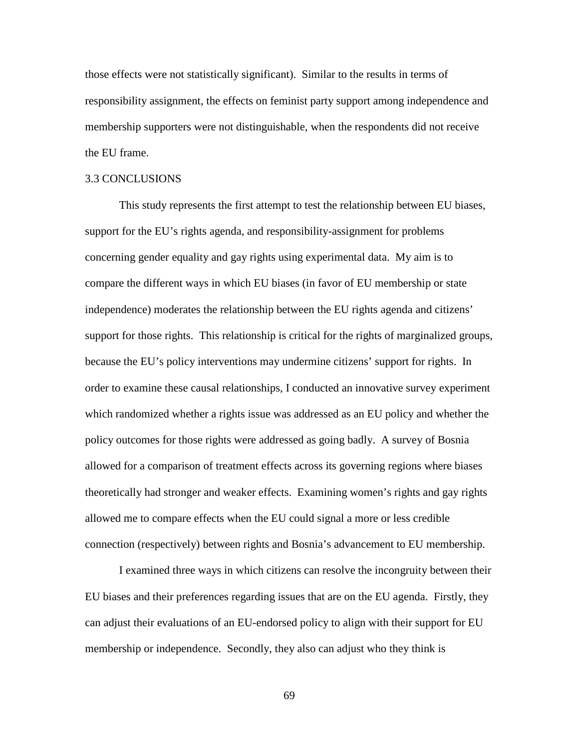those effects were not statistically significant). Similar to the results in terms of responsibility assignment, the effects on feminist party support among independence and membership supporters were not distinguishable, when the respondents did not receive the EU frame.

#### 3.3 CONCLUSIONS

This study represents the first attempt to test the relationship between EU biases, support for the EU's rights agenda, and responsibility-assignment for problems concerning gender equality and gay rights using experimental data. My aim is to compare the different ways in which EU biases (in favor of EU membership or state independence) moderates the relationship between the EU rights agenda and citizens' support for those rights. This relationship is critical for the rights of marginalized groups, because the EU's policy interventions may undermine citizens' support for rights. In order to examine these causal relationships, I conducted an innovative survey experiment which randomized whether a rights issue was addressed as an EU policy and whether the policy outcomes for those rights were addressed as going badly. A survey of Bosnia allowed for a comparison of treatment effects across its governing regions where biases theoretically had stronger and weaker effects. Examining women's rights and gay rights allowed me to compare effects when the EU could signal a more or less credible connection (respectively) between rights and Bosnia's advancement to EU membership.

I examined three ways in which citizens can resolve the incongruity between their EU biases and their preferences regarding issues that are on the EU agenda. Firstly, they can adjust their evaluations of an EU-endorsed policy to align with their support for EU membership or independence. Secondly, they also can adjust who they think is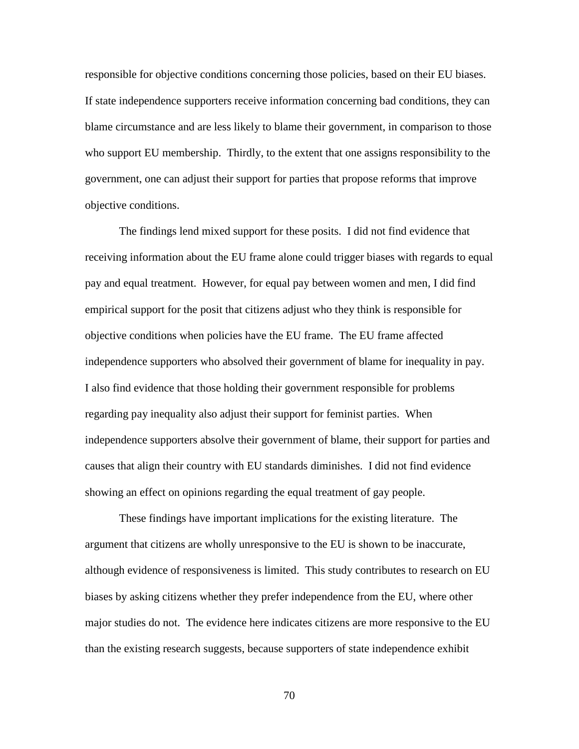responsible for objective conditions concerning those policies, based on their EU biases. If state independence supporters receive information concerning bad conditions, they can blame circumstance and are less likely to blame their government, in comparison to those who support EU membership. Thirdly, to the extent that one assigns responsibility to the government, one can adjust their support for parties that propose reforms that improve objective conditions.

The findings lend mixed support for these posits. I did not find evidence that receiving information about the EU frame alone could trigger biases with regards to equal pay and equal treatment. However, for equal pay between women and men, I did find empirical support for the posit that citizens adjust who they think is responsible for objective conditions when policies have the EU frame. The EU frame affected independence supporters who absolved their government of blame for inequality in pay. I also find evidence that those holding their government responsible for problems regarding pay inequality also adjust their support for feminist parties. When independence supporters absolve their government of blame, their support for parties and causes that align their country with EU standards diminishes. I did not find evidence showing an effect on opinions regarding the equal treatment of gay people.

These findings have important implications for the existing literature. The argument that citizens are wholly unresponsive to the EU is shown to be inaccurate, although evidence of responsiveness is limited. This study contributes to research on EU biases by asking citizens whether they prefer independence from the EU, where other major studies do not. The evidence here indicates citizens are more responsive to the EU than the existing research suggests, because supporters of state independence exhibit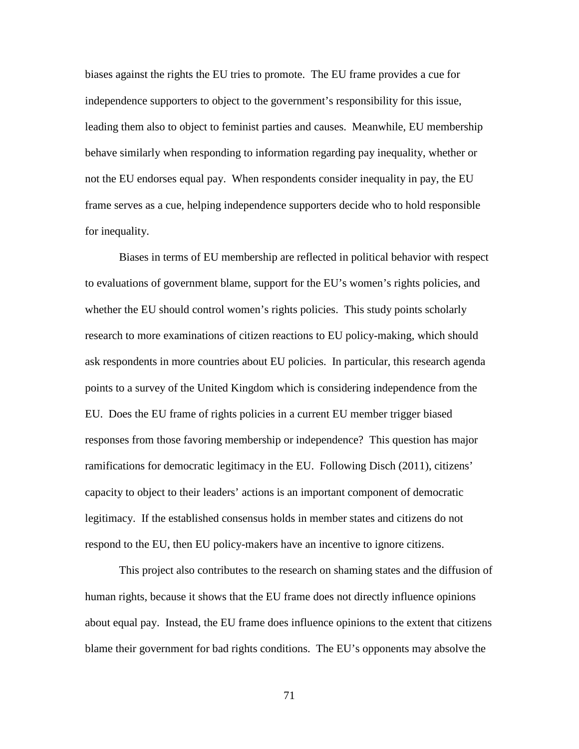biases against the rights the EU tries to promote. The EU frame provides a cue for independence supporters to object to the government's responsibility for this issue, leading them also to object to feminist parties and causes. Meanwhile, EU membership behave similarly when responding to information regarding pay inequality, whether or not the EU endorses equal pay. When respondents consider inequality in pay, the EU frame serves as a cue, helping independence supporters decide who to hold responsible for inequality.

Biases in terms of EU membership are reflected in political behavior with respect to evaluations of government blame, support for the EU's women's rights policies, and whether the EU should control women's rights policies. This study points scholarly research to more examinations of citizen reactions to EU policy-making, which should ask respondents in more countries about EU policies. In particular, this research agenda points to a survey of the United Kingdom which is considering independence from the EU. Does the EU frame of rights policies in a current EU member trigger biased responses from those favoring membership or independence? This question has major ramifications for democratic legitimacy in the EU. Following Disch (2011), citizens' capacity to object to their leaders' actions is an important component of democratic legitimacy. If the established consensus holds in member states and citizens do not respond to the EU, then EU policy-makers have an incentive to ignore citizens.

This project also contributes to the research on shaming states and the diffusion of human rights, because it shows that the EU frame does not directly influence opinions about equal pay. Instead, the EU frame does influence opinions to the extent that citizens blame their government for bad rights conditions. The EU's opponents may absolve the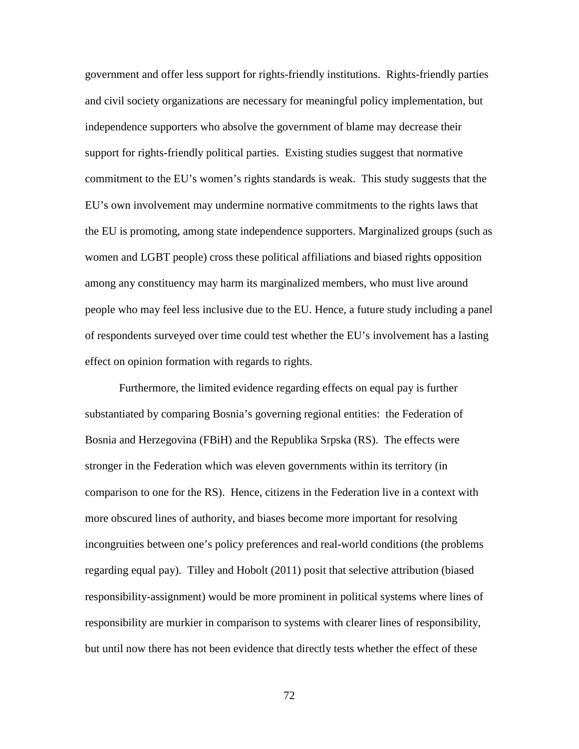government and offer less support for rights-friendly institutions. Rights-friendly parties and civil society organizations are necessary for meaningful policy implementation, but independence supporters who absolve the government of blame may decrease their support for rights-friendly political parties. Existing studies suggest that normative commitment to the EU's women's rights standards is weak. This study suggests that the EU's own involvement may undermine normative commitments to the rights laws that the EU is promoting, among state independence supporters. Marginalized groups (such as women and LGBT people) cross these political affiliations and biased rights opposition among any constituency may harm its marginalized members, who must live around people who may feel less inclusive due to the EU. Hence, a future study including a panel of respondents surveyed over time could test whether the EU's involvement has a lasting effect on opinion formation with regards to rights.

Furthermore, the limited evidence regarding effects on equal pay is further substantiated by comparing Bosnia's governing regional entities: the Federation of Bosnia and Herzegovina (FBiH) and the Republika Srpska (RS). The effects were stronger in the Federation which was eleven governments within its territory (in comparison to one for the RS). Hence, citizens in the Federation live in a context with more obscured lines of authority, and biases become more important for resolving incongruities between one's policy preferences and real-world conditions (the problems regarding equal pay). Tilley and Hobolt (2011) posit that selective attribution (biased responsibility-assignment) would be more prominent in political systems where lines of responsibility are murkier in comparison to systems with clearer lines of responsibility, but until now there has not been evidence that directly tests whether the effect of these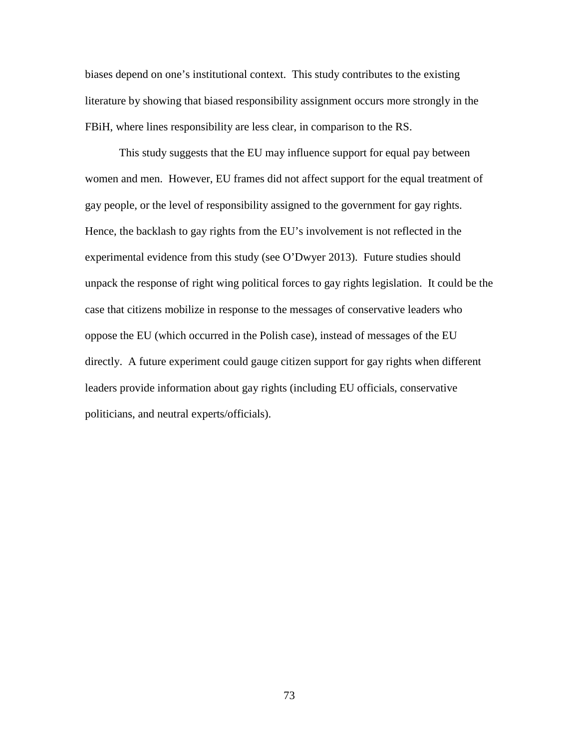biases depend on one's institutional context. This study contributes to the existing literature by showing that biased responsibility assignment occurs more strongly in the FBiH, where lines responsibility are less clear, in comparison to the RS.

This study suggests that the EU may influence support for equal pay between women and men. However, EU frames did not affect support for the equal treatment of gay people, or the level of responsibility assigned to the government for gay rights. Hence, the backlash to gay rights from the EU's involvement is not reflected in the experimental evidence from this study (see O'Dwyer 2013). Future studies should unpack the response of right wing political forces to gay rights legislation. It could be the case that citizens mobilize in response to the messages of conservative leaders who oppose the EU (which occurred in the Polish case), instead of messages of the EU directly. A future experiment could gauge citizen support for gay rights when different leaders provide information about gay rights (including EU officials, conservative politicians, and neutral experts/officials).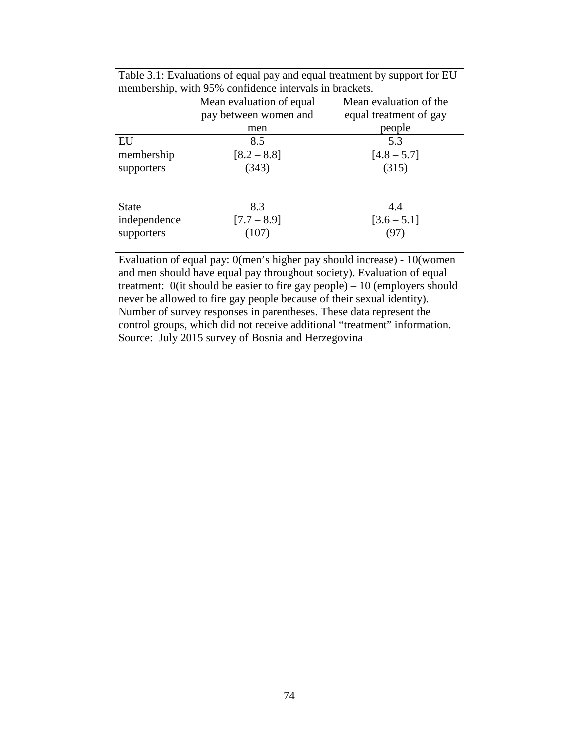|                                            | Mean evaluation of equal      | Mean evaluation of the      |
|--------------------------------------------|-------------------------------|-----------------------------|
|                                            | pay between women and         | equal treatment of gay      |
|                                            | men                           | people                      |
| EU                                         | 8.5                           | 5.3                         |
| membership                                 | $[8.2 - 8.8]$                 | $[4.8 - 5.7]$               |
| supporters                                 | (343)                         | (315)                       |
| <b>State</b><br>independence<br>supporters | 8.3<br>$[7.7 - 8.9]$<br>(107) | 4.4<br>$[3.6 - 5.1]$<br>′97 |

Table 3.1: Evaluations of equal pay and equal treatment by support for EU membership, with 95% confidence intervals in brackets.

Evaluation of equal pay: 0(men's higher pay should increase) - 10(women and men should have equal pay throughout society). Evaluation of equal treatment: 0(it should be easier to fire gay people) – 10 (employers should never be allowed to fire gay people because of their sexual identity). Number of survey responses in parentheses. These data represent the control groups, which did not receive additional "treatment" information. Source: July 2015 survey of Bosnia and Herzegovina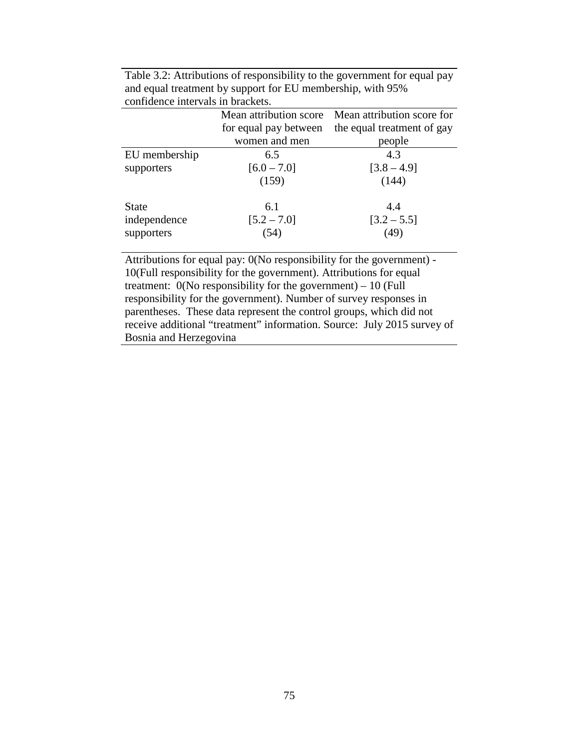|               |                       | Mean attribution score Mean attribution score for |
|---------------|-----------------------|---------------------------------------------------|
|               | for equal pay between | the equal treatment of gay                        |
|               | women and men         | people                                            |
| EU membership | 6.5                   | 4.3                                               |
| supporters    | $[6.0 - 7.0]$         | $[3.8 - 4.9]$                                     |
|               | (159)                 | (144)                                             |
| <b>State</b>  | 6.1                   | 4.4                                               |
| independence  | $[5.2 - 7.0]$         | $[3.2 - 5.5]$                                     |
| supporters    | (54)                  | (49)                                              |
|               |                       |                                                   |

Table 3.2: Attributions of responsibility to the government for equal pay and equal treatment by support for EU membership, with 95% confidence intervals in brackets.

Attributions for equal pay: 0(No responsibility for the government) - 10(Full responsibility for the government). Attributions for equal treatment:  $0$ (No responsibility for the government) – 10 (Full responsibility for the government). Number of survey responses in parentheses. These data represent the control groups, which did not receive additional "treatment" information. Source: July 2015 survey of Bosnia and Herzegovina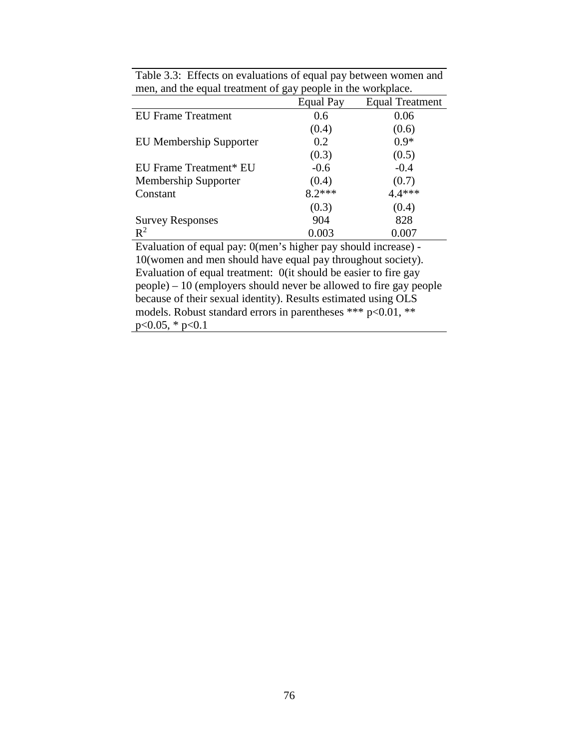|                                                                      | <b>Equal Pay</b> | <b>Equal Treatment</b> |  |  |
|----------------------------------------------------------------------|------------------|------------------------|--|--|
| <b>EU</b> Frame Treatment                                            | 0.6              | 0.06                   |  |  |
|                                                                      | (0.4)            | (0.6)                  |  |  |
| <b>EU Membership Supporter</b>                                       | 0.2              | $0.9*$                 |  |  |
|                                                                      | (0.3)            | (0.5)                  |  |  |
| EU Frame Treatment* EU                                               | $-0.6$           | $-0.4$                 |  |  |
| Membership Supporter                                                 | (0.4)            | (0.7)                  |  |  |
| Constant                                                             | $8.2***$         | 4.4 ***                |  |  |
|                                                                      | (0.3)            | (0.4)                  |  |  |
| <b>Survey Responses</b>                                              | 904              | 828                    |  |  |
| $\mathbb{R}^2$                                                       | 0.003            | 0.007                  |  |  |
| Evaluation of equal pay: 0(men's higher pay should increase) -       |                  |                        |  |  |
| 10 (women and men should have equal pay throughout society).         |                  |                        |  |  |
| Evaluation of equal treatment: O(it should be easier to fire gay     |                  |                        |  |  |
| $people) - 10$ (employers should never be allowed to fire gay people |                  |                        |  |  |
| because of their sexual identity). Results estimated using OLS       |                  |                        |  |  |
| models. Robust standard errors in parentheses *** $p<0.01$ ,<br>**   |                  |                        |  |  |

p<0.05, \* p<0.1

Table 3.3: Effects on evaluations of equal pay between women and men, and the equal treatment of gay people in the workplace.  $\overline{\phantom{a}}$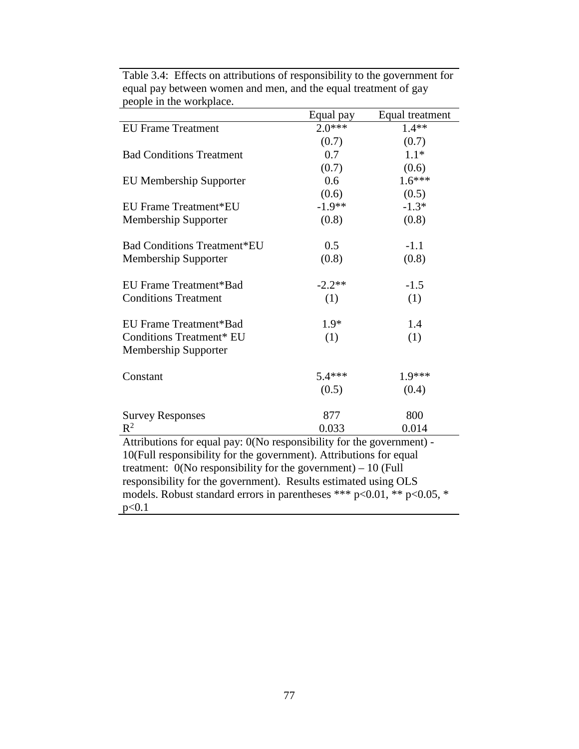|                                                                       | Equal pay | Equal treatment |  |  |
|-----------------------------------------------------------------------|-----------|-----------------|--|--|
| <b>EU Frame Treatment</b>                                             | $2.0***$  | $1.4**$         |  |  |
|                                                                       | (0.7)     | (0.7)           |  |  |
| <b>Bad Conditions Treatment</b>                                       | 0.7       | $1.1*$          |  |  |
|                                                                       | (0.7)     | (0.6)           |  |  |
| <b>EU Membership Supporter</b>                                        | 0.6       | $1.6***$        |  |  |
|                                                                       | (0.6)     | (0.5)           |  |  |
| EU Frame Treatment*EU                                                 | $-1.9**$  | $-1.3*$         |  |  |
| Membership Supporter                                                  | (0.8)     | (0.8)           |  |  |
| <b>Bad Conditions Treatment*EU</b>                                    | 0.5       | $-1.1$          |  |  |
| Membership Supporter                                                  | (0.8)     | (0.8)           |  |  |
| EU Frame Treatment*Bad                                                | $-2.2**$  | $-1.5$          |  |  |
| <b>Conditions Treatment</b>                                           | (1)       | (1)             |  |  |
|                                                                       | $1.9*$    | 1.4             |  |  |
| EU Frame Treatment*Bad                                                |           |                 |  |  |
| <b>Conditions Treatment* EU</b><br><b>Membership Supporter</b>        | (1)       | (1)             |  |  |
|                                                                       |           |                 |  |  |
| Constant                                                              | $5.4***$  | $1.9***$        |  |  |
|                                                                       | (0.5)     | (0.4)           |  |  |
| <b>Survey Responses</b>                                               | 877       | 800             |  |  |
| $R^2$                                                                 | 0.033     | 0.014           |  |  |
| Attributions for equal pay: 0(No responsibility for the government) - |           |                 |  |  |

Table 3.4: Effects on attributions of responsibility to the government for equal pay between women and men, and the equal treatment of gay people in the workplace.

Attributions for equal pay: 0(No responsibility for the government) - 10(Full responsibility for the government). Attributions for equal treatment:  $0$ (No responsibility for the government) – 10 (Full responsibility for the government). Results estimated using OLS models. Robust standard errors in parentheses \*\*\* p<0.01, \*\* p<0.05, \* p<0.1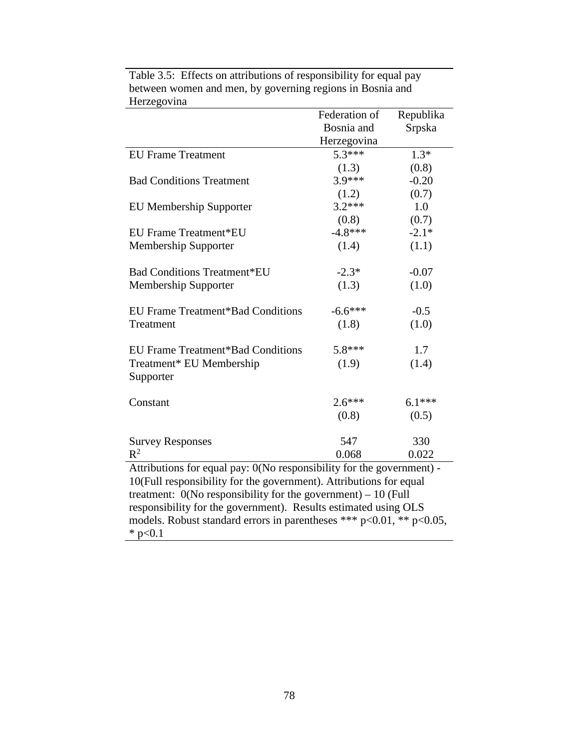| Bosnia and<br>Srpska                                                  |  |  |  |  |
|-----------------------------------------------------------------------|--|--|--|--|
| Herzegovina                                                           |  |  |  |  |
| $5.3***$<br>$1.3*$<br><b>EU Frame Treatment</b>                       |  |  |  |  |
| (1.3)<br>(0.8)                                                        |  |  |  |  |
| 3.9 ***<br>$-0.20$<br><b>Bad Conditions Treatment</b>                 |  |  |  |  |
| (0.7)<br>(1.2)                                                        |  |  |  |  |
| $3.2***$<br>1.0<br><b>EU Membership Supporter</b>                     |  |  |  |  |
| (0.8)<br>(0.7)                                                        |  |  |  |  |
| $-4.8***$<br>$-2.1*$<br>EU Frame Treatment*EU                         |  |  |  |  |
| (1.4)<br><b>Membership Supporter</b><br>(1.1)                         |  |  |  |  |
|                                                                       |  |  |  |  |
| <b>Bad Conditions Treatment*EU</b><br>$-2.3*$<br>$-0.07$              |  |  |  |  |
| (1.3)<br>Membership Supporter<br>(1.0)                                |  |  |  |  |
|                                                                       |  |  |  |  |
| $-6.6***$<br><b>EU Frame Treatment*Bad Conditions</b><br>$-0.5$       |  |  |  |  |
| (1.8)<br>(1.0)<br>Treatment                                           |  |  |  |  |
|                                                                       |  |  |  |  |
| 5.8***<br><b>EU Frame Treatment*Bad Conditions</b><br>1.7             |  |  |  |  |
| Treatment* EU Membership<br>(1.9)<br>(1.4)                            |  |  |  |  |
| Supporter                                                             |  |  |  |  |
|                                                                       |  |  |  |  |
| $2.6***$<br>$6.1***$<br>Constant                                      |  |  |  |  |
| (0.8)<br>(0.5)                                                        |  |  |  |  |
|                                                                       |  |  |  |  |
| 547<br>330<br><b>Survey Responses</b>                                 |  |  |  |  |
| $R^2$<br>0.068<br>0.022                                               |  |  |  |  |
| Attributions for equal pay: 0(No responsibility for the government) - |  |  |  |  |
| 10(Full responsibility for the government). Attributions for equal    |  |  |  |  |
| treatment: $0$ (No responsibility for the government) – 10 (Full      |  |  |  |  |
| responsibility for the government). Results estimated using OLS       |  |  |  |  |
| models. Robust standard errors in parentheses *** p<0.01, ** p<0.05,  |  |  |  |  |
| * $p<0.1$                                                             |  |  |  |  |

Table 3.5: Effects on attributions of responsibility for equal pay between women and men, by governing regions in Bosnia and Herzegovina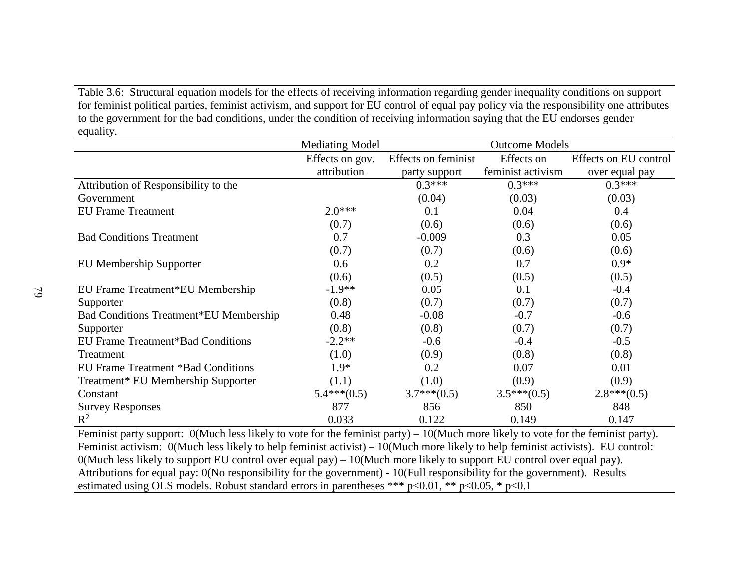Table 3.6: Structural equation models for the effects of receiving information regarding gender inequality conditions on support for feminist political parties, feminist activism, and support for EU control of equal pay policy via the responsibility one attributes to the government for the bad conditions, under the condition of receiving information saying that the EU endorses gender equality.

|                                               | <b>Mediating Model</b> | <b>Outcome Models</b> |                   |                       |
|-----------------------------------------------|------------------------|-----------------------|-------------------|-----------------------|
|                                               | Effects on gov.        | Effects on feminist   | Effects on        | Effects on EU control |
|                                               | attribution            | party support         | feminist activism | over equal pay        |
| Attribution of Responsibility to the          |                        | $0.3***$              | $0.3***$          | $0.3***$              |
| Government                                    |                        | (0.04)                | (0.03)            | (0.03)                |
| <b>EU Frame Treatment</b>                     | $2.0***$               | 0.1                   | 0.04              | 0.4                   |
|                                               | (0.7)                  | (0.6)                 | (0.6)             | (0.6)                 |
| <b>Bad Conditions Treatment</b>               | 0.7                    | $-0.009$              | 0.3               | 0.05                  |
|                                               | (0.7)                  | (0.7)                 | (0.6)             | (0.6)                 |
| <b>EU Membership Supporter</b>                | 0.6                    | 0.2                   | 0.7               | $0.9*$                |
|                                               | (0.6)                  | (0.5)                 | (0.5)             | (0.5)                 |
| EU Frame Treatment*EU Membership              | $-1.9**$               | 0.05                  | 0.1               | $-0.4$                |
| Supporter                                     | (0.8)                  | (0.7)                 | (0.7)             | (0.7)                 |
| <b>Bad Conditions Treatment*EU Membership</b> | 0.48                   | $-0.08$               | $-0.7$            | $-0.6$                |
| Supporter                                     | (0.8)                  | (0.8)                 | (0.7)             | (0.7)                 |
| <b>EU Frame Treatment*Bad Conditions</b>      | $-2.2**$               | $-0.6$                | $-0.4$            | $-0.5$                |
| Treatment                                     | (1.0)                  | (0.9)                 | (0.8)             | (0.8)                 |
| EU Frame Treatment *Bad Conditions            | $1.9*$                 | 0.2                   | 0.07              | 0.01                  |
| Treatment* EU Membership Supporter            | (1.1)                  | (1.0)                 | (0.9)             | (0.9)                 |
| Constant                                      | $5.4***(0.5)$          | $3.7***(0.5)$         | $3.5***(0.5)$     | $2.8***(0.5)$         |
| <b>Survey Responses</b>                       | 877                    | 856                   | 850               | 848                   |
| $\mathbb{R}^2$                                | 0.033                  | 0.122                 | 0.149             | 0.147                 |

Feminist party support: 0(Much less likely to vote for the feminist party) – 10(Much more likely to vote for the feminist party). Feminist activism: 0(Much less likely to help feminist activist) – 10(Much more likely to help feminist activists). EU control: 0(Much less likely to support EU control over equal pay) – 10(Much more likely to support EU control over equal pay). Attributions for equal pay: 0(No responsibility for the government) - 10(Full responsibility for the government). Results estimated using OLS models. Robust standard errors in parentheses \*\*\* p<0.01, \*\* p<0.05, \* p<0.1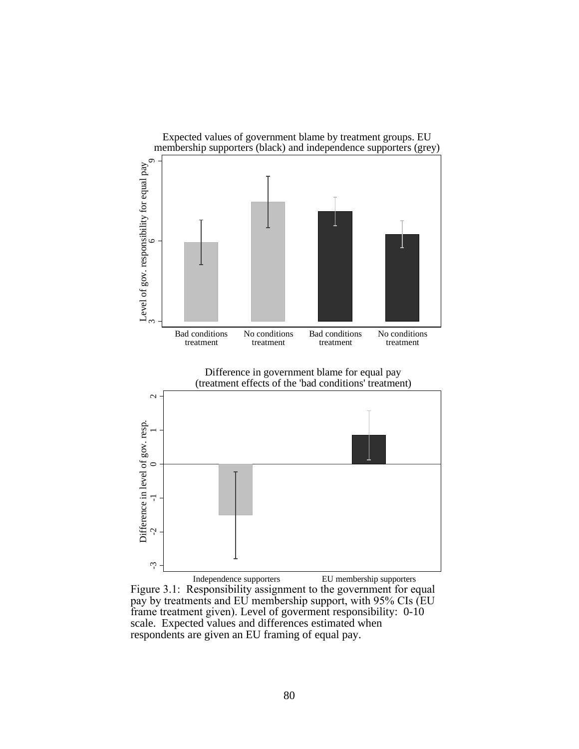

Independence supporters EU membership supporters Figure 3.1: Responsibility assignment to the government for equal pay by treatments and EU membership support, with 95% CIs (EU frame treatment given). Level of goverment responsibility: 0-10 scale. Expected values and differences estimated when respondents are given an EU framing of equal pay.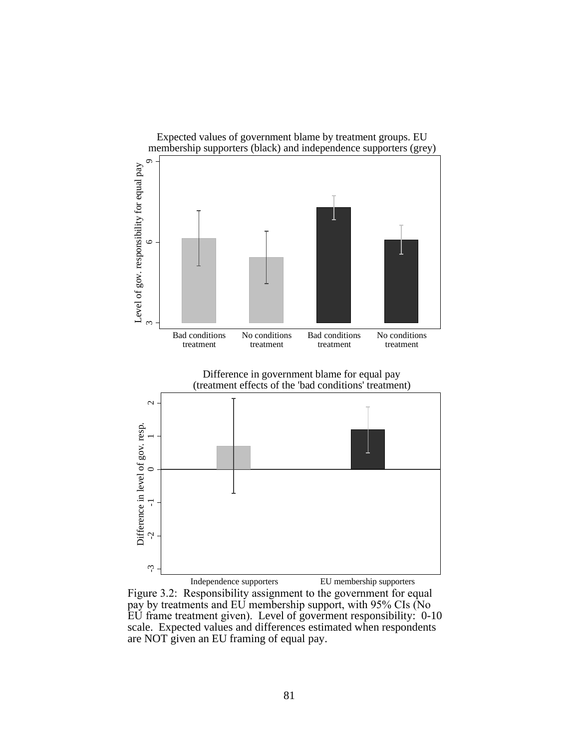

Figure 3.2: Responsibility assignment to the government for equal pay by treatments and EU membership support, with 95% CIs (No EU frame treatment given). Level of goverment responsibility: 0-10 scale. Expected values and differences estimated when respondents are NOT given an EU framing of equal pay.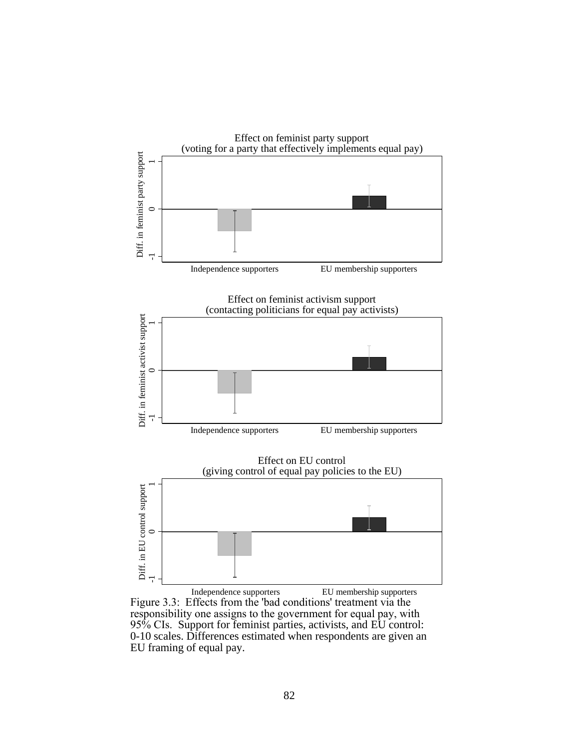

Figure 3.3: Effects from the 'bad conditions' treatment via the responsibility one assigns to the government for equal pay, with 95% CIs. Support for feminist parties, activists, and EU control: 0-10 scales. Differences estimated when respondents are given an EU framing of equal pay.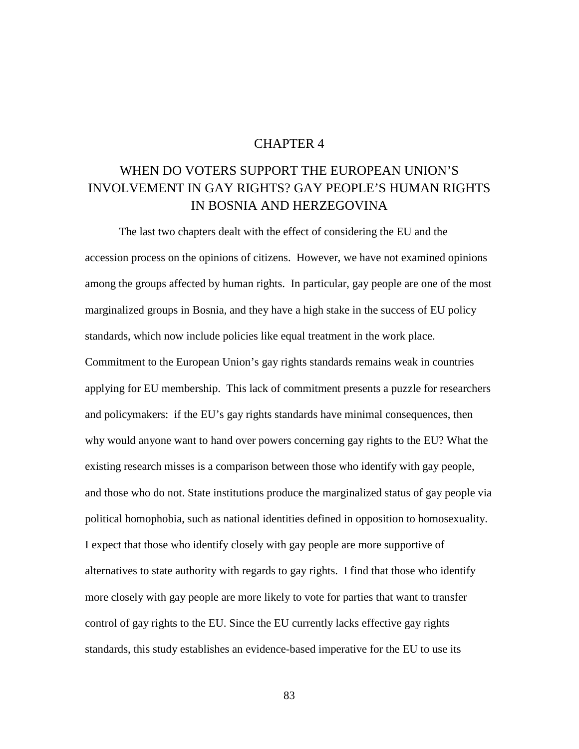## CHAPTER 4

# WHEN DO VOTERS SUPPORT THE EUROPEAN UNION'S INVOLVEMENT IN GAY RIGHTS? GAY PEOPLE'S HUMAN RIGHTS IN BOSNIA AND HERZEGOVINA

The last two chapters dealt with the effect of considering the EU and the accession process on the opinions of citizens. However, we have not examined opinions among the groups affected by human rights. In particular, gay people are one of the most marginalized groups in Bosnia, and they have a high stake in the success of EU policy standards, which now include policies like equal treatment in the work place. Commitment to the European Union's gay rights standards remains weak in countries applying for EU membership. This lack of commitment presents a puzzle for researchers and policymakers: if the EU's gay rights standards have minimal consequences, then why would anyone want to hand over powers concerning gay rights to the EU? What the existing research misses is a comparison between those who identify with gay people, and those who do not. State institutions produce the marginalized status of gay people via political homophobia, such as national identities defined in opposition to homosexuality. I expect that those who identify closely with gay people are more supportive of alternatives to state authority with regards to gay rights. I find that those who identify more closely with gay people are more likely to vote for parties that want to transfer control of gay rights to the EU. Since the EU currently lacks effective gay rights standards, this study establishes an evidence-based imperative for the EU to use its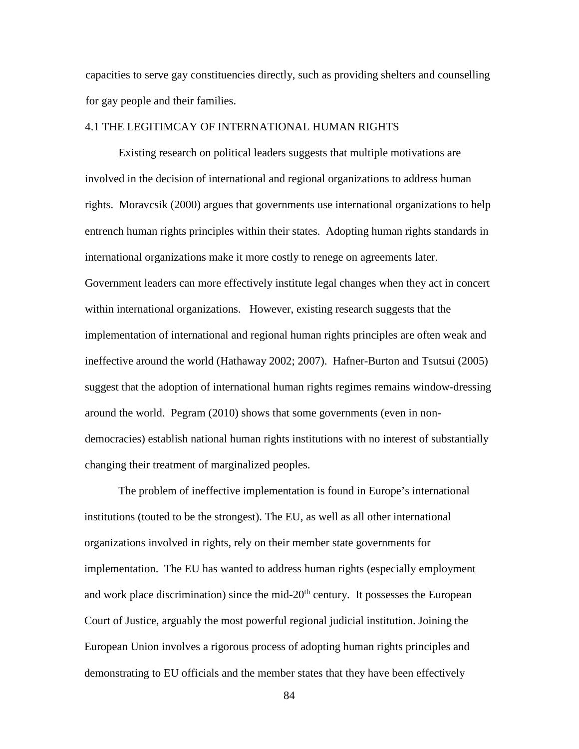capacities to serve gay constituencies directly, such as providing shelters and counselling for gay people and their families.

## 4.1 THE LEGITIMCAY OF INTERNATIONAL HUMAN RIGHTS

Existing research on political leaders suggests that multiple motivations are involved in the decision of international and regional organizations to address human rights. Moravcsik (2000) argues that governments use international organizations to help entrench human rights principles within their states. Adopting human rights standards in international organizations make it more costly to renege on agreements later. Government leaders can more effectively institute legal changes when they act in concert within international organizations. However, existing research suggests that the implementation of international and regional human rights principles are often weak and ineffective around the world (Hathaway 2002; 2007). Hafner-Burton and Tsutsui (2005) suggest that the adoption of international human rights regimes remains window-dressing around the world. Pegram (2010) shows that some governments (even in nondemocracies) establish national human rights institutions with no interest of substantially changing their treatment of marginalized peoples.

The problem of ineffective implementation is found in Europe's international institutions (touted to be the strongest). The EU, as well as all other international organizations involved in rights, rely on their member state governments for implementation. The EU has wanted to address human rights (especially employment and work place discrimination) since the mid- $20<sup>th</sup>$  century. It possesses the European Court of Justice, arguably the most powerful regional judicial institution. Joining the European Union involves a rigorous process of adopting human rights principles and demonstrating to EU officials and the member states that they have been effectively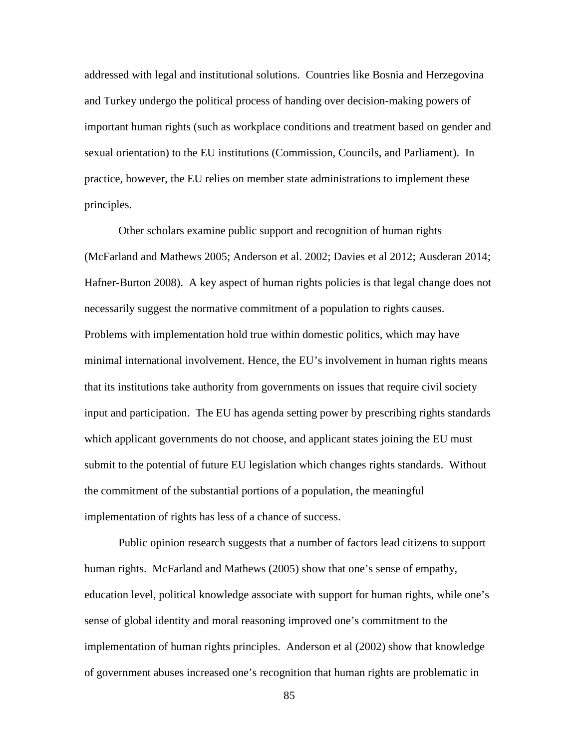addressed with legal and institutional solutions. Countries like Bosnia and Herzegovina and Turkey undergo the political process of handing over decision-making powers of important human rights (such as workplace conditions and treatment based on gender and sexual orientation) to the EU institutions (Commission, Councils, and Parliament). In practice, however, the EU relies on member state administrations to implement these principles.

Other scholars examine public support and recognition of human rights (McFarland and Mathews 2005; Anderson et al. 2002; Davies et al 2012; Ausderan 2014; Hafner-Burton 2008). A key aspect of human rights policies is that legal change does not necessarily suggest the normative commitment of a population to rights causes. Problems with implementation hold true within domestic politics, which may have minimal international involvement. Hence, the EU's involvement in human rights means that its institutions take authority from governments on issues that require civil society input and participation. The EU has agenda setting power by prescribing rights standards which applicant governments do not choose, and applicant states joining the EU must submit to the potential of future EU legislation which changes rights standards. Without the commitment of the substantial portions of a population, the meaningful implementation of rights has less of a chance of success.

Public opinion research suggests that a number of factors lead citizens to support human rights. McFarland and Mathews (2005) show that one's sense of empathy, education level, political knowledge associate with support for human rights, while one's sense of global identity and moral reasoning improved one's commitment to the implementation of human rights principles. Anderson et al (2002) show that knowledge of government abuses increased one's recognition that human rights are problematic in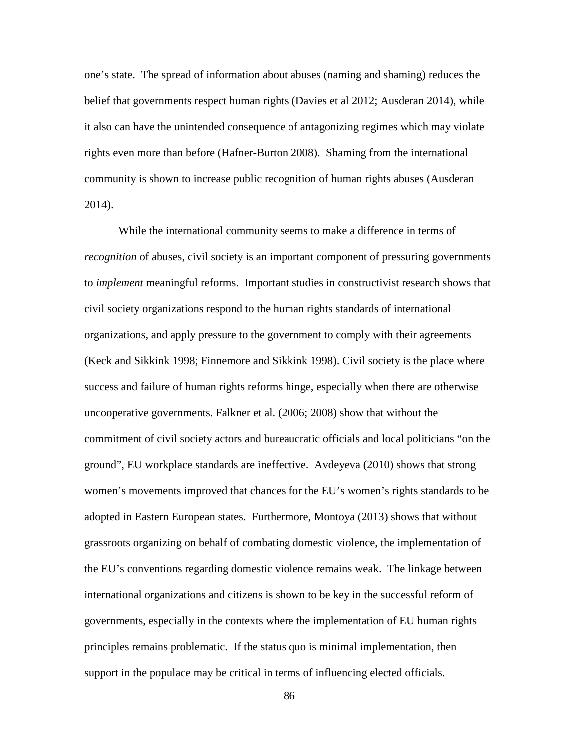one's state. The spread of information about abuses (naming and shaming) reduces the belief that governments respect human rights (Davies et al 2012; Ausderan 2014), while it also can have the unintended consequence of antagonizing regimes which may violate rights even more than before (Hafner-Burton 2008). Shaming from the international community is shown to increase public recognition of human rights abuses (Ausderan 2014).

While the international community seems to make a difference in terms of *recognition* of abuses, civil society is an important component of pressuring governments to *implement* meaningful reforms. Important studies in constructivist research shows that civil society organizations respond to the human rights standards of international organizations, and apply pressure to the government to comply with their agreements (Keck and Sikkink 1998; Finnemore and Sikkink 1998). Civil society is the place where success and failure of human rights reforms hinge, especially when there are otherwise uncooperative governments. Falkner et al. (2006; 2008) show that without the commitment of civil society actors and bureaucratic officials and local politicians "on the ground", EU workplace standards are ineffective. Avdeyeva (2010) shows that strong women's movements improved that chances for the EU's women's rights standards to be adopted in Eastern European states. Furthermore, Montoya (2013) shows that without grassroots organizing on behalf of combating domestic violence, the implementation of the EU's conventions regarding domestic violence remains weak. The linkage between international organizations and citizens is shown to be key in the successful reform of governments, especially in the contexts where the implementation of EU human rights principles remains problematic. If the status quo is minimal implementation, then support in the populace may be critical in terms of influencing elected officials.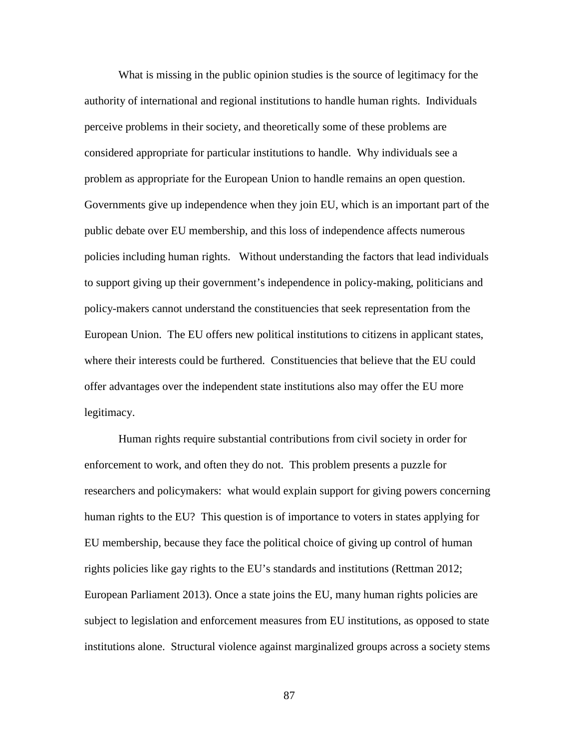What is missing in the public opinion studies is the source of legitimacy for the authority of international and regional institutions to handle human rights. Individuals perceive problems in their society, and theoretically some of these problems are considered appropriate for particular institutions to handle. Why individuals see a problem as appropriate for the European Union to handle remains an open question. Governments give up independence when they join EU, which is an important part of the public debate over EU membership, and this loss of independence affects numerous policies including human rights. Without understanding the factors that lead individuals to support giving up their government's independence in policy-making, politicians and policy-makers cannot understand the constituencies that seek representation from the European Union. The EU offers new political institutions to citizens in applicant states, where their interests could be furthered. Constituencies that believe that the EU could offer advantages over the independent state institutions also may offer the EU more legitimacy.

Human rights require substantial contributions from civil society in order for enforcement to work, and often they do not. This problem presents a puzzle for researchers and policymakers: what would explain support for giving powers concerning human rights to the EU? This question is of importance to voters in states applying for EU membership, because they face the political choice of giving up control of human rights policies like gay rights to the EU's standards and institutions (Rettman 2012; European Parliament 2013). Once a state joins the EU, many human rights policies are subject to legislation and enforcement measures from EU institutions, as opposed to state institutions alone. Structural violence against marginalized groups across a society stems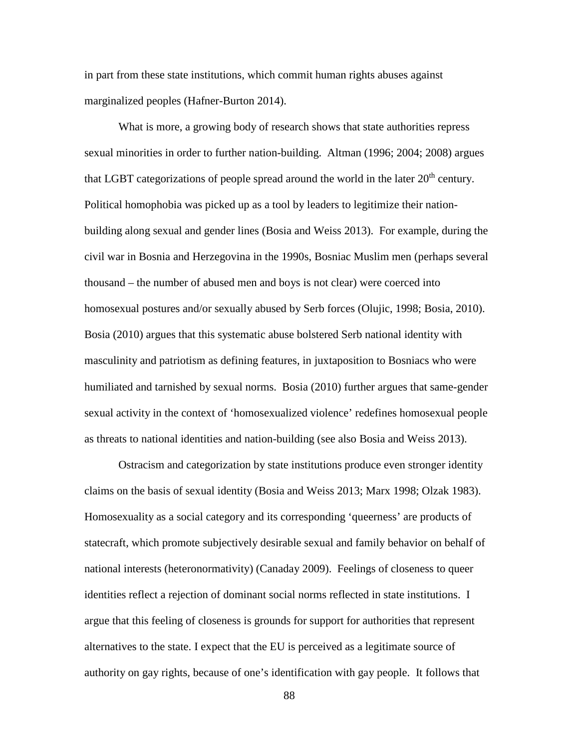in part from these state institutions, which commit human rights abuses against marginalized peoples (Hafner-Burton 2014).

What is more, a growing body of research shows that state authorities repress sexual minorities in order to further nation-building. Altman (1996; 2004; 2008) argues that LGBT categorizations of people spread around the world in the later  $20<sup>th</sup>$  century. Political homophobia was picked up as a tool by leaders to legitimize their nationbuilding along sexual and gender lines (Bosia and Weiss 2013). For example, during the civil war in Bosnia and Herzegovina in the 1990s, Bosniac Muslim men (perhaps several thousand – the number of abused men and boys is not clear) were coerced into homosexual postures and/or sexually abused by Serb forces (Olujic, 1998; Bosia, 2010). Bosia (2010) argues that this systematic abuse bolstered Serb national identity with masculinity and patriotism as defining features, in juxtaposition to Bosniacs who were humiliated and tarnished by sexual norms. Bosia (2010) further argues that same-gender sexual activity in the context of 'homosexualized violence' redefines homosexual people as threats to national identities and nation-building (see also Bosia and Weiss 2013).

Ostracism and categorization by state institutions produce even stronger identity claims on the basis of sexual identity (Bosia and Weiss 2013; Marx 1998; Olzak 1983). Homosexuality as a social category and its corresponding 'queerness' are products of statecraft, which promote subjectively desirable sexual and family behavior on behalf of national interests (heteronormativity) (Canaday 2009). Feelings of closeness to queer identities reflect a rejection of dominant social norms reflected in state institutions. I argue that this feeling of closeness is grounds for support for authorities that represent alternatives to the state. I expect that the EU is perceived as a legitimate source of authority on gay rights, because of one's identification with gay people. It follows that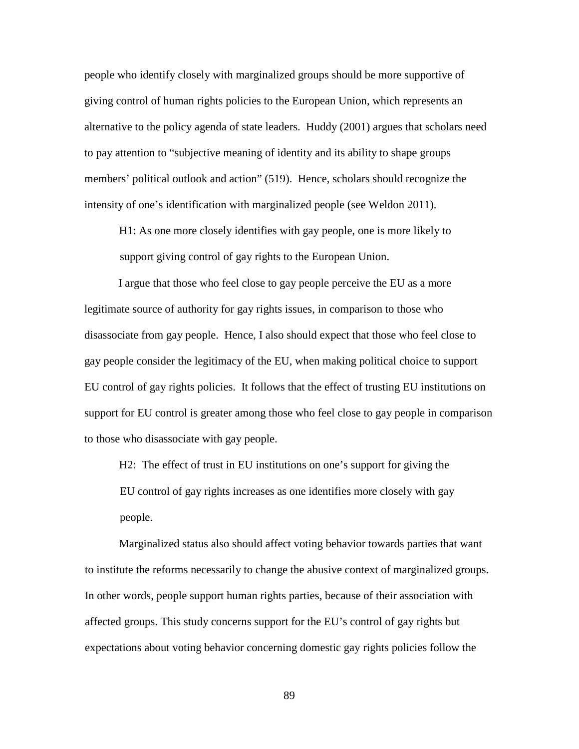people who identify closely with marginalized groups should be more supportive of giving control of human rights policies to the European Union, which represents an alternative to the policy agenda of state leaders. Huddy (2001) argues that scholars need to pay attention to "subjective meaning of identity and its ability to shape groups members' political outlook and action" (519). Hence, scholars should recognize the intensity of one's identification with marginalized people (see Weldon 2011).

H1: As one more closely identifies with gay people, one is more likely to support giving control of gay rights to the European Union.

I argue that those who feel close to gay people perceive the EU as a more legitimate source of authority for gay rights issues, in comparison to those who disassociate from gay people. Hence, I also should expect that those who feel close to gay people consider the legitimacy of the EU, when making political choice to support EU control of gay rights policies. It follows that the effect of trusting EU institutions on support for EU control is greater among those who feel close to gay people in comparison to those who disassociate with gay people.

H2: The effect of trust in EU institutions on one's support for giving the EU control of gay rights increases as one identifies more closely with gay people.

Marginalized status also should affect voting behavior towards parties that want to institute the reforms necessarily to change the abusive context of marginalized groups. In other words, people support human rights parties, because of their association with affected groups. This study concerns support for the EU's control of gay rights but expectations about voting behavior concerning domestic gay rights policies follow the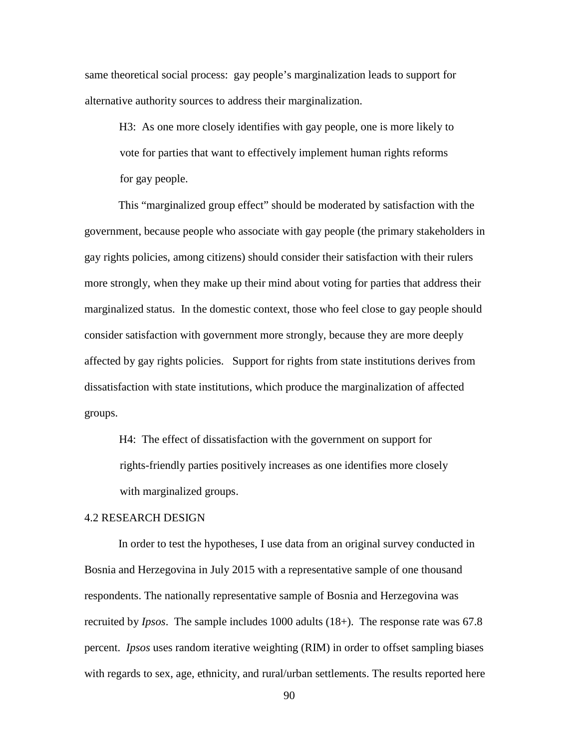same theoretical social process: gay people's marginalization leads to support for alternative authority sources to address their marginalization.

H3: As one more closely identifies with gay people, one is more likely to vote for parties that want to effectively implement human rights reforms for gay people.

This "marginalized group effect" should be moderated by satisfaction with the government, because people who associate with gay people (the primary stakeholders in gay rights policies, among citizens) should consider their satisfaction with their rulers more strongly, when they make up their mind about voting for parties that address their marginalized status. In the domestic context, those who feel close to gay people should consider satisfaction with government more strongly, because they are more deeply affected by gay rights policies. Support for rights from state institutions derives from dissatisfaction with state institutions, which produce the marginalization of affected groups.

H4: The effect of dissatisfaction with the government on support for rights-friendly parties positively increases as one identifies more closely with marginalized groups.

#### 4.2 RESEARCH DESIGN

In order to test the hypotheses, I use data from an original survey conducted in Bosnia and Herzegovina in July 2015 with a representative sample of one thousand respondents. The nationally representative sample of Bosnia and Herzegovina was recruited by *Ipsos*. The sample includes 1000 adults (18+). The response rate was 67.8 percent. *Ipsos* uses random iterative weighting (RIM) in order to offset sampling biases with regards to sex, age, ethnicity, and rural/urban settlements. The results reported here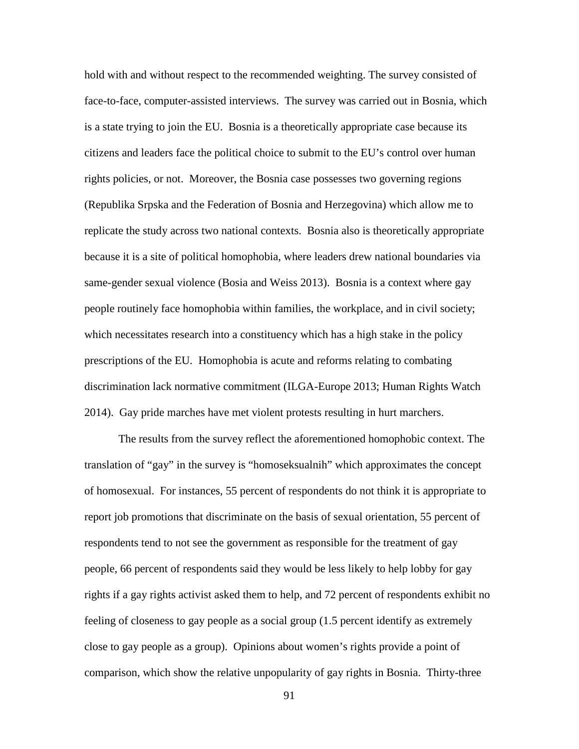hold with and without respect to the recommended weighting. The survey consisted of face-to-face, computer-assisted interviews. The survey was carried out in Bosnia, which is a state trying to join the EU. Bosnia is a theoretically appropriate case because its citizens and leaders face the political choice to submit to the EU's control over human rights policies, or not. Moreover, the Bosnia case possesses two governing regions (Republika Srpska and the Federation of Bosnia and Herzegovina) which allow me to replicate the study across two national contexts. Bosnia also is theoretically appropriate because it is a site of political homophobia, where leaders drew national boundaries via same-gender sexual violence (Bosia and Weiss 2013). Bosnia is a context where gay people routinely face homophobia within families, the workplace, and in civil society; which necessitates research into a constituency which has a high stake in the policy prescriptions of the EU. Homophobia is acute and reforms relating to combating discrimination lack normative commitment (ILGA-Europe 2013; Human Rights Watch 2014). Gay pride marches have met violent protests resulting in hurt marchers.

The results from the survey reflect the aforementioned homophobic context. The translation of "gay" in the survey is "homoseksualnih" which approximates the concept of homosexual. For instances, 55 percent of respondents do not think it is appropriate to report job promotions that discriminate on the basis of sexual orientation, 55 percent of respondents tend to not see the government as responsible for the treatment of gay people, 66 percent of respondents said they would be less likely to help lobby for gay rights if a gay rights activist asked them to help, and 72 percent of respondents exhibit no feeling of closeness to gay people as a social group (1.5 percent identify as extremely close to gay people as a group). Opinions about women's rights provide a point of comparison, which show the relative unpopularity of gay rights in Bosnia. Thirty-three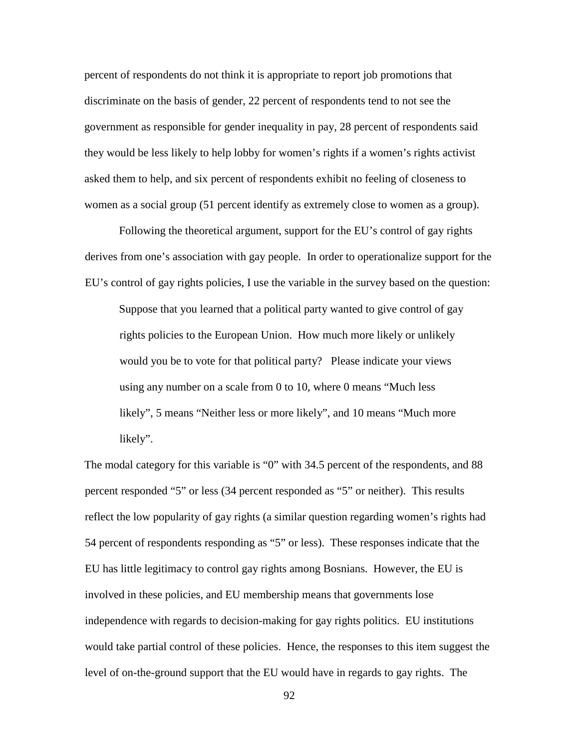percent of respondents do not think it is appropriate to report job promotions that discriminate on the basis of gender, 22 percent of respondents tend to not see the government as responsible for gender inequality in pay, 28 percent of respondents said they would be less likely to help lobby for women's rights if a women's rights activist asked them to help, and six percent of respondents exhibit no feeling of closeness to women as a social group (51 percent identify as extremely close to women as a group).

Following the theoretical argument, support for the EU's control of gay rights derives from one's association with gay people. In order to operationalize support for the EU's control of gay rights policies, I use the variable in the survey based on the question:

Suppose that you learned that a political party wanted to give control of gay rights policies to the European Union. How much more likely or unlikely would you be to vote for that political party? Please indicate your views using any number on a scale from 0 to 10, where 0 means "Much less likely", 5 means "Neither less or more likely", and 10 means "Much more likely".

The modal category for this variable is "0" with 34.5 percent of the respondents, and 88 percent responded "5" or less (34 percent responded as "5" or neither). This results reflect the low popularity of gay rights (a similar question regarding women's rights had 54 percent of respondents responding as "5" or less). These responses indicate that the EU has little legitimacy to control gay rights among Bosnians. However, the EU is involved in these policies, and EU membership means that governments lose independence with regards to decision-making for gay rights politics. EU institutions would take partial control of these policies. Hence, the responses to this item suggest the level of on-the-ground support that the EU would have in regards to gay rights. The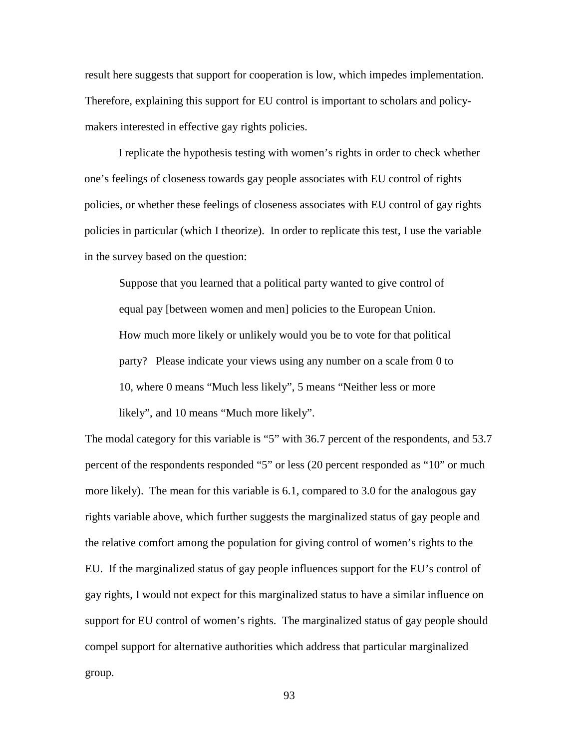result here suggests that support for cooperation is low, which impedes implementation. Therefore, explaining this support for EU control is important to scholars and policymakers interested in effective gay rights policies.

I replicate the hypothesis testing with women's rights in order to check whether one's feelings of closeness towards gay people associates with EU control of rights policies, or whether these feelings of closeness associates with EU control of gay rights policies in particular (which I theorize). In order to replicate this test, I use the variable in the survey based on the question:

Suppose that you learned that a political party wanted to give control of equal pay [between women and men] policies to the European Union. How much more likely or unlikely would you be to vote for that political party? Please indicate your views using any number on a scale from 0 to 10, where 0 means "Much less likely", 5 means "Neither less or more likely", and 10 means "Much more likely".

The modal category for this variable is "5" with 36.7 percent of the respondents, and 53.7 percent of the respondents responded "5" or less (20 percent responded as "10" or much more likely). The mean for this variable is 6.1, compared to 3.0 for the analogous gay rights variable above, which further suggests the marginalized status of gay people and the relative comfort among the population for giving control of women's rights to the EU. If the marginalized status of gay people influences support for the EU's control of gay rights, I would not expect for this marginalized status to have a similar influence on support for EU control of women's rights. The marginalized status of gay people should compel support for alternative authorities which address that particular marginalized group.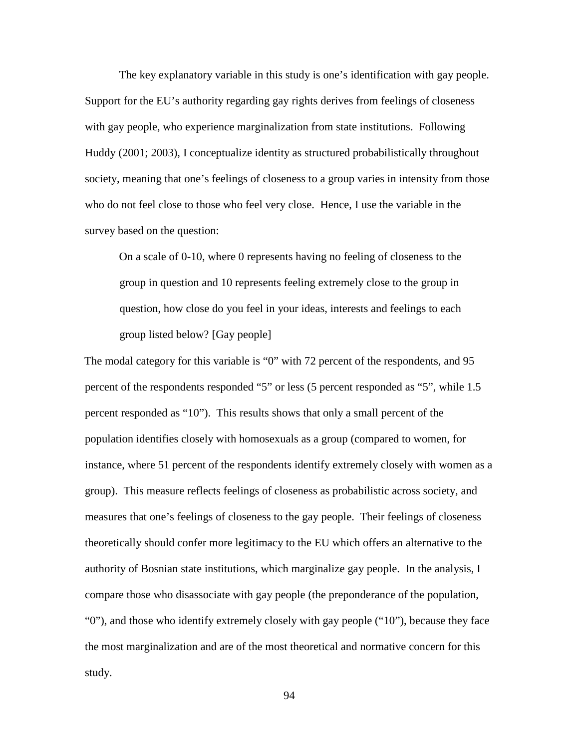The key explanatory variable in this study is one's identification with gay people. Support for the EU's authority regarding gay rights derives from feelings of closeness with gay people, who experience marginalization from state institutions. Following Huddy (2001; 2003), I conceptualize identity as structured probabilistically throughout society, meaning that one's feelings of closeness to a group varies in intensity from those who do not feel close to those who feel very close. Hence, I use the variable in the survey based on the question:

On a scale of 0-10, where 0 represents having no feeling of closeness to the group in question and 10 represents feeling extremely close to the group in question, how close do you feel in your ideas, interests and feelings to each group listed below? [Gay people]

The modal category for this variable is "0" with 72 percent of the respondents, and 95 percent of the respondents responded "5" or less (5 percent responded as "5", while 1.5 percent responded as "10"). This results shows that only a small percent of the population identifies closely with homosexuals as a group (compared to women, for instance, where 51 percent of the respondents identify extremely closely with women as a group). This measure reflects feelings of closeness as probabilistic across society, and measures that one's feelings of closeness to the gay people. Their feelings of closeness theoretically should confer more legitimacy to the EU which offers an alternative to the authority of Bosnian state institutions, which marginalize gay people. In the analysis, I compare those who disassociate with gay people (the preponderance of the population, "0"), and those who identify extremely closely with gay people ("10"), because they face the most marginalization and are of the most theoretical and normative concern for this study.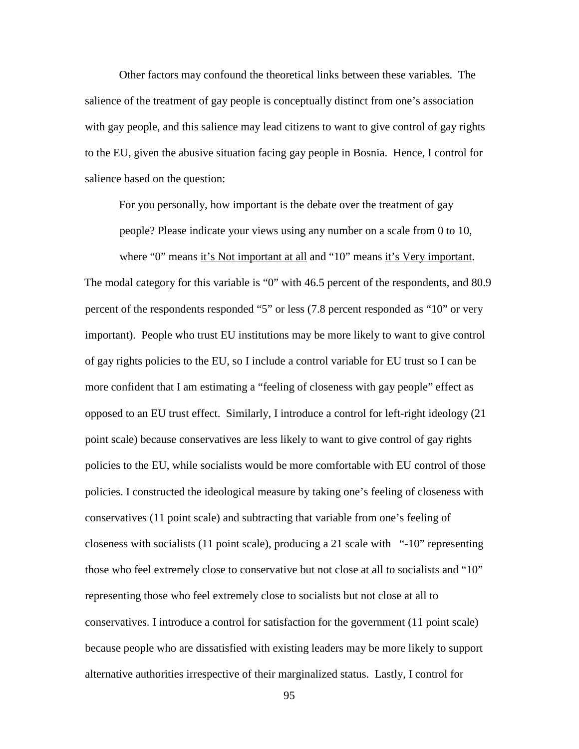Other factors may confound the theoretical links between these variables. The salience of the treatment of gay people is conceptually distinct from one's association with gay people, and this salience may lead citizens to want to give control of gay rights to the EU, given the abusive situation facing gay people in Bosnia. Hence, I control for salience based on the question:

For you personally, how important is the debate over the treatment of gay

people? Please indicate your views using any number on a scale from 0 to 10, where "0" means it's Not important at all and "10" means it's Very important. The modal category for this variable is "0" with 46.5 percent of the respondents, and 80.9 percent of the respondents responded "5" or less (7.8 percent responded as "10" or very important). People who trust EU institutions may be more likely to want to give control of gay rights policies to the EU, so I include a control variable for EU trust so I can be more confident that I am estimating a "feeling of closeness with gay people" effect as opposed to an EU trust effect. Similarly, I introduce a control for left-right ideology (21 point scale) because conservatives are less likely to want to give control of gay rights policies to the EU, while socialists would be more comfortable with EU control of those policies. I constructed the ideological measure by taking one's feeling of closeness with conservatives (11 point scale) and subtracting that variable from one's feeling of closeness with socialists (11 point scale), producing a 21 scale with "-10" representing those who feel extremely close to conservative but not close at all to socialists and "10" representing those who feel extremely close to socialists but not close at all to conservatives. I introduce a control for satisfaction for the government (11 point scale) because people who are dissatisfied with existing leaders may be more likely to support alternative authorities irrespective of their marginalized status. Lastly, I control for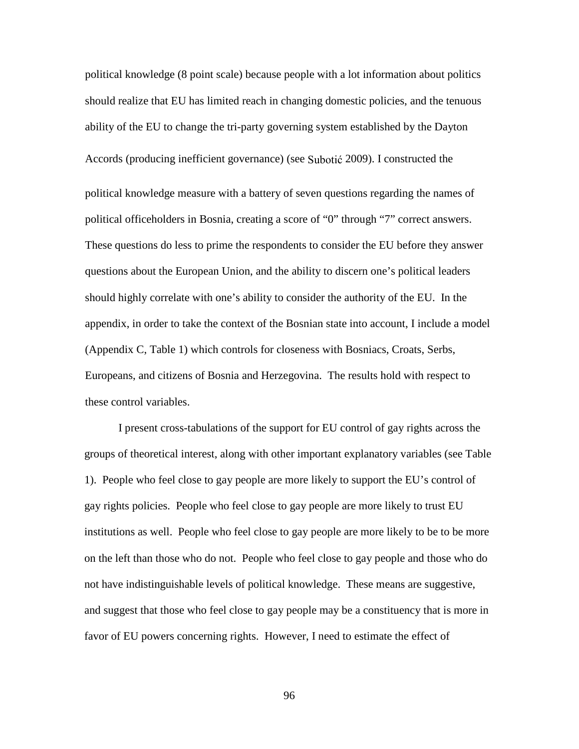political knowledge (8 point scale) because people with a lot information about politics should realize that EU has limited reach in changing domestic policies, and the tenuous ability of the EU to change the tri-party governing system established by the Dayton Accords (producing inefficient governance) (see Subotić 2009). I constructed the political knowledge measure with a battery of seven questions regarding the names of political officeholders in Bosnia, creating a score of "0" through "7" correct answers. These questions do less to prime the respondents to consider the EU before they answer questions about the European Union, and the ability to discern one's political leaders should highly correlate with one's ability to consider the authority of the EU. In the appendix, in order to take the context of the Bosnian state into account, I include a model (Appendix C, Table 1) which controls for closeness with Bosniacs, Croats, Serbs, Europeans, and citizens of Bosnia and Herzegovina. The results hold with respect to these control variables.

I present cross-tabulations of the support for EU control of gay rights across the groups of theoretical interest, along with other important explanatory variables (see Table 1). People who feel close to gay people are more likely to support the EU's control of gay rights policies. People who feel close to gay people are more likely to trust EU institutions as well. People who feel close to gay people are more likely to be to be more on the left than those who do not. People who feel close to gay people and those who do not have indistinguishable levels of political knowledge. These means are suggestive, and suggest that those who feel close to gay people may be a constituency that is more in favor of EU powers concerning rights. However, I need to estimate the effect of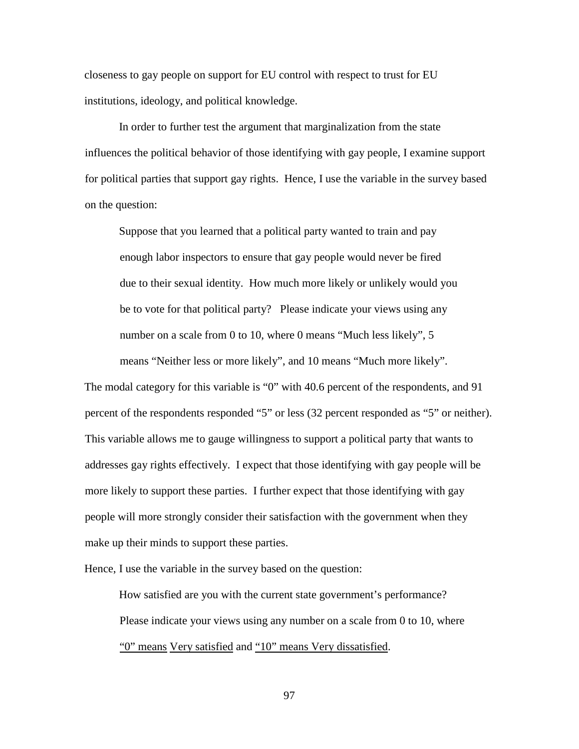closeness to gay people on support for EU control with respect to trust for EU institutions, ideology, and political knowledge.

In order to further test the argument that marginalization from the state influences the political behavior of those identifying with gay people, I examine support for political parties that support gay rights. Hence, I use the variable in the survey based on the question:

Suppose that you learned that a political party wanted to train and pay enough labor inspectors to ensure that gay people would never be fired due to their sexual identity. How much more likely or unlikely would you be to vote for that political party? Please indicate your views using any number on a scale from 0 to 10, where 0 means "Much less likely", 5

means "Neither less or more likely", and 10 means "Much more likely".

The modal category for this variable is "0" with 40.6 percent of the respondents, and 91 percent of the respondents responded "5" or less (32 percent responded as "5" or neither). This variable allows me to gauge willingness to support a political party that wants to addresses gay rights effectively. I expect that those identifying with gay people will be more likely to support these parties. I further expect that those identifying with gay people will more strongly consider their satisfaction with the government when they make up their minds to support these parties.

Hence, I use the variable in the survey based on the question:

How satisfied are you with the current state government's performance? Please indicate your views using any number on a scale from 0 to 10, where "0" means Very satisfied and "10" means Very dissatisfied.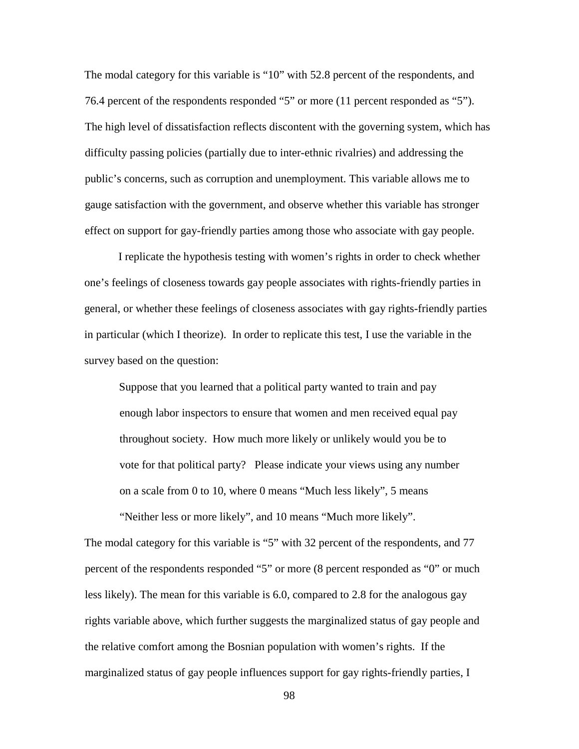The modal category for this variable is "10" with 52.8 percent of the respondents, and 76.4 percent of the respondents responded "5" or more (11 percent responded as "5"). The high level of dissatisfaction reflects discontent with the governing system, which has difficulty passing policies (partially due to inter-ethnic rivalries) and addressing the public's concerns, such as corruption and unemployment. This variable allows me to gauge satisfaction with the government, and observe whether this variable has stronger effect on support for gay-friendly parties among those who associate with gay people.

I replicate the hypothesis testing with women's rights in order to check whether one's feelings of closeness towards gay people associates with rights-friendly parties in general, or whether these feelings of closeness associates with gay rights-friendly parties in particular (which I theorize). In order to replicate this test, I use the variable in the survey based on the question:

Suppose that you learned that a political party wanted to train and pay enough labor inspectors to ensure that women and men received equal pay throughout society. How much more likely or unlikely would you be to vote for that political party? Please indicate your views using any number on a scale from 0 to 10, where 0 means "Much less likely", 5 means

The modal category for this variable is "5" with 32 percent of the respondents, and 77 percent of the respondents responded "5" or more (8 percent responded as "0" or much less likely). The mean for this variable is 6.0, compared to 2.8 for the analogous gay rights variable above, which further suggests the marginalized status of gay people and the relative comfort among the Bosnian population with women's rights. If the marginalized status of gay people influences support for gay rights-friendly parties, I

"Neither less or more likely", and 10 means "Much more likely".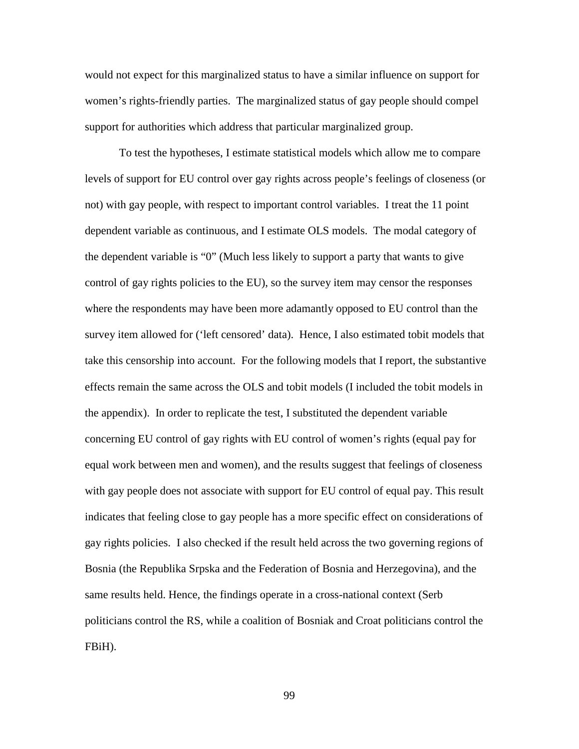would not expect for this marginalized status to have a similar influence on support for women's rights-friendly parties. The marginalized status of gay people should compel support for authorities which address that particular marginalized group.

To test the hypotheses, I estimate statistical models which allow me to compare levels of support for EU control over gay rights across people's feelings of closeness (or not) with gay people, with respect to important control variables. I treat the 11 point dependent variable as continuous, and I estimate OLS models. The modal category of the dependent variable is "0" (Much less likely to support a party that wants to give control of gay rights policies to the EU), so the survey item may censor the responses where the respondents may have been more adamantly opposed to EU control than the survey item allowed for ('left censored' data). Hence, I also estimated tobit models that take this censorship into account. For the following models that I report, the substantive effects remain the same across the OLS and tobit models (I included the tobit models in the appendix). In order to replicate the test, I substituted the dependent variable concerning EU control of gay rights with EU control of women's rights (equal pay for equal work between men and women), and the results suggest that feelings of closeness with gay people does not associate with support for EU control of equal pay. This result indicates that feeling close to gay people has a more specific effect on considerations of gay rights policies. I also checked if the result held across the two governing regions of Bosnia (the Republika Srpska and the Federation of Bosnia and Herzegovina), and the same results held. Hence, the findings operate in a cross-national context (Serb politicians control the RS, while a coalition of Bosniak and Croat politicians control the FBiH).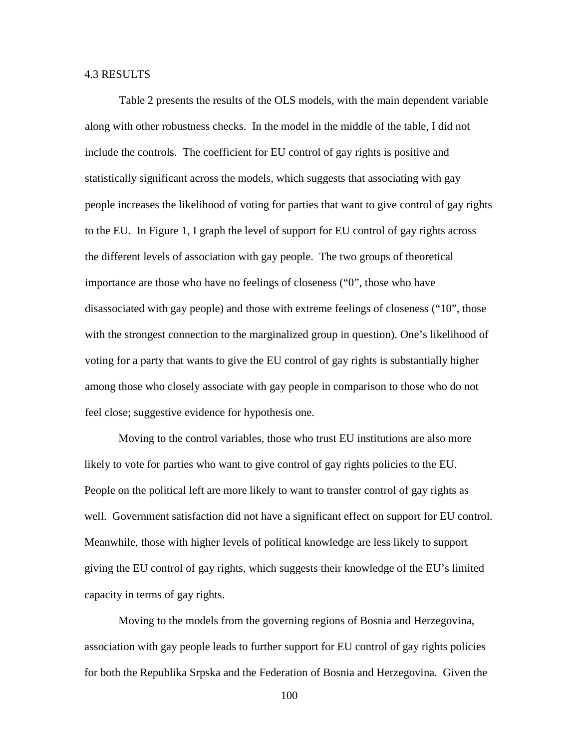### 4.3 RESULTS

Table 2 presents the results of the OLS models, with the main dependent variable along with other robustness checks. In the model in the middle of the table, I did not include the controls. The coefficient for EU control of gay rights is positive and statistically significant across the models, which suggests that associating with gay people increases the likelihood of voting for parties that want to give control of gay rights to the EU. In Figure 1, I graph the level of support for EU control of gay rights across the different levels of association with gay people. The two groups of theoretical importance are those who have no feelings of closeness ("0", those who have disassociated with gay people) and those with extreme feelings of closeness ("10", those with the strongest connection to the marginalized group in question). One's likelihood of voting for a party that wants to give the EU control of gay rights is substantially higher among those who closely associate with gay people in comparison to those who do not feel close; suggestive evidence for hypothesis one.

Moving to the control variables, those who trust EU institutions are also more likely to vote for parties who want to give control of gay rights policies to the EU. People on the political left are more likely to want to transfer control of gay rights as well. Government satisfaction did not have a significant effect on support for EU control. Meanwhile, those with higher levels of political knowledge are less likely to support giving the EU control of gay rights, which suggests their knowledge of the EU's limited capacity in terms of gay rights.

Moving to the models from the governing regions of Bosnia and Herzegovina, association with gay people leads to further support for EU control of gay rights policies for both the Republika Srpska and the Federation of Bosnia and Herzegovina. Given the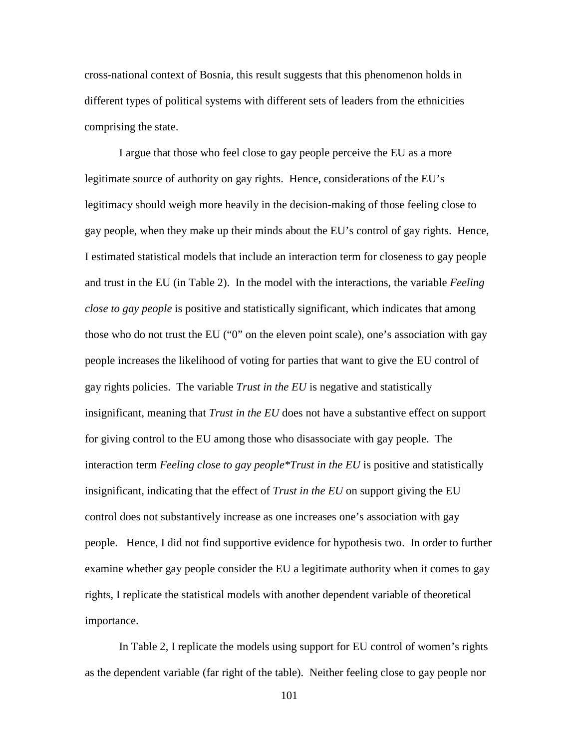cross-national context of Bosnia, this result suggests that this phenomenon holds in different types of political systems with different sets of leaders from the ethnicities comprising the state.

I argue that those who feel close to gay people perceive the EU as a more legitimate source of authority on gay rights. Hence, considerations of the EU's legitimacy should weigh more heavily in the decision-making of those feeling close to gay people, when they make up their minds about the EU's control of gay rights. Hence, I estimated statistical models that include an interaction term for closeness to gay people and trust in the EU (in Table 2). In the model with the interactions, the variable *Feeling close to gay people* is positive and statistically significant, which indicates that among those who do not trust the EU ("0" on the eleven point scale), one's association with gay people increases the likelihood of voting for parties that want to give the EU control of gay rights policies. The variable *Trust in the EU* is negative and statistically insignificant, meaning that *Trust in the EU* does not have a substantive effect on support for giving control to the EU among those who disassociate with gay people. The interaction term *Feeling close to gay people\*Trust in the EU* is positive and statistically insignificant, indicating that the effect of *Trust in the EU* on support giving the EU control does not substantively increase as one increases one's association with gay people. Hence, I did not find supportive evidence for hypothesis two. In order to further examine whether gay people consider the EU a legitimate authority when it comes to gay rights, I replicate the statistical models with another dependent variable of theoretical importance.

In Table 2, I replicate the models using support for EU control of women's rights as the dependent variable (far right of the table). Neither feeling close to gay people nor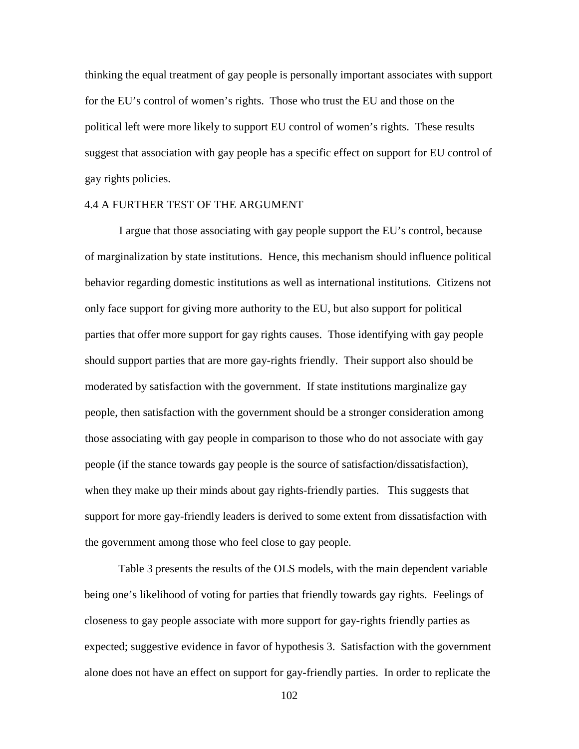thinking the equal treatment of gay people is personally important associates with support for the EU's control of women's rights. Those who trust the EU and those on the political left were more likely to support EU control of women's rights. These results suggest that association with gay people has a specific effect on support for EU control of gay rights policies.

#### 4.4 A FURTHER TEST OF THE ARGUMENT

I argue that those associating with gay people support the EU's control, because of marginalization by state institutions. Hence, this mechanism should influence political behavior regarding domestic institutions as well as international institutions. Citizens not only face support for giving more authority to the EU, but also support for political parties that offer more support for gay rights causes. Those identifying with gay people should support parties that are more gay-rights friendly. Their support also should be moderated by satisfaction with the government. If state institutions marginalize gay people, then satisfaction with the government should be a stronger consideration among those associating with gay people in comparison to those who do not associate with gay people (if the stance towards gay people is the source of satisfaction/dissatisfaction), when they make up their minds about gay rights-friendly parties. This suggests that support for more gay-friendly leaders is derived to some extent from dissatisfaction with the government among those who feel close to gay people.

Table 3 presents the results of the OLS models, with the main dependent variable being one's likelihood of voting for parties that friendly towards gay rights. Feelings of closeness to gay people associate with more support for gay-rights friendly parties as expected; suggestive evidence in favor of hypothesis 3. Satisfaction with the government alone does not have an effect on support for gay-friendly parties. In order to replicate the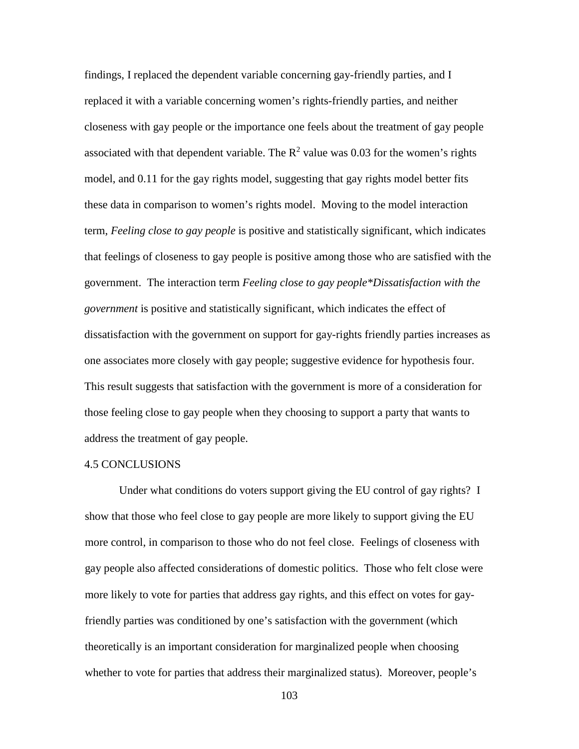findings, I replaced the dependent variable concerning gay-friendly parties, and I replaced it with a variable concerning women's rights-friendly parties, and neither closeness with gay people or the importance one feels about the treatment of gay people associated with that dependent variable. The  $R^2$  value was 0.03 for the women's rights model, and 0.11 for the gay rights model, suggesting that gay rights model better fits these data in comparison to women's rights model. Moving to the model interaction term, *Feeling close to gay people* is positive and statistically significant, which indicates that feelings of closeness to gay people is positive among those who are satisfied with the government. The interaction term *Feeling close to gay people\*Dissatisfaction with the government* is positive and statistically significant, which indicates the effect of dissatisfaction with the government on support for gay-rights friendly parties increases as one associates more closely with gay people; suggestive evidence for hypothesis four. This result suggests that satisfaction with the government is more of a consideration for those feeling close to gay people when they choosing to support a party that wants to address the treatment of gay people.

#### 4.5 CONCLUSIONS

Under what conditions do voters support giving the EU control of gay rights? I show that those who feel close to gay people are more likely to support giving the EU more control, in comparison to those who do not feel close. Feelings of closeness with gay people also affected considerations of domestic politics. Those who felt close were more likely to vote for parties that address gay rights, and this effect on votes for gayfriendly parties was conditioned by one's satisfaction with the government (which theoretically is an important consideration for marginalized people when choosing whether to vote for parties that address their marginalized status). Moreover, people's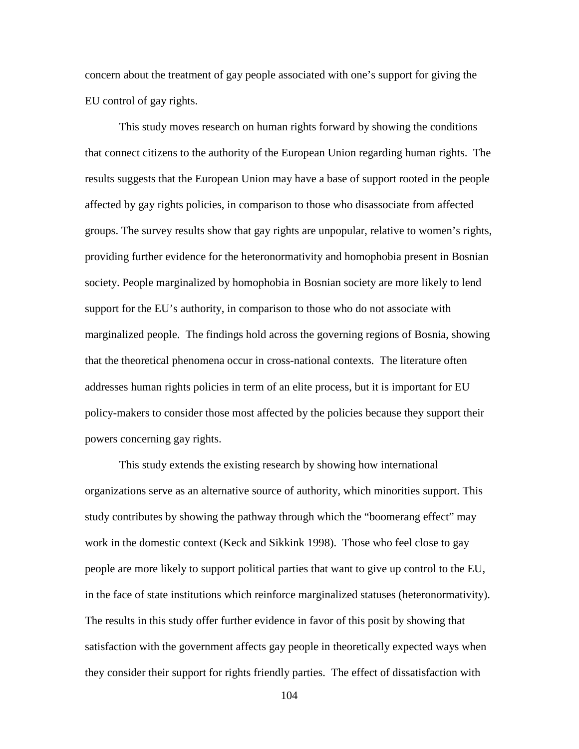concern about the treatment of gay people associated with one's support for giving the EU control of gay rights.

This study moves research on human rights forward by showing the conditions that connect citizens to the authority of the European Union regarding human rights. The results suggests that the European Union may have a base of support rooted in the people affected by gay rights policies, in comparison to those who disassociate from affected groups. The survey results show that gay rights are unpopular, relative to women's rights, providing further evidence for the heteronormativity and homophobia present in Bosnian society. People marginalized by homophobia in Bosnian society are more likely to lend support for the EU's authority, in comparison to those who do not associate with marginalized people. The findings hold across the governing regions of Bosnia, showing that the theoretical phenomena occur in cross-national contexts. The literature often addresses human rights policies in term of an elite process, but it is important for EU policy-makers to consider those most affected by the policies because they support their powers concerning gay rights.

This study extends the existing research by showing how international organizations serve as an alternative source of authority, which minorities support. This study contributes by showing the pathway through which the "boomerang effect" may work in the domestic context (Keck and Sikkink 1998). Those who feel close to gay people are more likely to support political parties that want to give up control to the EU, in the face of state institutions which reinforce marginalized statuses (heteronormativity). The results in this study offer further evidence in favor of this posit by showing that satisfaction with the government affects gay people in theoretically expected ways when they consider their support for rights friendly parties. The effect of dissatisfaction with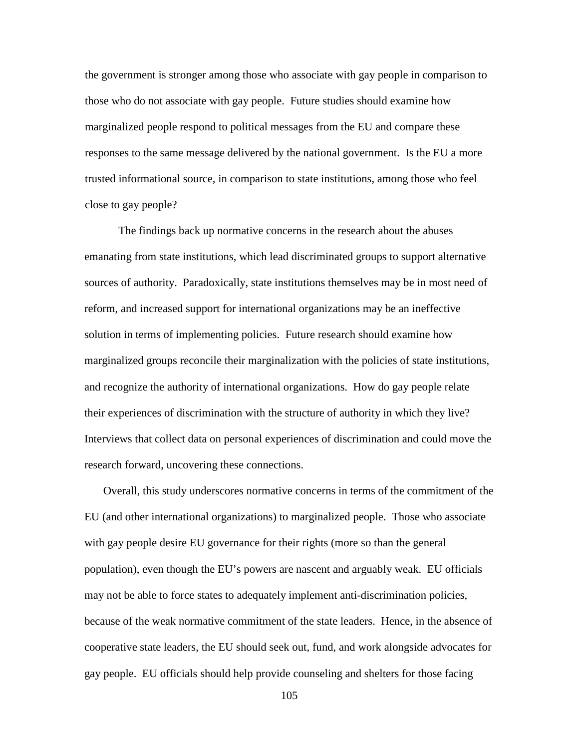the government is stronger among those who associate with gay people in comparison to those who do not associate with gay people. Future studies should examine how marginalized people respond to political messages from the EU and compare these responses to the same message delivered by the national government. Is the EU a more trusted informational source, in comparison to state institutions, among those who feel close to gay people?

The findings back up normative concerns in the research about the abuses emanating from state institutions, which lead discriminated groups to support alternative sources of authority. Paradoxically, state institutions themselves may be in most need of reform, and increased support for international organizations may be an ineffective solution in terms of implementing policies. Future research should examine how marginalized groups reconcile their marginalization with the policies of state institutions, and recognize the authority of international organizations. How do gay people relate their experiences of discrimination with the structure of authority in which they live? Interviews that collect data on personal experiences of discrimination and could move the research forward, uncovering these connections.

 Overall, this study underscores normative concerns in terms of the commitment of the EU (and other international organizations) to marginalized people. Those who associate with gay people desire EU governance for their rights (more so than the general population), even though the EU's powers are nascent and arguably weak. EU officials may not be able to force states to adequately implement anti-discrimination policies, because of the weak normative commitment of the state leaders. Hence, in the absence of cooperative state leaders, the EU should seek out, fund, and work alongside advocates for gay people. EU officials should help provide counseling and shelters for those facing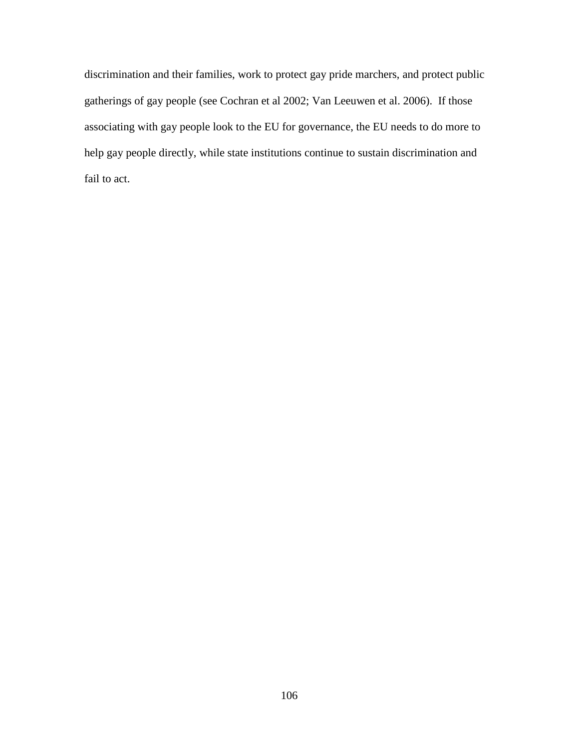discrimination and their families, work to protect gay pride marchers, and protect public gatherings of gay people (see Cochran et al 2002; Van Leeuwen et al. 2006). If those associating with gay people look to the EU for governance, the EU needs to do more to help gay people directly, while state institutions continue to sustain discrimination and fail to act.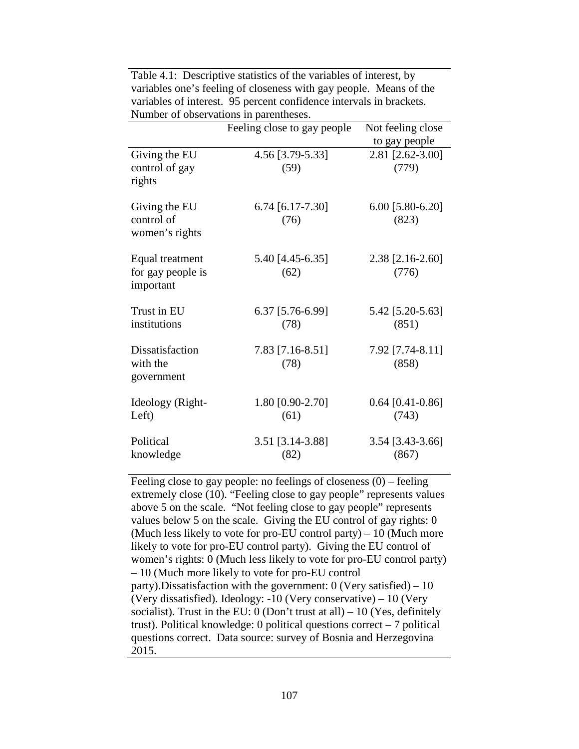|                                                   | Feeling close to gay people | Not feeling close<br>to gay people |  |  |  |
|---------------------------------------------------|-----------------------------|------------------------------------|--|--|--|
| Giving the EU<br>control of gay<br>rights         | 4.56 [3.79-5.33]<br>(59)    | 2.81 [2.62-3.00]<br>(779)          |  |  |  |
| Giving the EU<br>control of<br>women's rights     | $6.74$ [6.17-7.30]<br>(76)  | 6.00 [5.80-6.20]<br>(823)          |  |  |  |
| Equal treatment<br>for gay people is<br>important | 5.40 [4.45-6.35]<br>(62)    | 2.38 [2.16-2.60]<br>(776)          |  |  |  |
| Trust in EU<br>institutions                       | 6.37 [5.76-6.99]<br>(78)    | 5.42 [5.20-5.63]<br>(851)          |  |  |  |
| Dissatisfaction<br>with the<br>government         | 7.83 [7.16-8.51]<br>(78)    | 7.92 [7.74-8.11]<br>(858)          |  |  |  |
| Ideology (Right-<br>Left)                         | 1.80 [0.90-2.70]<br>(61)    | $0.64$ [0.41-0.86]<br>(743)        |  |  |  |
| Political<br>knowledge                            | 3.51 [3.14-3.88]<br>(82)    | 3.54 [3.43-3.66]<br>(867)          |  |  |  |

Table 4.1: Descriptive statistics of the variables of interest, by variables one's feeling of closeness with gay people. Means of the variables of interest. 95 percent confidence intervals in brackets. Number of observations in parentheses.

Feeling close to gay people: no feelings of closeness (0) – feeling extremely close (10). "Feeling close to gay people" represents values above 5 on the scale. "Not feeling close to gay people" represents values below 5 on the scale. Giving the EU control of gay rights: 0 (Much less likely to vote for pro-EU control party) – 10 (Much more likely to vote for pro-EU control party). Giving the EU control of women's rights: 0 (Much less likely to vote for pro-EU control party) – 10 (Much more likely to vote for pro-EU control party). Dissatisfaction with the government:  $0$  (Very satisfied) – 10 (Very dissatisfied). Ideology: -10 (Very conservative) – 10 (Very socialist). Trust in the EU:  $0$  (Don't trust at all) – 10 (Yes, definitely trust). Political knowledge: 0 political questions correct – 7 political questions correct. Data source: survey of Bosnia and Herzegovina 2015.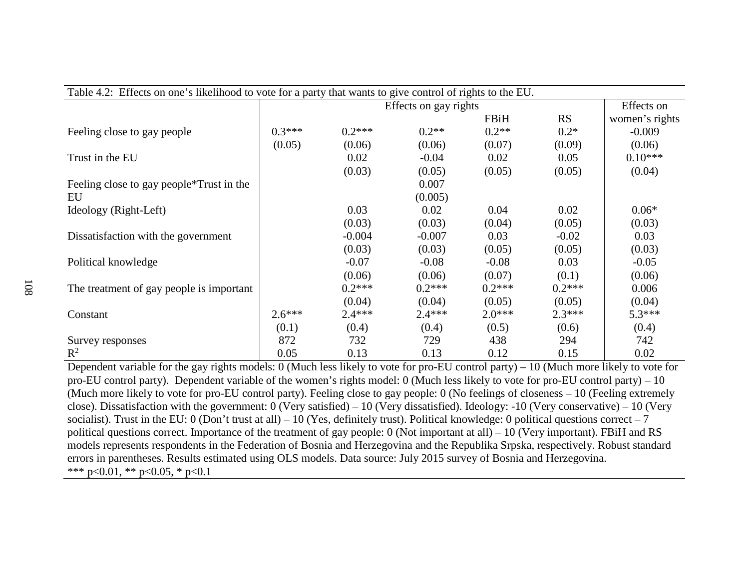| Table 4.2: Effects on one's likelihood to vote for a party that wants to give control of rights to the EU. |                       |          |          |             |            |                |
|------------------------------------------------------------------------------------------------------------|-----------------------|----------|----------|-------------|------------|----------------|
|                                                                                                            | Effects on gay rights |          |          |             | Effects on |                |
|                                                                                                            |                       |          |          | <b>FBiH</b> | <b>RS</b>  | women's rights |
| Feeling close to gay people                                                                                | $0.3***$              | $0.2***$ | $0.2**$  | $0.2**$     | $0.2*$     | $-0.009$       |
|                                                                                                            | (0.05)                | (0.06)   | (0.06)   | (0.07)      | (0.09)     | (0.06)         |
| Trust in the EU                                                                                            |                       | 0.02     | $-0.04$  | 0.02        | 0.05       | $0.10***$      |
|                                                                                                            |                       | (0.03)   | (0.05)   | (0.05)      | (0.05)     | (0.04)         |
| Feeling close to gay people*Trust in the                                                                   |                       |          | 0.007    |             |            |                |
| EU                                                                                                         |                       |          | (0.005)  |             |            |                |
| Ideology (Right-Left)                                                                                      |                       | 0.03     | 0.02     | 0.04        | 0.02       | $0.06*$        |
|                                                                                                            |                       | (0.03)   | (0.03)   | (0.04)      | (0.05)     | (0.03)         |
| Dissatisfaction with the government                                                                        |                       | $-0.004$ | $-0.007$ | 0.03        | $-0.02$    | 0.03           |
|                                                                                                            |                       | (0.03)   | (0.03)   | (0.05)      | (0.05)     | (0.03)         |
| Political knowledge                                                                                        |                       | $-0.07$  | $-0.08$  | $-0.08$     | 0.03       | $-0.05$        |
|                                                                                                            |                       | (0.06)   | (0.06)   | (0.07)      | (0.1)      | (0.06)         |
| The treatment of gay people is important                                                                   |                       | $0.2***$ | $0.2***$ | $0.2***$    | $0.2***$   | 0.006          |
|                                                                                                            |                       | (0.04)   | (0.04)   | (0.05)      | (0.05)     | (0.04)         |
| Constant                                                                                                   | $2.6***$              | $2.4***$ | $2.4***$ | $2.0***$    | $2.3***$   | $5.3***$       |
|                                                                                                            | (0.1)                 | (0.4)    | (0.4)    | (0.5)       | (0.6)      | (0.4)          |
| Survey responses                                                                                           | 872                   | 732      | 729      | 438         | 294        | 742            |
| $R^2$                                                                                                      | 0.05                  | 0.13     | 0.13     | 0.12        | 0.15       | 0.02           |

Dependent variable for the gay rights models: 0 (Much less likely to vote for pro-EU control party) – 10 (Much more likely to vote for pro-EU control party). Dependent variable of the women's rights model: 0 (Much less likely to vote for pro-EU control party) – 10 (Much more likely to vote for pro-EU control party). Feeling close to gay people: 0 (No feelings of closeness – 10 (Feeling extremely close). Dissatisfaction with the government: 0 (Very satisfied) – 10 (Very dissatisfied). Ideology: -10 (Very conservative) – 10 (Very socialist). Trust in the EU: 0 (Don't trust at all) – 10 (Yes, definitely trust). Political knowledge: 0 political questions correct – 7 political questions correct. Importance of the treatment of gay people: 0 (Not important at all) – 10 (Very important). FBiH and RS models represents respondents in the Federation of Bosnia and Herzegovina and the Republika Srpska, respectively. Robust standard errors in parentheses. Results estimated using OLS models. Data source: July 2015 survey of Bosnia and Herzegovina. \*\*\* p<0.01, \*\* p<0.05, \* p<0.1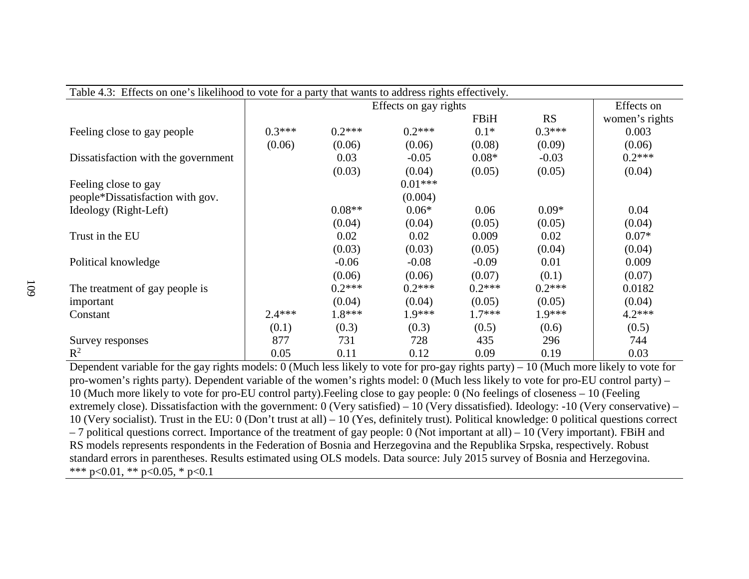| Table 4.3: Effects on one's likelihood to vote for a party that wants to address rights effectively. |                       |          |           |             |           |                |  |
|------------------------------------------------------------------------------------------------------|-----------------------|----------|-----------|-------------|-----------|----------------|--|
|                                                                                                      | Effects on gay rights |          |           |             |           | Effects on     |  |
|                                                                                                      |                       |          |           | <b>FBiH</b> | <b>RS</b> | women's rights |  |
| Feeling close to gay people                                                                          | $0.3***$              | $0.2***$ | $0.2***$  | $0.1*$      | $0.3***$  | 0.003          |  |
|                                                                                                      | (0.06)                | (0.06)   | (0.06)    | (0.08)      | (0.09)    | (0.06)         |  |
| Dissatisfaction with the government                                                                  |                       | 0.03     | $-0.05$   | $0.08*$     | $-0.03$   | $0.2***$       |  |
|                                                                                                      |                       | (0.03)   | (0.04)    | (0.05)      | (0.05)    | (0.04)         |  |
| Feeling close to gay                                                                                 |                       |          | $0.01***$ |             |           |                |  |
| people*Dissatisfaction with gov.                                                                     |                       |          | (0.004)   |             |           |                |  |
| Ideology (Right-Left)                                                                                |                       | $0.08**$ | $0.06*$   | 0.06        | $0.09*$   | 0.04           |  |
|                                                                                                      |                       | (0.04)   | (0.04)    | (0.05)      | (0.05)    | (0.04)         |  |
| Trust in the EU                                                                                      |                       | 0.02     | 0.02      | 0.009       | 0.02      | $0.07*$        |  |
|                                                                                                      |                       | (0.03)   | (0.03)    | (0.05)      | (0.04)    | (0.04)         |  |
| Political knowledge                                                                                  |                       | $-0.06$  | $-0.08$   | $-0.09$     | 0.01      | 0.009          |  |
|                                                                                                      |                       | (0.06)   | (0.06)    | (0.07)      | (0.1)     | (0.07)         |  |
| The treatment of gay people is                                                                       |                       | $0.2***$ | $0.2***$  | $0.2***$    | $0.2***$  | 0.0182         |  |
| important                                                                                            |                       | (0.04)   | (0.04)    | (0.05)      | (0.05)    | (0.04)         |  |
| Constant                                                                                             | $2.4***$              | $1.8***$ | $1.9***$  | $1.7***$    | $1.9***$  | $4.2***$       |  |
|                                                                                                      | (0.1)                 | (0.3)    | (0.3)     | (0.5)       | (0.6)     | (0.5)          |  |
| Survey responses                                                                                     | 877                   | 731      | 728       | 435         | 296       | 744            |  |
| $\mathbb{R}^2$                                                                                       | 0.05                  | 0.11     | 0.12      | 0.09        | 0.19      | 0.03           |  |

| reeling close to gay people         | 0.3    | $U \sim L$ | $U \sim L$ | <u>V.I.</u> | $U \cdot \mathcal{I}$ | U.UUJ    |
|-------------------------------------|--------|------------|------------|-------------|-----------------------|----------|
|                                     | (0.06) | (0.06)     | (0.06)     | (0.08)      | (0.09)                | (0.06)   |
| Dissatisfaction with the government |        | 0.03       | $-0.05$    | $0.08*$     | $-0.03$               | $0.2***$ |
|                                     |        | (0.03)     | (0.04)     | (0.05)      | (0.05)                | (0.04)   |
| Feeling close to gay                |        |            | $0.01***$  |             |                       |          |
| people*Dissatisfaction with gov.    |        |            | (0.004)    |             |                       |          |
| Ideology (Right-Left)               |        | $0.08**$   | $0.06*$    | 0.06        | $0.09*$               | 0.04     |
|                                     |        | (0.04)     | (0.04)     | (0.05)      | (0.05)                | (0.04)   |
| Trust in the EU                     |        | 0.02       | 0.02       | 0.009       | 0.02                  | $0.07*$  |
|                                     |        | (0.03)     | (0.03)     | (0.05)      | (0.04)                | (0.04)   |
| Political knowledge                 |        | $-0.06$    | $-0.08$    | $-0.09$     | 0.01                  | 0.009    |
|                                     |        |            |            |             |                       |          |

Dependent variable for the gay rights models: 0 (Much less likely to vote for pro-gay rights party) – 10 (Much more likely to vote for pro-women's rights party). Dependent variable of the women's rights model: 0 (Much less likely to vote for pro-EU control party) – 10 (Much more likely to vote for pro-EU control party).Feeling close to gay people: 0 (No feelings of closeness – 10 (Feeling extremely close). Dissatisfaction with the government: 0 (Very satisfied) – 10 (Very dissatisfied). Ideology: -10 (Very conservative) – 10 (Very socialist). Trust in the EU: 0 (Don't trust at all) – 10 (Yes, definitely trust). Political knowledge: 0 political questions correct – 7 political questions correct. Importance of the treatment of gay people: 0 (Not important at all) – 10 (Very important). FBiH and RS models represents respondents in the Federation of Bosnia and Herzegovina and the Republika Srpska, respectively. Robust standard errors in parentheses. Results estimated using OLS models. Data source: July 2015 survey of Bosnia and Herzegovina. \*\*\* p<0.01, \*\* p<0.05, \* p<0.1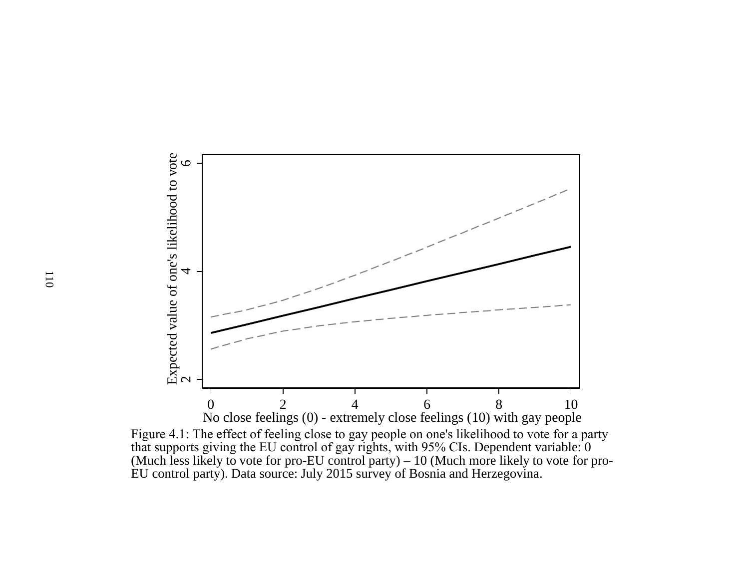

Figure 4.1: The effect of feeling close to gay people on one's likelihood to vote for a party that supports giving the EU control of gay rights, with 95% CIs. Dependent variable: 0 (Much less likely to vote for pro-EU control party) – 10 (Much more likely to vote for pro-EU control party). Data source: July 2015 survey of Bosnia and Herzegovina.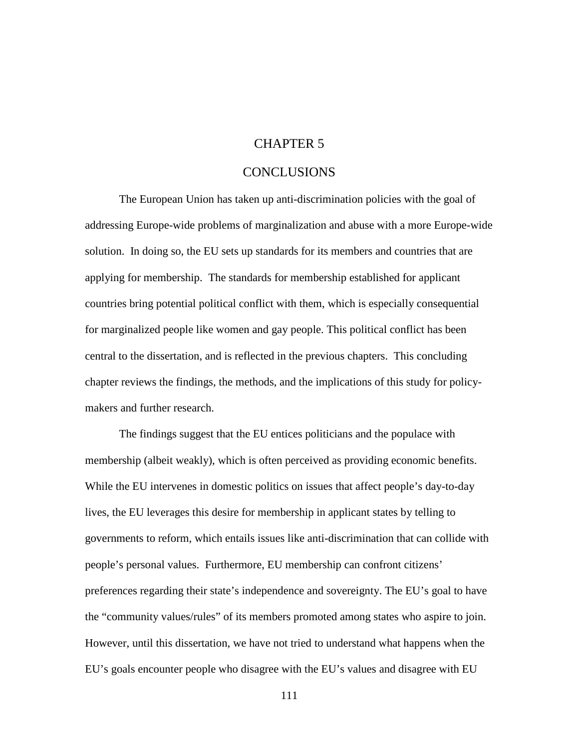## CHAPTER 5

### CONCLUSIONS

The European Union has taken up anti-discrimination policies with the goal of addressing Europe-wide problems of marginalization and abuse with a more Europe-wide solution. In doing so, the EU sets up standards for its members and countries that are applying for membership. The standards for membership established for applicant countries bring potential political conflict with them, which is especially consequential for marginalized people like women and gay people. This political conflict has been central to the dissertation, and is reflected in the previous chapters. This concluding chapter reviews the findings, the methods, and the implications of this study for policymakers and further research.

The findings suggest that the EU entices politicians and the populace with membership (albeit weakly), which is often perceived as providing economic benefits. While the EU intervenes in domestic politics on issues that affect people's day-to-day lives, the EU leverages this desire for membership in applicant states by telling to governments to reform, which entails issues like anti-discrimination that can collide with people's personal values. Furthermore, EU membership can confront citizens' preferences regarding their state's independence and sovereignty. The EU's goal to have the "community values/rules" of its members promoted among states who aspire to join. However, until this dissertation, we have not tried to understand what happens when the EU's goals encounter people who disagree with the EU's values and disagree with EU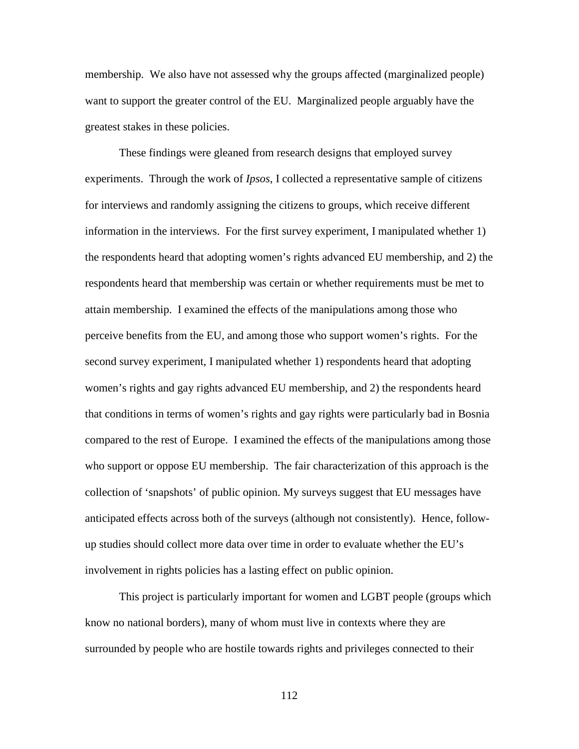membership. We also have not assessed why the groups affected (marginalized people) want to support the greater control of the EU. Marginalized people arguably have the greatest stakes in these policies.

These findings were gleaned from research designs that employed survey experiments. Through the work of *Ipsos*, I collected a representative sample of citizens for interviews and randomly assigning the citizens to groups, which receive different information in the interviews. For the first survey experiment, I manipulated whether 1) the respondents heard that adopting women's rights advanced EU membership, and 2) the respondents heard that membership was certain or whether requirements must be met to attain membership. I examined the effects of the manipulations among those who perceive benefits from the EU, and among those who support women's rights. For the second survey experiment, I manipulated whether 1) respondents heard that adopting women's rights and gay rights advanced EU membership, and 2) the respondents heard that conditions in terms of women's rights and gay rights were particularly bad in Bosnia compared to the rest of Europe. I examined the effects of the manipulations among those who support or oppose EU membership. The fair characterization of this approach is the collection of 'snapshots' of public opinion. My surveys suggest that EU messages have anticipated effects across both of the surveys (although not consistently). Hence, followup studies should collect more data over time in order to evaluate whether the EU's involvement in rights policies has a lasting effect on public opinion.

This project is particularly important for women and LGBT people (groups which know no national borders), many of whom must live in contexts where they are surrounded by people who are hostile towards rights and privileges connected to their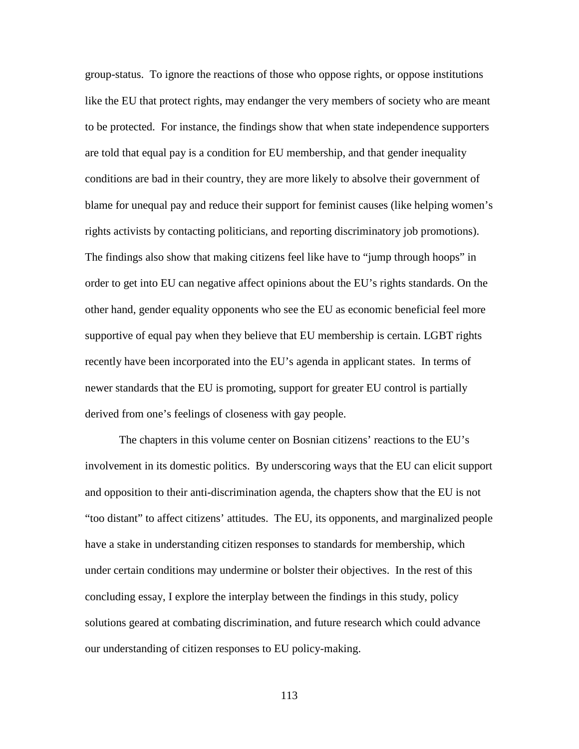group-status. To ignore the reactions of those who oppose rights, or oppose institutions like the EU that protect rights, may endanger the very members of society who are meant to be protected. For instance, the findings show that when state independence supporters are told that equal pay is a condition for EU membership, and that gender inequality conditions are bad in their country, they are more likely to absolve their government of blame for unequal pay and reduce their support for feminist causes (like helping women's rights activists by contacting politicians, and reporting discriminatory job promotions). The findings also show that making citizens feel like have to "jump through hoops" in order to get into EU can negative affect opinions about the EU's rights standards. On the other hand, gender equality opponents who see the EU as economic beneficial feel more supportive of equal pay when they believe that EU membership is certain. LGBT rights recently have been incorporated into the EU's agenda in applicant states. In terms of newer standards that the EU is promoting, support for greater EU control is partially derived from one's feelings of closeness with gay people.

The chapters in this volume center on Bosnian citizens' reactions to the EU's involvement in its domestic politics. By underscoring ways that the EU can elicit support and opposition to their anti-discrimination agenda, the chapters show that the EU is not "too distant" to affect citizens' attitudes. The EU, its opponents, and marginalized people have a stake in understanding citizen responses to standards for membership, which under certain conditions may undermine or bolster their objectives. In the rest of this concluding essay, I explore the interplay between the findings in this study, policy solutions geared at combating discrimination, and future research which could advance our understanding of citizen responses to EU policy-making.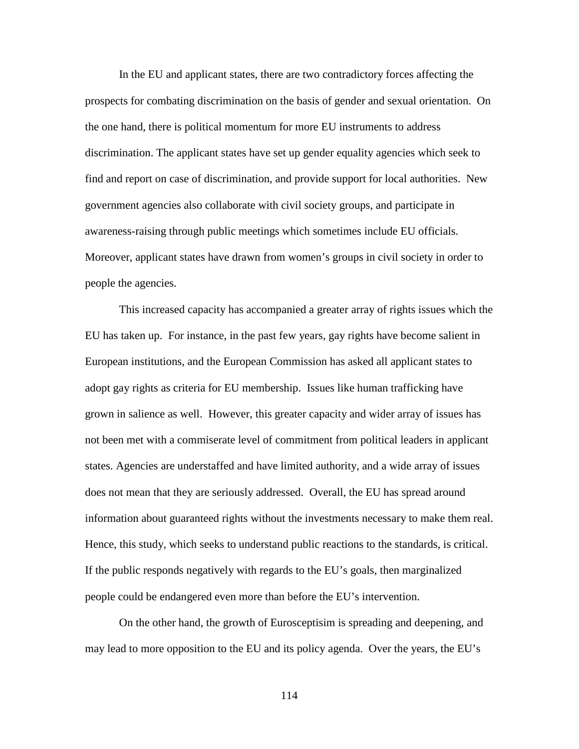In the EU and applicant states, there are two contradictory forces affecting the prospects for combating discrimination on the basis of gender and sexual orientation. On the one hand, there is political momentum for more EU instruments to address discrimination. The applicant states have set up gender equality agencies which seek to find and report on case of discrimination, and provide support for local authorities. New government agencies also collaborate with civil society groups, and participate in awareness-raising through public meetings which sometimes include EU officials. Moreover, applicant states have drawn from women's groups in civil society in order to people the agencies.

This increased capacity has accompanied a greater array of rights issues which the EU has taken up. For instance, in the past few years, gay rights have become salient in European institutions, and the European Commission has asked all applicant states to adopt gay rights as criteria for EU membership. Issues like human trafficking have grown in salience as well. However, this greater capacity and wider array of issues has not been met with a commiserate level of commitment from political leaders in applicant states. Agencies are understaffed and have limited authority, and a wide array of issues does not mean that they are seriously addressed. Overall, the EU has spread around information about guaranteed rights without the investments necessary to make them real. Hence, this study, which seeks to understand public reactions to the standards, is critical. If the public responds negatively with regards to the EU's goals, then marginalized people could be endangered even more than before the EU's intervention.

On the other hand, the growth of Eurosceptisim is spreading and deepening, and may lead to more opposition to the EU and its policy agenda. Over the years, the EU's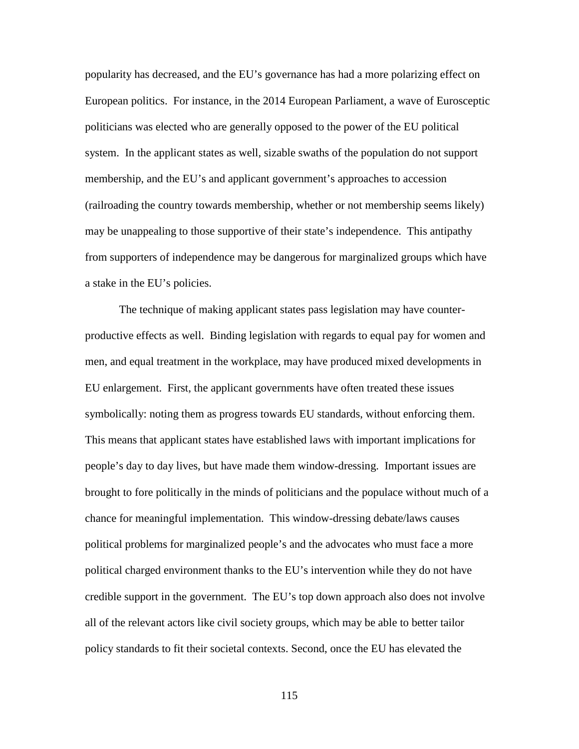popularity has decreased, and the EU's governance has had a more polarizing effect on European politics. For instance, in the 2014 European Parliament, a wave of Eurosceptic politicians was elected who are generally opposed to the power of the EU political system. In the applicant states as well, sizable swaths of the population do not support membership, and the EU's and applicant government's approaches to accession (railroading the country towards membership, whether or not membership seems likely) may be unappealing to those supportive of their state's independence. This antipathy from supporters of independence may be dangerous for marginalized groups which have a stake in the EU's policies.

The technique of making applicant states pass legislation may have counterproductive effects as well. Binding legislation with regards to equal pay for women and men, and equal treatment in the workplace, may have produced mixed developments in EU enlargement. First, the applicant governments have often treated these issues symbolically: noting them as progress towards EU standards, without enforcing them. This means that applicant states have established laws with important implications for people's day to day lives, but have made them window-dressing. Important issues are brought to fore politically in the minds of politicians and the populace without much of a chance for meaningful implementation. This window-dressing debate/laws causes political problems for marginalized people's and the advocates who must face a more political charged environment thanks to the EU's intervention while they do not have credible support in the government. The EU's top down approach also does not involve all of the relevant actors like civil society groups, which may be able to better tailor policy standards to fit their societal contexts. Second, once the EU has elevated the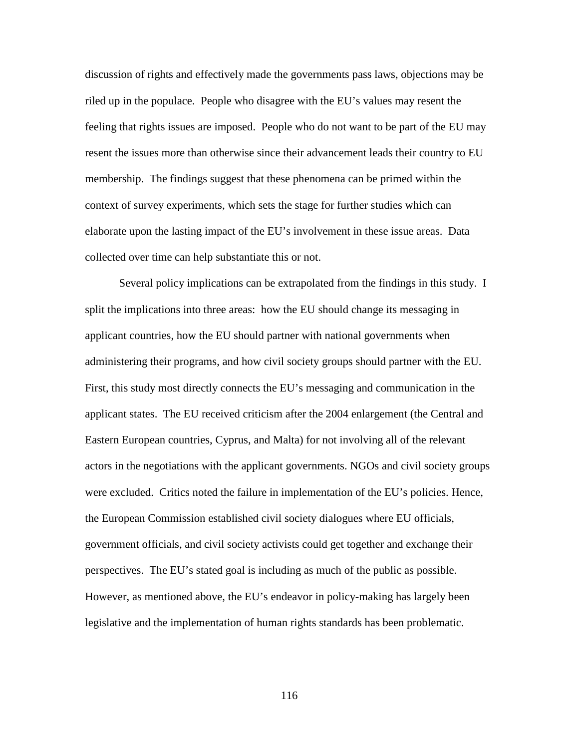discussion of rights and effectively made the governments pass laws, objections may be riled up in the populace. People who disagree with the EU's values may resent the feeling that rights issues are imposed. People who do not want to be part of the EU may resent the issues more than otherwise since their advancement leads their country to EU membership. The findings suggest that these phenomena can be primed within the context of survey experiments, which sets the stage for further studies which can elaborate upon the lasting impact of the EU's involvement in these issue areas. Data collected over time can help substantiate this or not.

Several policy implications can be extrapolated from the findings in this study. I split the implications into three areas: how the EU should change its messaging in applicant countries, how the EU should partner with national governments when administering their programs, and how civil society groups should partner with the EU. First, this study most directly connects the EU's messaging and communication in the applicant states. The EU received criticism after the 2004 enlargement (the Central and Eastern European countries, Cyprus, and Malta) for not involving all of the relevant actors in the negotiations with the applicant governments. NGOs and civil society groups were excluded. Critics noted the failure in implementation of the EU's policies. Hence, the European Commission established civil society dialogues where EU officials, government officials, and civil society activists could get together and exchange their perspectives. The EU's stated goal is including as much of the public as possible. However, as mentioned above, the EU's endeavor in policy-making has largely been legislative and the implementation of human rights standards has been problematic.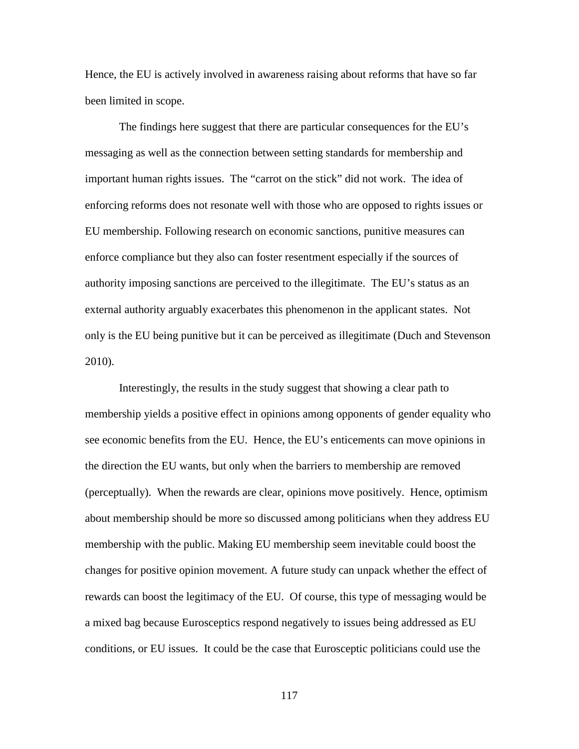Hence, the EU is actively involved in awareness raising about reforms that have so far been limited in scope.

The findings here suggest that there are particular consequences for the EU's messaging as well as the connection between setting standards for membership and important human rights issues. The "carrot on the stick" did not work. The idea of enforcing reforms does not resonate well with those who are opposed to rights issues or EU membership. Following research on economic sanctions, punitive measures can enforce compliance but they also can foster resentment especially if the sources of authority imposing sanctions are perceived to the illegitimate. The EU's status as an external authority arguably exacerbates this phenomenon in the applicant states. Not only is the EU being punitive but it can be perceived as illegitimate (Duch and Stevenson 2010).

Interestingly, the results in the study suggest that showing a clear path to membership yields a positive effect in opinions among opponents of gender equality who see economic benefits from the EU. Hence, the EU's enticements can move opinions in the direction the EU wants, but only when the barriers to membership are removed (perceptually). When the rewards are clear, opinions move positively. Hence, optimism about membership should be more so discussed among politicians when they address EU membership with the public. Making EU membership seem inevitable could boost the changes for positive opinion movement. A future study can unpack whether the effect of rewards can boost the legitimacy of the EU. Of course, this type of messaging would be a mixed bag because Eurosceptics respond negatively to issues being addressed as EU conditions, or EU issues. It could be the case that Eurosceptic politicians could use the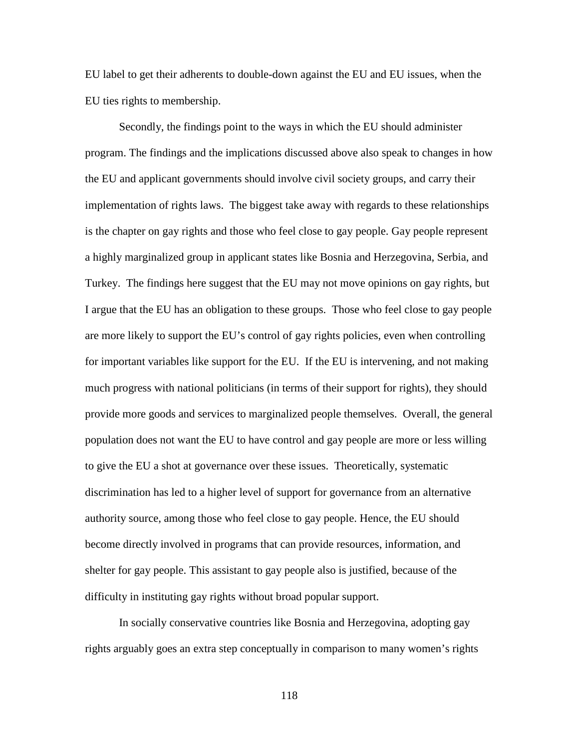EU label to get their adherents to double-down against the EU and EU issues, when the EU ties rights to membership.

Secondly, the findings point to the ways in which the EU should administer program. The findings and the implications discussed above also speak to changes in how the EU and applicant governments should involve civil society groups, and carry their implementation of rights laws. The biggest take away with regards to these relationships is the chapter on gay rights and those who feel close to gay people. Gay people represent a highly marginalized group in applicant states like Bosnia and Herzegovina, Serbia, and Turkey. The findings here suggest that the EU may not move opinions on gay rights, but I argue that the EU has an obligation to these groups. Those who feel close to gay people are more likely to support the EU's control of gay rights policies, even when controlling for important variables like support for the EU. If the EU is intervening, and not making much progress with national politicians (in terms of their support for rights), they should provide more goods and services to marginalized people themselves. Overall, the general population does not want the EU to have control and gay people are more or less willing to give the EU a shot at governance over these issues. Theoretically, systematic discrimination has led to a higher level of support for governance from an alternative authority source, among those who feel close to gay people. Hence, the EU should become directly involved in programs that can provide resources, information, and shelter for gay people. This assistant to gay people also is justified, because of the difficulty in instituting gay rights without broad popular support.

In socially conservative countries like Bosnia and Herzegovina, adopting gay rights arguably goes an extra step conceptually in comparison to many women's rights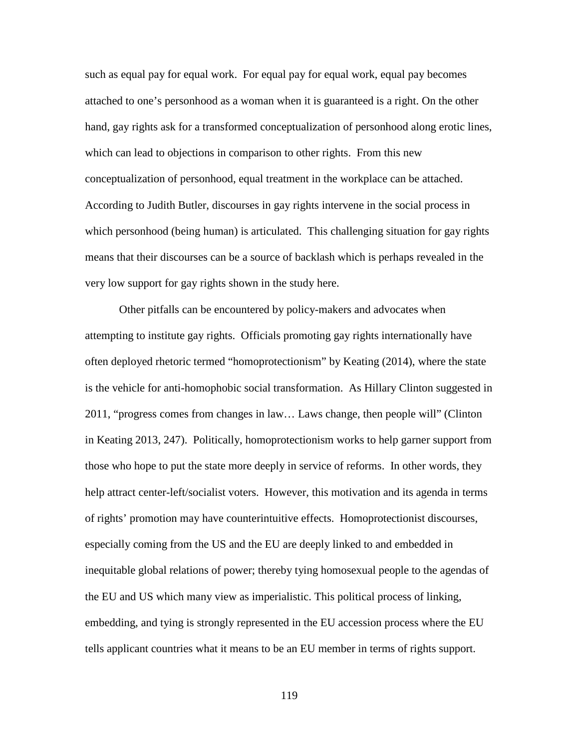such as equal pay for equal work. For equal pay for equal work, equal pay becomes attached to one's personhood as a woman when it is guaranteed is a right. On the other hand, gay rights ask for a transformed conceptualization of personhood along erotic lines, which can lead to objections in comparison to other rights. From this new conceptualization of personhood, equal treatment in the workplace can be attached. According to Judith Butler, discourses in gay rights intervene in the social process in which personhood (being human) is articulated. This challenging situation for gay rights means that their discourses can be a source of backlash which is perhaps revealed in the very low support for gay rights shown in the study here.

Other pitfalls can be encountered by policy-makers and advocates when attempting to institute gay rights. Officials promoting gay rights internationally have often deployed rhetoric termed "homoprotectionism" by Keating (2014), where the state is the vehicle for anti-homophobic social transformation. As Hillary Clinton suggested in 2011, "progress comes from changes in law… Laws change, then people will" (Clinton in Keating 2013, 247). Politically, homoprotectionism works to help garner support from those who hope to put the state more deeply in service of reforms. In other words, they help attract center-left/socialist voters. However, this motivation and its agenda in terms of rights' promotion may have counterintuitive effects. Homoprotectionist discourses, especially coming from the US and the EU are deeply linked to and embedded in inequitable global relations of power; thereby tying homosexual people to the agendas of the EU and US which many view as imperialistic. This political process of linking, embedding, and tying is strongly represented in the EU accession process where the EU tells applicant countries what it means to be an EU member in terms of rights support.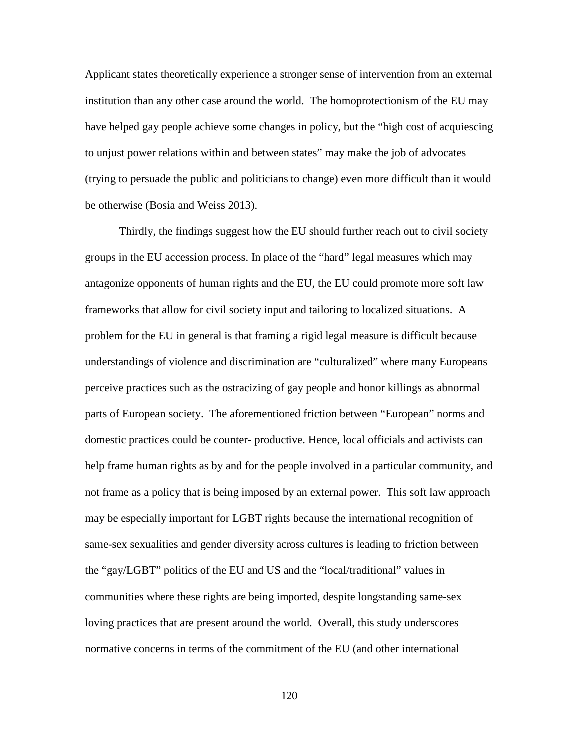Applicant states theoretically experience a stronger sense of intervention from an external institution than any other case around the world. The homoprotectionism of the EU may have helped gay people achieve some changes in policy, but the "high cost of acquiescing to unjust power relations within and between states" may make the job of advocates (trying to persuade the public and politicians to change) even more difficult than it would be otherwise (Bosia and Weiss 2013).

Thirdly, the findings suggest how the EU should further reach out to civil society groups in the EU accession process. In place of the "hard" legal measures which may antagonize opponents of human rights and the EU, the EU could promote more soft law frameworks that allow for civil society input and tailoring to localized situations. A problem for the EU in general is that framing a rigid legal measure is difficult because understandings of violence and discrimination are "culturalized" where many Europeans perceive practices such as the ostracizing of gay people and honor killings as abnormal parts of European society. The aforementioned friction between "European" norms and domestic practices could be counter- productive. Hence, local officials and activists can help frame human rights as by and for the people involved in a particular community, and not frame as a policy that is being imposed by an external power. This soft law approach may be especially important for LGBT rights because the international recognition of same-sex sexualities and gender diversity across cultures is leading to friction between the "gay/LGBT" politics of the EU and US and the "local/traditional" values in communities where these rights are being imported, despite longstanding same-sex loving practices that are present around the world. Overall, this study underscores normative concerns in terms of the commitment of the EU (and other international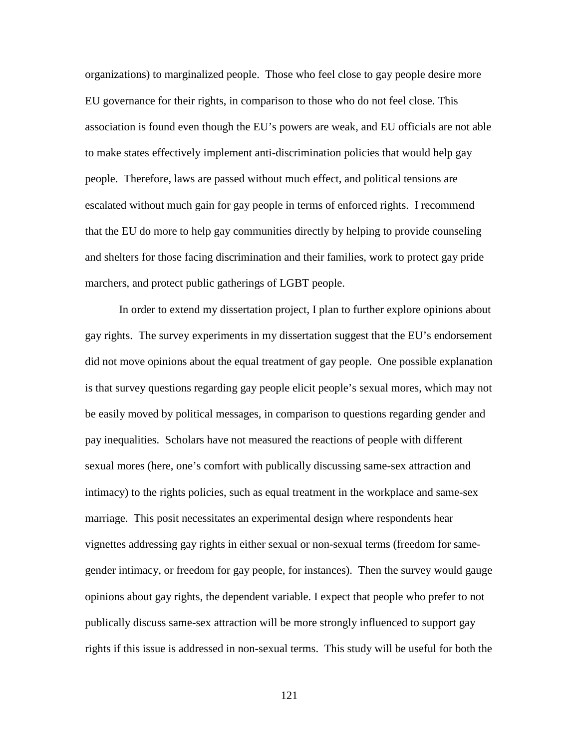organizations) to marginalized people. Those who feel close to gay people desire more EU governance for their rights, in comparison to those who do not feel close. This association is found even though the EU's powers are weak, and EU officials are not able to make states effectively implement anti-discrimination policies that would help gay people. Therefore, laws are passed without much effect, and political tensions are escalated without much gain for gay people in terms of enforced rights. I recommend that the EU do more to help gay communities directly by helping to provide counseling and shelters for those facing discrimination and their families, work to protect gay pride marchers, and protect public gatherings of LGBT people.

In order to extend my dissertation project, I plan to further explore opinions about gay rights. The survey experiments in my dissertation suggest that the EU's endorsement did not move opinions about the equal treatment of gay people. One possible explanation is that survey questions regarding gay people elicit people's sexual mores, which may not be easily moved by political messages, in comparison to questions regarding gender and pay inequalities. Scholars have not measured the reactions of people with different sexual mores (here, one's comfort with publically discussing same-sex attraction and intimacy) to the rights policies, such as equal treatment in the workplace and same-sex marriage. This posit necessitates an experimental design where respondents hear vignettes addressing gay rights in either sexual or non-sexual terms (freedom for samegender intimacy, or freedom for gay people, for instances). Then the survey would gauge opinions about gay rights, the dependent variable. I expect that people who prefer to not publically discuss same-sex attraction will be more strongly influenced to support gay rights if this issue is addressed in non-sexual terms. This study will be useful for both the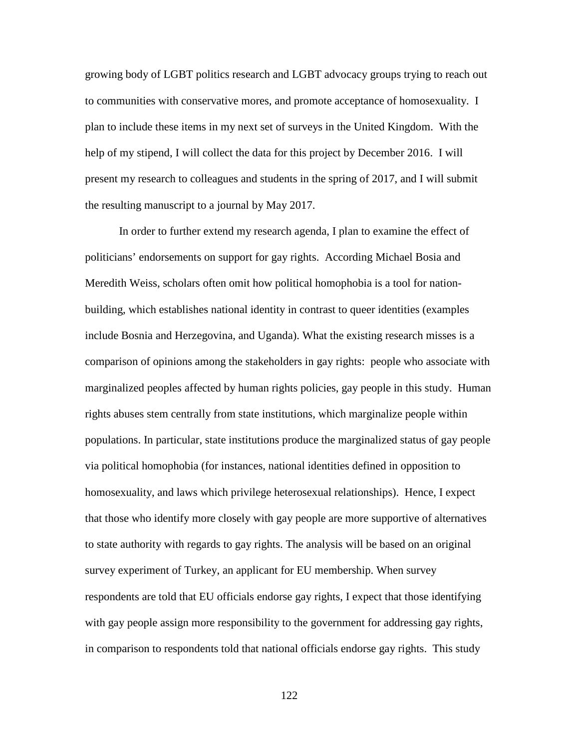growing body of LGBT politics research and LGBT advocacy groups trying to reach out to communities with conservative mores, and promote acceptance of homosexuality. I plan to include these items in my next set of surveys in the United Kingdom. With the help of my stipend, I will collect the data for this project by December 2016. I will present my research to colleagues and students in the spring of 2017, and I will submit the resulting manuscript to a journal by May 2017.

In order to further extend my research agenda, I plan to examine the effect of politicians' endorsements on support for gay rights. According Michael Bosia and Meredith Weiss, scholars often omit how political homophobia is a tool for nationbuilding, which establishes national identity in contrast to queer identities (examples include Bosnia and Herzegovina, and Uganda). What the existing research misses is a comparison of opinions among the stakeholders in gay rights: people who associate with marginalized peoples affected by human rights policies, gay people in this study. Human rights abuses stem centrally from state institutions, which marginalize people within populations. In particular, state institutions produce the marginalized status of gay people via political homophobia (for instances, national identities defined in opposition to homosexuality, and laws which privilege heterosexual relationships). Hence, I expect that those who identify more closely with gay people are more supportive of alternatives to state authority with regards to gay rights. The analysis will be based on an original survey experiment of Turkey, an applicant for EU membership. When survey respondents are told that EU officials endorse gay rights, I expect that those identifying with gay people assign more responsibility to the government for addressing gay rights, in comparison to respondents told that national officials endorse gay rights. This study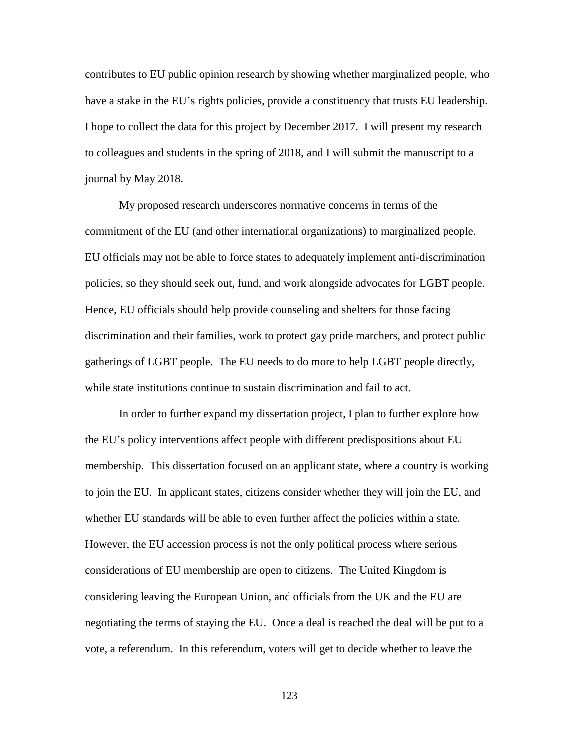contributes to EU public opinion research by showing whether marginalized people, who have a stake in the EU's rights policies, provide a constituency that trusts EU leadership. I hope to collect the data for this project by December 2017. I will present my research to colleagues and students in the spring of 2018, and I will submit the manuscript to a journal by May 2018.

My proposed research underscores normative concerns in terms of the commitment of the EU (and other international organizations) to marginalized people. EU officials may not be able to force states to adequately implement anti-discrimination policies, so they should seek out, fund, and work alongside advocates for LGBT people. Hence, EU officials should help provide counseling and shelters for those facing discrimination and their families, work to protect gay pride marchers, and protect public gatherings of LGBT people. The EU needs to do more to help LGBT people directly, while state institutions continue to sustain discrimination and fail to act.

In order to further expand my dissertation project, I plan to further explore how the EU's policy interventions affect people with different predispositions about EU membership. This dissertation focused on an applicant state, where a country is working to join the EU. In applicant states, citizens consider whether they will join the EU, and whether EU standards will be able to even further affect the policies within a state. However, the EU accession process is not the only political process where serious considerations of EU membership are open to citizens. The United Kingdom is considering leaving the European Union, and officials from the UK and the EU are negotiating the terms of staying the EU. Once a deal is reached the deal will be put to a vote, a referendum. In this referendum, voters will get to decide whether to leave the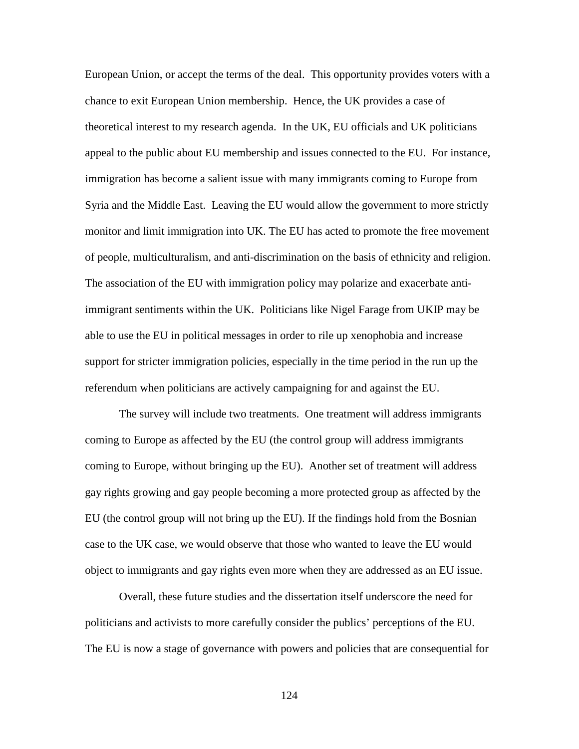European Union, or accept the terms of the deal. This opportunity provides voters with a chance to exit European Union membership. Hence, the UK provides a case of theoretical interest to my research agenda. In the UK, EU officials and UK politicians appeal to the public about EU membership and issues connected to the EU. For instance, immigration has become a salient issue with many immigrants coming to Europe from Syria and the Middle East. Leaving the EU would allow the government to more strictly monitor and limit immigration into UK. The EU has acted to promote the free movement of people, multiculturalism, and anti-discrimination on the basis of ethnicity and religion. The association of the EU with immigration policy may polarize and exacerbate antiimmigrant sentiments within the UK. Politicians like Nigel Farage from UKIP may be able to use the EU in political messages in order to rile up xenophobia and increase support for stricter immigration policies, especially in the time period in the run up the referendum when politicians are actively campaigning for and against the EU.

The survey will include two treatments. One treatment will address immigrants coming to Europe as affected by the EU (the control group will address immigrants coming to Europe, without bringing up the EU). Another set of treatment will address gay rights growing and gay people becoming a more protected group as affected by the EU (the control group will not bring up the EU). If the findings hold from the Bosnian case to the UK case, we would observe that those who wanted to leave the EU would object to immigrants and gay rights even more when they are addressed as an EU issue.

Overall, these future studies and the dissertation itself underscore the need for politicians and activists to more carefully consider the publics' perceptions of the EU. The EU is now a stage of governance with powers and policies that are consequential for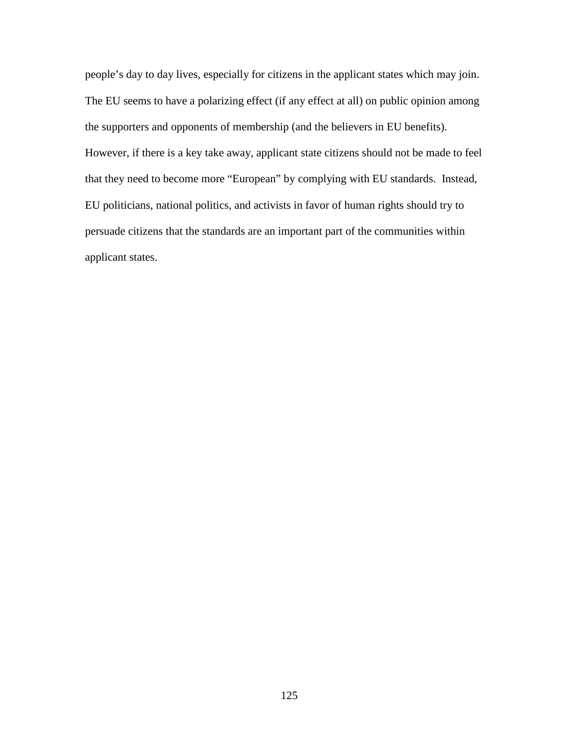people's day to day lives, especially for citizens in the applicant states which may join. The EU seems to have a polarizing effect (if any effect at all) on public opinion among the supporters and opponents of membership (and the believers in EU benefits). However, if there is a key take away, applicant state citizens should not be made to feel that they need to become more "European" by complying with EU standards. Instead, EU politicians, national politics, and activists in favor of human rights should try to persuade citizens that the standards are an important part of the communities within applicant states.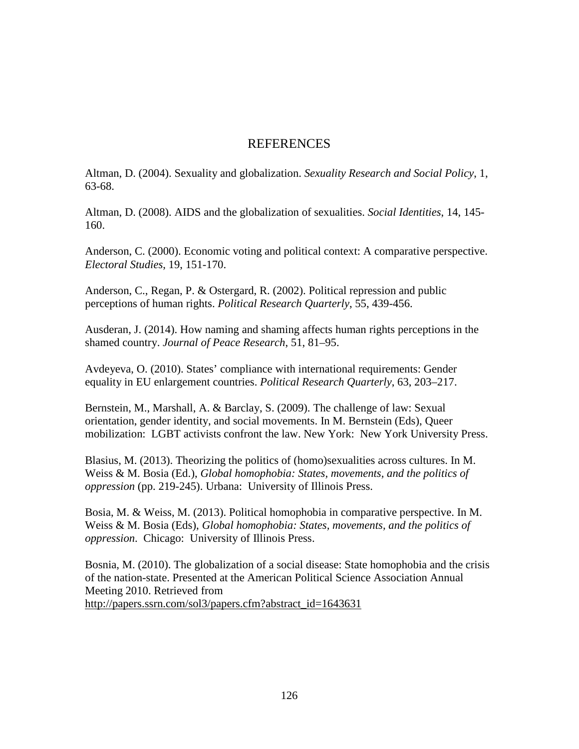# **REFERENCES**

Altman, D. (2004). Sexuality and globalization. *Sexuality Research and Social Policy*, 1, 63-68.

Altman, D. (2008). AIDS and the globalization of sexualities. *Social Identities*, 14, 145- 160.

Anderson, C. (2000). Economic voting and political context: A comparative perspective. *Electoral Studies*, 19, 151-170.

Anderson, C., Regan, P. & Ostergard, R. (2002). Political repression and public perceptions of human rights. *Political Research Quarterly*, 55, 439-456.

Ausderan, J. (2014). How naming and shaming affects human rights perceptions in the shamed country. *Journal of Peace Research*, 51, 81–95.

Avdeyeva, O. (2010). States' compliance with international requirements: Gender equality in EU enlargement countries. *Political Research Quarterly*, 63, 203–217.

Bernstein, M., Marshall, A. & Barclay, S. (2009). The challenge of law: Sexual orientation, gender identity, and social movements. In M. Bernstein (Eds), Queer mobilization: LGBT activists confront the law. New York: New York University Press.

Blasius, M. (2013). Theorizing the politics of (homo)sexualities across cultures. In M. Weiss & M. Bosia (Ed.), *Global homophobia: States, movements, and the politics of oppression* (pp. 219-245). Urbana: University of Illinois Press.

Bosia, M. & Weiss, M. (2013). Political homophobia in comparative perspective. In M. Weiss & M. Bosia (Eds), *Global homophobia: States, movements, and the politics of oppression*. Chicago: University of Illinois Press.

Bosnia, M. (2010). The globalization of a social disease: State homophobia and the crisis of the nation-state. Presented at the American Political Science Association Annual Meeting 2010. Retrieved from [http://papers.ssrn.com/sol3/papers.cfm?abstract\\_id=1643631](http://papers.ssrn.com/sol3/papers.cfm?abstract_id=1643631)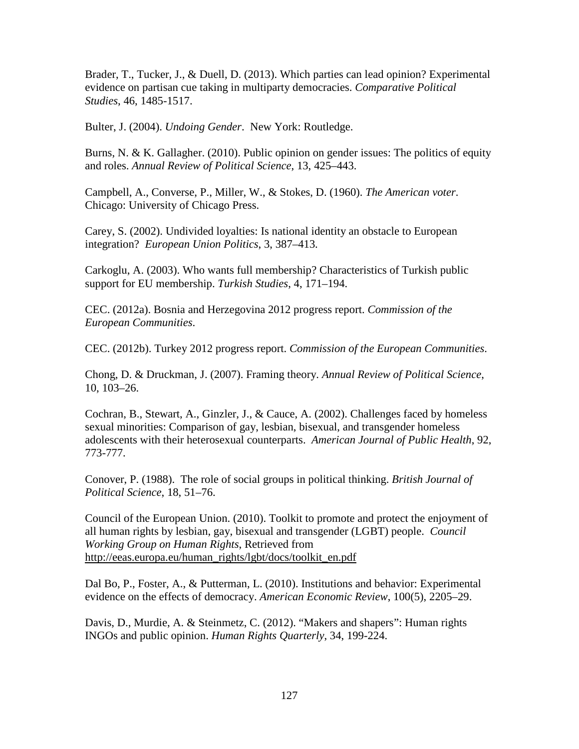Brader, T., Tucker, J., & Duell, D. (2013). Which parties can lead opinion? Experimental evidence on partisan cue taking in multiparty democracies. *Comparative Political Studies*, 46, 1485-1517.

Bulter, J. (2004). *Undoing Gender*. New York: Routledge.

Burns, N. & K. Gallagher. (2010). Public opinion on gender issues: The politics of equity and roles. *Annual Review of Political Science*, 13, 425–443.

Campbell, A., Converse, P., Miller, W., & Stokes, D. (1960). *The American voter*. Chicago: University of Chicago Press.

Carey, S. (2002). Undivided loyalties: Is national identity an obstacle to European integration? *European Union Politics*, 3, 387–413.

Carkoglu, A. (2003). Who wants full membership? Characteristics of Turkish public support for EU membership. *Turkish Studies*, 4, 171–194.

CEC. (2012a). Bosnia and Herzegovina 2012 progress report. *Commission of the European Communities*.

CEC. (2012b). Turkey 2012 progress report. *Commission of the European Communities*.

Chong, D. & Druckman, J. (2007). Framing theory. *Annual Review of Political Science*, 10, 103–26.

Cochran, B., Stewart, A., Ginzler, J., & Cauce, A. (2002). Challenges faced by homeless sexual minorities: Comparison of gay, lesbian, bisexual, and transgender homeless adolescents with their heterosexual counterparts. *American Journal of Public Health*, 92, 773-777.

Conover, P. (1988). The role of social groups in political thinking. *British Journal of Political Science*, 18, 51–76.

Council of the European Union. (2010). Toolkit to promote and protect the enjoyment of all human rights by lesbian, gay, bisexual and transgender (LGBT) people. *Council Working Group on Human Rights*, Retrieved from [http://eeas.europa.eu/human\\_rights/lgbt/docs/toolkit\\_en.pdf](http://eeas.europa.eu/human_rights/lgbt/docs/toolkit_en.pdf) 

Dal Bo, P., Foster, A., & Putterman, L. (2010). Institutions and behavior: Experimental evidence on the effects of democracy. *American Economic Review*, 100(5), 2205–29.

Davis, D., Murdie, A. & Steinmetz, C. (2012). "Makers and shapers": Human rights INGOs and public opinion. *Human Rights Quarterly*, 34, 199-224.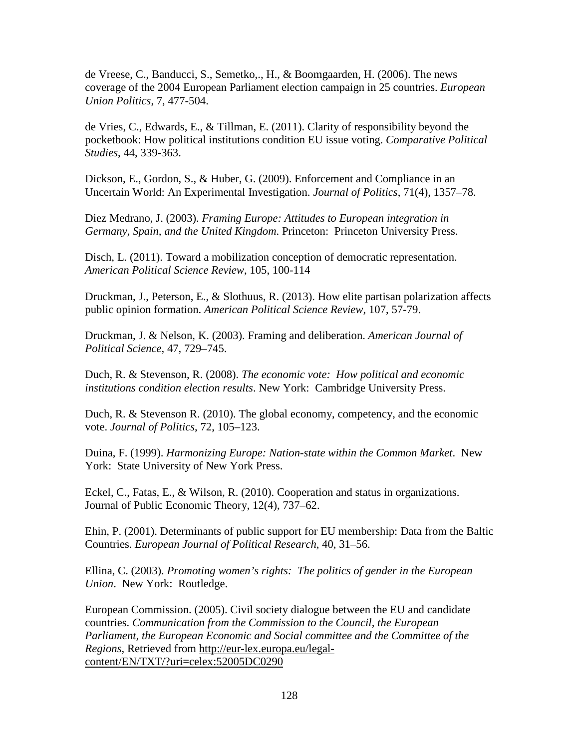de Vreese, C., Banducci, S., Semetko,., H., & Boomgaarden, H. (2006). The news coverage of the 2004 European Parliament election campaign in 25 countries. *European Union Politics*, 7, 477-504.

de Vries, C., Edwards, E., & Tillman, E. (2011). Clarity of responsibility beyond the pocketbook: How political institutions condition EU issue voting. *Comparative Political Studies*, 44, 339-363.

Dickson, E., Gordon, S., & Huber, G. (2009). Enforcement and Compliance in an Uncertain World: An Experimental Investigation. *Journal of Politics*, 71(4), 1357–78.

Diez Medrano, J. (2003). *Framing Europe: Attitudes to European integration in Germany, Spain, and the United Kingdom*. Princeton: Princeton University Press.

Disch, L. (2011). Toward a mobilization conception of democratic representation. *American Political Science Review*, 105, 100-114

Druckman, J., Peterson, E., & Slothuus, R. (2013). How elite partisan polarization affects public opinion formation. *American Political Science Review*, 107, 57-79.

Druckman, J. & Nelson, K. (2003). Framing and deliberation. *American Journal of Political Science*, 47, 729–745.

Duch, R. & Stevenson, R. (2008). *The economic vote: How political and economic institutions condition election results*. New York: Cambridge University Press.

Duch, R. & Stevenson R. (2010). The global economy, competency, and the economic vote. *Journal of Politics*, 72, 105–123.

Duina, F. (1999). *Harmonizing Europe: Nation-state within the Common Market*. New York: State University of New York Press.

Eckel, C., Fatas, E., & Wilson, R. (2010). Cooperation and status in organizations. Journal of Public Economic Theory, 12(4), 737–62.

Ehin, P. (2001). Determinants of public support for EU membership: Data from the Baltic Countries. *European Journal of Political Research*, 40, 31–56.

Ellina, C. (2003). *Promoting women's rights: The politics of gender in the European Union*. New York: Routledge.

European Commission. (2005). Civil society dialogue between the EU and candidate countries. *Communication from the Commission to the Council, the European Parliament, the European Economic and Social committee and the Committee of the Regions,* Retrieved from [http://eur-lex.europa.eu/legal](http://eur-lex.europa.eu/legal-content/EN/TXT/?uri=celex:52005DC0290)[content/EN/TXT/?uri=celex:52005DC0290](http://eur-lex.europa.eu/legal-content/EN/TXT/?uri=celex:52005DC0290)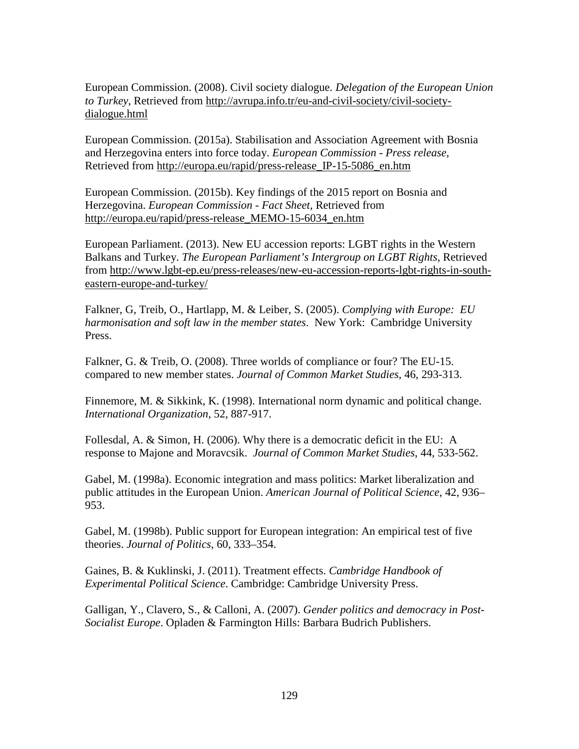European Commission. (2008). Civil society dialogue. *Delegation of the European Union to Turkey*, Retrieved from [http://avrupa.info.tr/eu-and-civil-society/civil-society](http://avrupa.info.tr/eu-and-civil-society/civil-society-dialogue.html)[dialogue.html](http://avrupa.info.tr/eu-and-civil-society/civil-society-dialogue.html) 

European Commission. (2015a). Stabilisation and Association Agreement with Bosnia and Herzegovina enters into force today. *European Commission - Press release*, Retrieved from [http://europa.eu/rapid/press-release\\_IP-15-5086\\_en.htm](http://europa.eu/rapid/press-release_IP-15-5086_en.htm) 

European Commission. (2015b). Key findings of the 2015 report on Bosnia and Herzegovina. *European Commission - Fact Sheet*, Retrieved from [http://europa.eu/rapid/press-release\\_MEMO-15-6034\\_en.htm](http://europa.eu/rapid/press-release_MEMO-15-6034_en.htm)

European Parliament. (2013). New EU accession reports: LGBT rights in the Western Balkans and Turkey. *The European Parliament's Intergroup on LGBT Rights*, Retrieved from [http://www.lgbt-ep.eu/press-releases/new-eu-accession-reports-lgbt-rights-in-south](http://www.lgbt-ep.eu/press-releases/new-eu-accession-reports-lgbt-rights-in-south-eastern-europe-and-turkey/)[eastern-europe-and-turkey/](http://www.lgbt-ep.eu/press-releases/new-eu-accession-reports-lgbt-rights-in-south-eastern-europe-and-turkey/) 

Falkner, G, Treib, O., Hartlapp, M. & Leiber, S. (2005). *Complying with Europe: EU harmonisation and soft law in the member states*. New York: Cambridge University Press.

Falkner, G. & Treib, O. (2008). Three worlds of compliance or four? The EU-15. compared to new member states. *Journal of Common Market Studies*, 46, 293-313.

Finnemore, M. & Sikkink, K. (1998). International norm dynamic and political change. *International Organization*, 52, 887-917.

Follesdal, A. & Simon, H. (2006). Why there is a democratic deficit in the EU: A response to Majone and Moravcsik. *Journal of Common Market Studies*, 44, 533-562.

Gabel, M. (1998a). Economic integration and mass politics: Market liberalization and public attitudes in the European Union. *American Journal of Political Science*, 42, 936– 953.

Gabel, M. (1998b). Public support for European integration: An empirical test of five theories. *Journal of Politics*, 60, 333–354.

Gaines, B. & Kuklinski, J. (2011). Treatment effects. *Cambridge Handbook of Experimental Political Science*. Cambridge: Cambridge University Press.

Galligan, Y., Clavero, S., & Calloni, A. (2007). *Gender politics and democracy in Post-Socialist Europe*. Opladen & Farmington Hills: Barbara Budrich Publishers.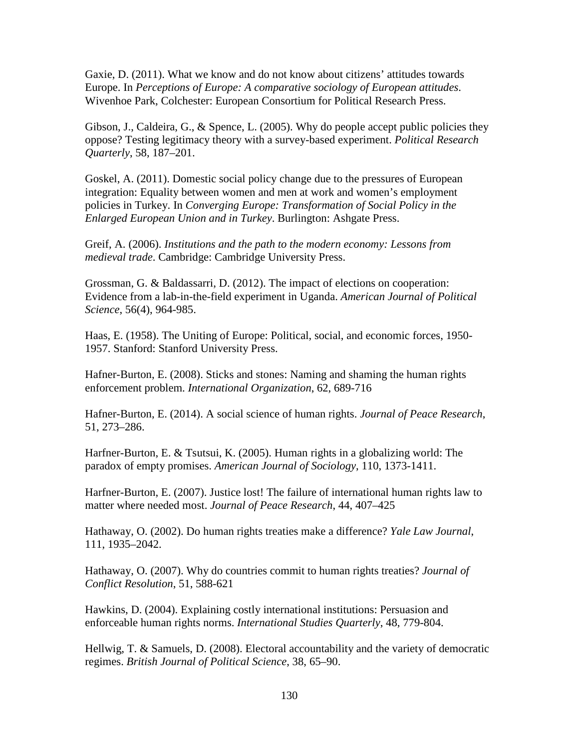Gaxie, D. (2011). What we know and do not know about citizens' attitudes towards Europe. In *Perceptions of Europe: A comparative sociology of European attitudes*. Wivenhoe Park, Colchester: European Consortium for Political Research Press.

Gibson, J., Caldeira, G., & Spence, L. (2005). Why do people accept public policies they oppose? Testing legitimacy theory with a survey-based experiment. *Political Research Quarterly*, 58, 187–201.

Goskel, A. (2011). Domestic social policy change due to the pressures of European integration: Equality between women and men at work and women's employment policies in Turkey. In *Converging Europe: Transformation of Social Policy in the Enlarged European Union and in Turkey*. Burlington: Ashgate Press.

Greif, A. (2006). *Institutions and the path to the modern economy: Lessons from medieval trade*. Cambridge: Cambridge University Press.

Grossman, G. & Baldassarri, D. (2012). The impact of elections on cooperation: Evidence from a lab-in-the-field experiment in Uganda. *American Journal of Political Science*, 56(4), 964-985.

Haas, E. (1958). The Uniting of Europe: Political, social, and economic forces, 1950- 1957. Stanford: Stanford University Press.

Hafner-Burton, E. (2008). Sticks and stones: Naming and shaming the human rights enforcement problem. *International Organization*, 62, 689-716

Hafner-Burton, E. (2014). A social science of human rights. *Journal of Peace Research*, 51, 273–286.

Harfner-Burton, E. & Tsutsui, K. (2005). Human rights in a globalizing world: The paradox of empty promises. *American Journal of Sociology*, 110, 1373-1411.

Harfner-Burton, E. (2007). Justice lost! The failure of international human rights law to matter where needed most. *Journal of Peace Research*, 44, 407–425

Hathaway, O. (2002). Do human rights treaties make a difference? *Yale Law Journal*, 111, 1935–2042.

Hathaway, O. (2007). Why do countries commit to human rights treaties? *Journal of Conflict Resolution*, 51, 588-621

Hawkins, D. (2004). Explaining costly international institutions: Persuasion and enforceable human rights norms. *International Studies Quarterly*, 48, 779-804.

Hellwig, T. & Samuels, D. (2008). Electoral accountability and the variety of democratic regimes. *British Journal of Political Science*, 38, 65–90.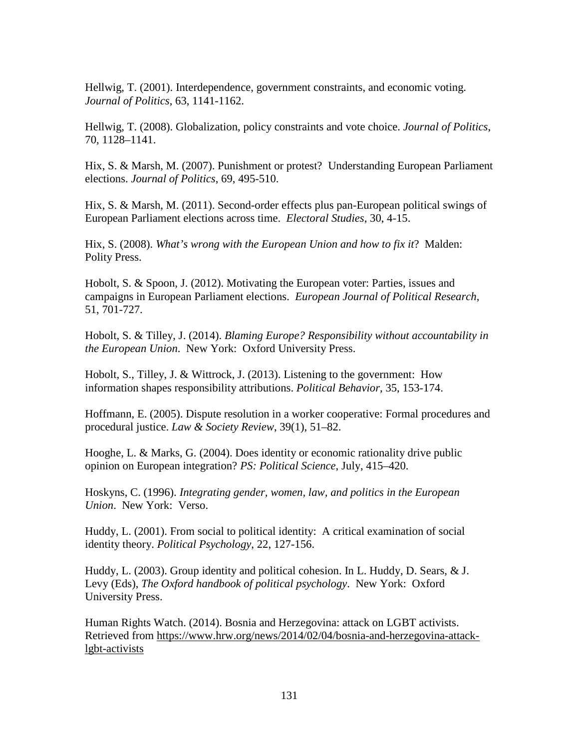Hellwig, T. (2001). Interdependence, government constraints, and economic voting. *Journal of Politics*, 63, 1141-1162.

Hellwig, T. (2008). Globalization, policy constraints and vote choice. *Journal of Politics*, 70, 1128–1141.

Hix, S. & Marsh, M. (2007). Punishment or protest? Understanding European Parliament elections. *Journal of Politics*, 69, 495-510.

Hix, S. & Marsh, M. (2011). Second-order effects plus pan-European political swings of European Parliament elections across time. *Electoral Studies*, 30, 4-15.

Hix, S. (2008). *What's wrong with the European Union and how to fix it*? Malden: Polity Press.

Hobolt, S. & Spoon, J. (2012). Motivating the European voter: Parties, issues and campaigns in European Parliament elections. *European Journal of Political Research*, 51, 701-727.

Hobolt, S. & Tilley, J. (2014). *Blaming Europe? Responsibility without accountability in the European Union*. New York: Oxford University Press.

Hobolt, S., Tilley, J. & Wittrock, J. (2013). Listening to the government: How information shapes responsibility attributions. *Political Behavior*, 35, 153-174.

Hoffmann, E. (2005). Dispute resolution in a worker cooperative: Formal procedures and procedural justice. *Law & Society Review*, 39(1), 51–82.

Hooghe, L. & Marks, G. (2004). Does identity or economic rationality drive public opinion on European integration? *PS: Political Science*, July, 415–420.

Hoskyns, C. (1996). *Integrating gender, women, law, and politics in the European Union*. New York: Verso.

Huddy, L. (2001). From social to political identity: A critical examination of social identity theory. *Political Psychology*, 22, 127-156.

Huddy, L. (2003). Group identity and political cohesion. In L. Huddy, D. Sears, & J. Levy (Eds), *The Oxford handbook of political psychology*. New York: Oxford University Press.

Human Rights Watch. (2014). Bosnia and Herzegovina: attack on LGBT activists. Retrieved from [https://www.hrw.org/news/2014/02/04/bosnia-and-herzegovina-attack](https://www.hrw.org/news/2014/02/04/bosnia-and-herzegovina-attack-lgbt-activists)[lgbt-activists](https://www.hrw.org/news/2014/02/04/bosnia-and-herzegovina-attack-lgbt-activists)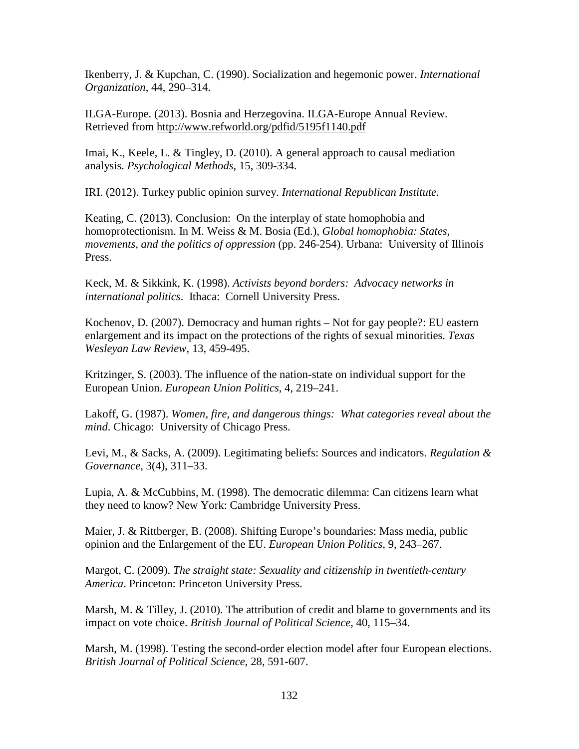Ikenberry, J. & Kupchan, C. (1990). Socialization and hegemonic power. *International Organization*, 44, 290–314.

ILGA-Europe. (2013). Bosnia and Herzegovina. ILGA-Europe Annual Review. Retrieved from<http://www.refworld.org/pdfid/5195f1140.pdf>

Imai, K., Keele, L. & Tingley, D. (2010). A general approach to causal mediation analysis. *Psychological Methods*, 15, 309-334.

IRI. (2012). Turkey public opinion survey. *International Republican Institute*.

Keating, C. (2013). Conclusion: On the interplay of state homophobia and homoprotectionism. In M. Weiss & M. Bosia (Ed.), *Global homophobia: States, movements, and the politics of oppression* (pp. 246-254). Urbana: University of Illinois Press.

Keck, M. & Sikkink, K. (1998). *Activists beyond borders: Advocacy networks in international politics*. Ithaca: Cornell University Press.

Kochenov, D. (2007). Democracy and human rights – Not for gay people?: EU eastern enlargement and its impact on the protections of the rights of sexual minorities. *Texas Wesleyan Law Review*, 13, 459-495.

Kritzinger, S. (2003). The influence of the nation-state on individual support for the European Union. *European Union Politics*, 4, 219–241.

Lakoff, G. (1987). *Women, fire, and dangerous things: What categories reveal about the mind*. Chicago: University of Chicago Press.

Levi, M., & Sacks, A. (2009). Legitimating beliefs: Sources and indicators. *Regulation & Governance*, 3(4), 311–33.

Lupia, A. & McCubbins, M. (1998). The democratic dilemma: Can citizens learn what they need to know? New York: Cambridge University Press.

Maier, J. & Rittberger, B. (2008). Shifting Europe's boundaries: Mass media, public opinion and the Enlargement of the EU. *European Union Politics*, 9, 243–267.

Margot, C. (2009). *The straight state: Sexuality and citizenship in twentieth-century America*. Princeton: Princeton University Press.

Marsh, M. & Tilley, J. (2010). The attribution of credit and blame to governments and its impact on vote choice. *British Journal of Political Science*, 40, 115–34.

Marsh, M. (1998). Testing the second-order election model after four European elections. *British Journal of Political Science*, 28, 591-607.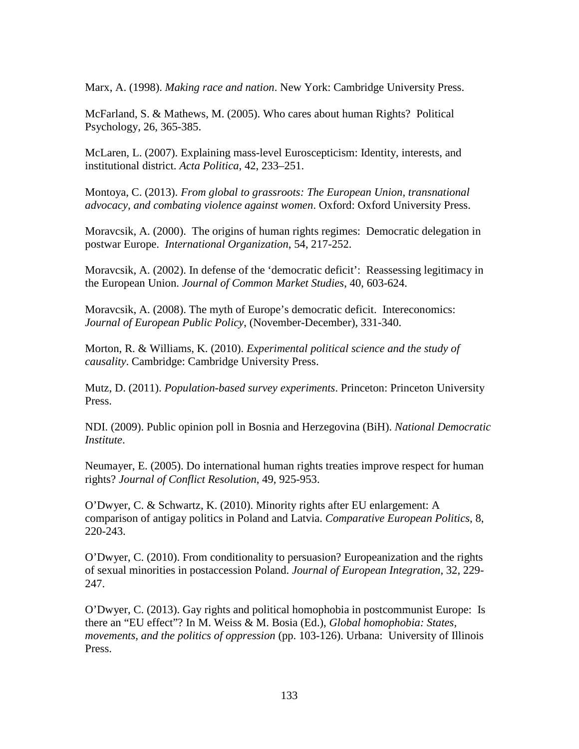Marx, A. (1998). *Making race and nation*. New York: Cambridge University Press.

McFarland, S. & Mathews, M. (2005). Who cares about human Rights? Political Psychology, 26, 365-385.

McLaren, L. (2007). Explaining mass-level Euroscepticism: Identity, interests, and institutional district. *Acta Politica*, 42, 233–251.

Montoya, C. (2013). *From global to grassroots: The European Union, transnational advocacy, and combating violence against women*. Oxford: Oxford University Press.

Moravcsik, A. (2000). The origins of human rights regimes: Democratic delegation in postwar Europe. *International Organization*, 54, 217-252.

Moravcsik, A. (2002). In defense of the 'democratic deficit': Reassessing legitimacy in the European Union. *Journal of Common Market Studies*, 40, 603-624.

Moravcsik, A. (2008). The myth of Europe's democratic deficit. Intereconomics: *Journal of European Public Policy*, (November-December), 331-340.

Morton, R. & Williams, K. (2010). *Experimental political science and the study of causality*. Cambridge: Cambridge University Press.

Mutz, D. (2011). *Population-based survey experiments*. Princeton: Princeton University Press.

NDI. (2009). Public opinion poll in Bosnia and Herzegovina (BiH). *National Democratic Institute*.

Neumayer, E. (2005). Do international human rights treaties improve respect for human rights? *Journal of Conflict Resolution*, 49, 925-953.

O'Dwyer, C. & Schwartz, K. (2010). Minority rights after EU enlargement: A comparison of antigay politics in Poland and Latvia. *Comparative European Politics*, 8, 220-243.

O'Dwyer, C. (2010). From conditionality to persuasion? Europeanization and the rights of sexual minorities in postaccession Poland. *Journal of European Integration*, 32, 229- 247.

O'Dwyer, C. (2013). Gay rights and political homophobia in postcommunist Europe: Is there an "EU effect"? In M. Weiss & M. Bosia (Ed.), *Global homophobia: States, movements, and the politics of oppression* (pp. 103-126). Urbana: University of Illinois Press.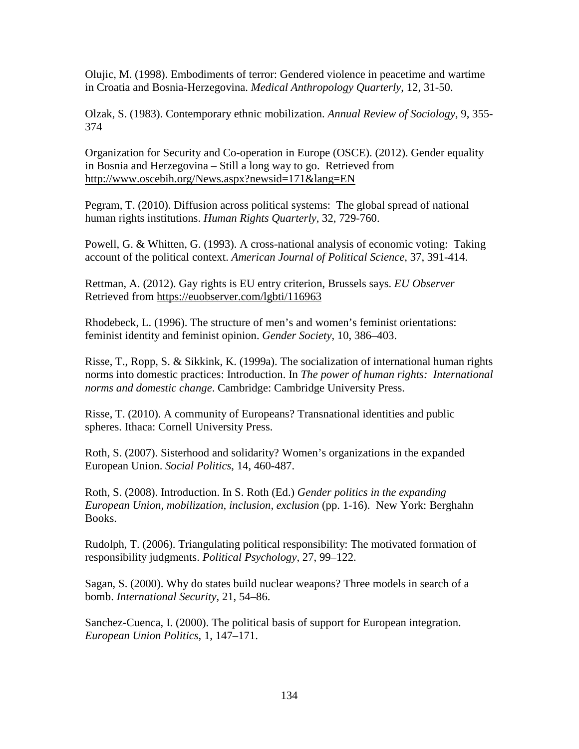Olujic, M. (1998). Embodiments of terror: Gendered violence in peacetime and wartime in Croatia and Bosnia-Herzegovina. *Medical Anthropology Quarterly*, 12, 31-50.

Olzak, S. (1983). Contemporary ethnic mobilization. *Annual Review of Sociology*, 9, 355- 374

Organization for Security and Co-operation in Europe (OSCE). (2012). Gender equality in Bosnia and Herzegovina – Still a long way to go. Retrieved from <http://www.oscebih.org/News.aspx?newsid=171&lang=EN>

Pegram, T. (2010). Diffusion across political systems: The global spread of national human rights institutions. *Human Rights Quarterly*, 32, 729-760.

Powell, G. & Whitten, G. (1993). A cross-national analysis of economic voting: Taking account of the political context. *American Journal of Political Science*, 37, 391-414.

Rettman, A. (2012). Gay rights is EU entry criterion, Brussels says. *EU Observer* Retrieved from<https://euobserver.com/lgbti/116963>

Rhodebeck, L. (1996). The structure of men's and women's feminist orientations: feminist identity and feminist opinion. *Gender Society*, 10, 386–403.

Risse, T., Ropp, S. & Sikkink, K. (1999a). The socialization of international human rights norms into domestic practices: Introduction. In *The power of human rights: International norms and domestic change*. Cambridge: Cambridge University Press.

Risse, T. (2010). A community of Europeans? Transnational identities and public spheres. Ithaca: Cornell University Press.

Roth, S. (2007). Sisterhood and solidarity? Women's organizations in the expanded European Union. *Social Politics*, 14, 460-487.

Roth, S. (2008). Introduction. In S. Roth (Ed.) *Gender politics in the expanding European Union, mobilization, inclusion, exclusion* (pp. 1-16). New York: Berghahn Books.

Rudolph, T. (2006). Triangulating political responsibility: The motivated formation of responsibility judgments. *Political Psychology*, 27, 99–122.

Sagan, S. (2000). Why do states build nuclear weapons? Three models in search of a bomb. *International Security*, 21, 54–86.

Sanchez-Cuenca, I. (2000). The political basis of support for European integration. *European Union Politics*, 1, 147–171.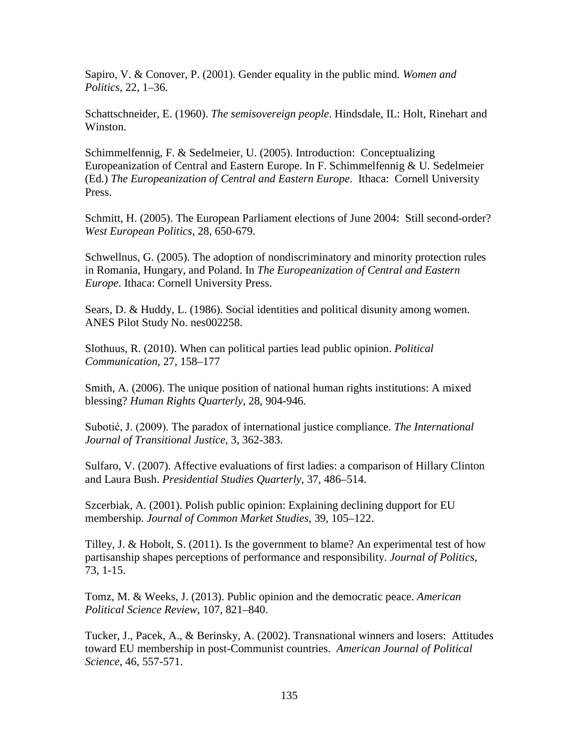Sapiro, V. & Conover, P. (2001). Gender equality in the public mind. *Women and Politics*, 22, 1–36.

Schattschneider, E. (1960). *The semisovereign people*. Hindsdale, IL: Holt, Rinehart and Winston.

Schimmelfennig, F. & Sedelmeier, U. (2005). Introduction: Conceptualizing Europeanization of Central and Eastern Europe. In F. Schimmelfennig & U. Sedelmeier (Ed.) *The Europeanization of Central and Eastern Europe*. Ithaca: Cornell University Press.

Schmitt, H. (2005). The European Parliament elections of June 2004: Still second-order? *West European Politics*, 28, 650-679.

Schwellnus, G. (2005). The adoption of nondiscriminatory and minority protection rules in Romania, Hungary, and Poland. In *The Europeanization of Central and Eastern Europe*. Ithaca: Cornell University Press.

Sears, D. & Huddy, L. (1986). Social identities and political disunity among women. ANES Pilot Study No. nes002258.

Slothuus, R. (2010). When can political parties lead public opinion. *Political Communication*, 27, 158–177

Smith, A. (2006). The unique position of national human rights institutions: A mixed blessing? *Human Rights Quarterly*, 28, 904-946.

Subotić, J. (2009). The paradox of international justice compliance. *The International Journal of Transitional Justice*, 3, 362-383.

Sulfaro, V. (2007). Affective evaluations of first ladies: a comparison of Hillary Clinton and Laura Bush. *Presidential Studies Quarterly*, 37, 486–514.

Szcerbiak, A. (2001). Polish public opinion: Explaining declining dupport for EU membership. *Journal of Common Market Studies*, 39, 105–122.

Tilley, J. & Hobolt, S. (2011). Is the government to blame? An experimental test of how partisanship shapes perceptions of performance and responsibility. *Journal of Politics*, 73, 1-15.

Tomz, M. & Weeks, J. (2013). Public opinion and the democratic peace. *American Political Science Review*, 107, 821–840.

Tucker, J., Pacek, A., & Berinsky, A. (2002). Transnational winners and losers: Attitudes toward EU membership in post-Communist countries. *American Journal of Political Science*, 46, 557-571.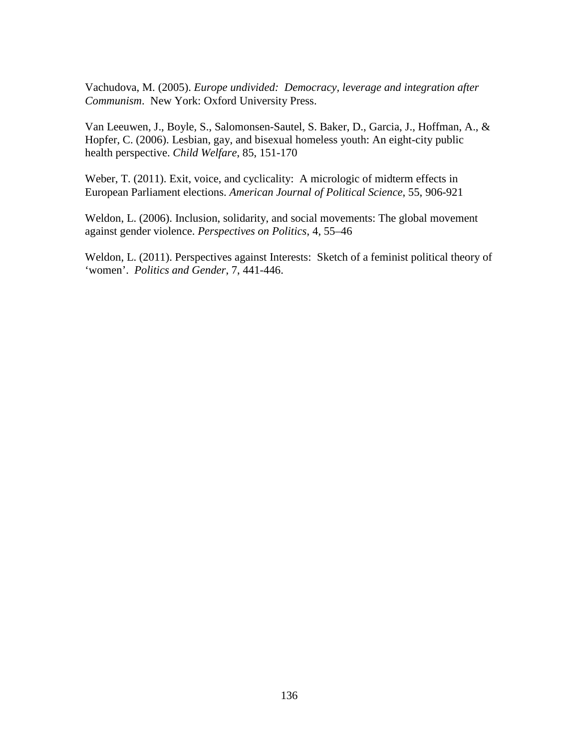Vachudova, M. (2005). *Europe undivided: Democracy, leverage and integration after Communism*. New York: Oxford University Press.

Van Leeuwen, J., Boyle, S., Salomonsen-Sautel, S. Baker, D., Garcia, J., Hoffman, A., & Hopfer, C. (2006). Lesbian, gay, and bisexual homeless youth: An eight-city public health perspective. *Child Welfare*, 85, 151-170

Weber, T. (2011). Exit, voice, and cyclicality: A micrologic of midterm effects in European Parliament elections. *American Journal of Political Science*, 55, 906-921

Weldon, L. (2006). Inclusion, solidarity, and social movements: The global movement against gender violence. *Perspectives on Politics*, 4, 55–46

Weldon, L. (2011). Perspectives against Interests: Sketch of a feminist political theory of 'women'. *Politics and Gender*, 7, 441-446.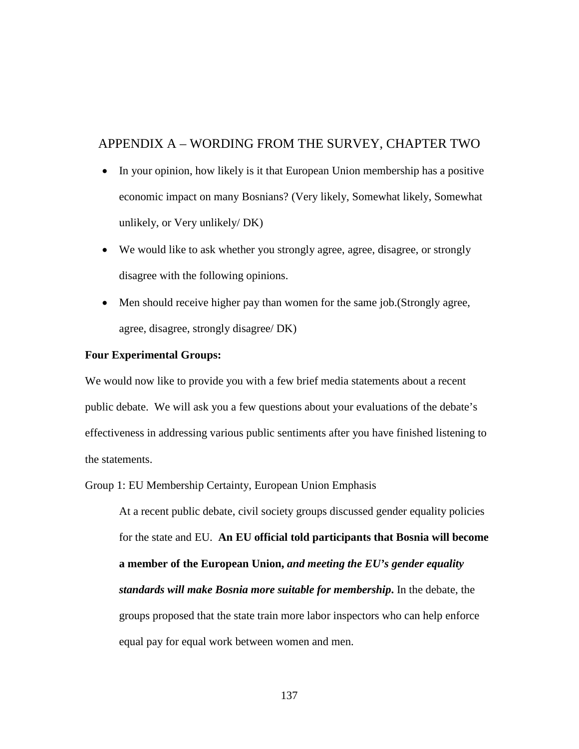# APPENDIX A – WORDING FROM THE SURVEY, CHAPTER TWO

- In your opinion, how likely is it that European Union membership has a positive economic impact on many Bosnians? (Very likely, Somewhat likely, Somewhat unlikely, or Very unlikely/ DK)
- We would like to ask whether you strongly agree, agree, disagree, or strongly disagree with the following opinions.
- Men should receive higher pay than women for the same job. (Strongly agree, agree, disagree, strongly disagree/ DK)

### **Four Experimental Groups:**

We would now like to provide you with a few brief media statements about a recent public debate. We will ask you a few questions about your evaluations of the debate's effectiveness in addressing various public sentiments after you have finished listening to the statements.

### Group 1: EU Membership Certainty, European Union Emphasis

At a recent public debate, civil society groups discussed gender equality policies for the state and EU. **An EU official told participants that Bosnia will become a member of the European Union,** *and meeting the EU's gender equality standards will make Bosnia more suitable for membership***.** In the debate, the groups proposed that the state train more labor inspectors who can help enforce equal pay for equal work between women and men.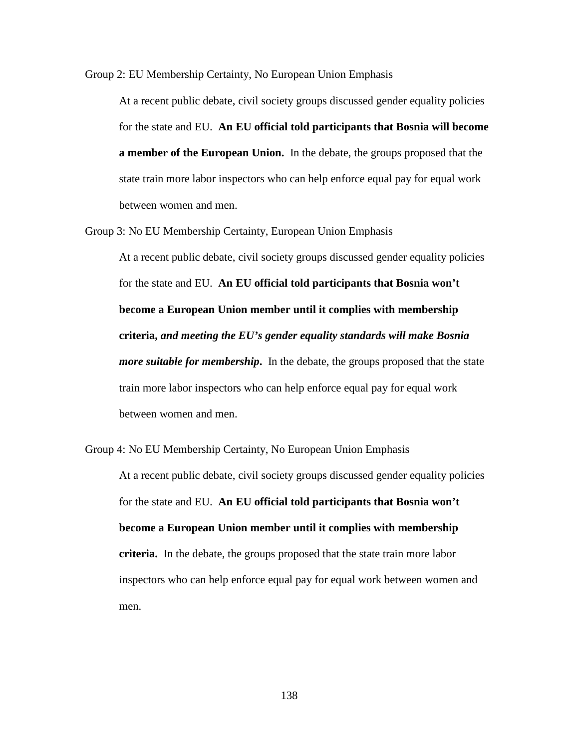Group 2: EU Membership Certainty, No European Union Emphasis

At a recent public debate, civil society groups discussed gender equality policies for the state and EU. **An EU official told participants that Bosnia will become a member of the European Union.** In the debate, the groups proposed that the state train more labor inspectors who can help enforce equal pay for equal work between women and men.

Group 3: No EU Membership Certainty, European Union Emphasis

At a recent public debate, civil society groups discussed gender equality policies for the state and EU. **An EU official told participants that Bosnia won't become a European Union member until it complies with membership criteria,** *and meeting the EU's gender equality standards will make Bosnia more suitable for membership***.** In the debate, the groups proposed that the state train more labor inspectors who can help enforce equal pay for equal work between women and men.

Group 4: No EU Membership Certainty, No European Union Emphasis At a recent public debate, civil society groups discussed gender equality policies for the state and EU. **An EU official told participants that Bosnia won't become a European Union member until it complies with membership criteria.** In the debate, the groups proposed that the state train more labor inspectors who can help enforce equal pay for equal work between women and men.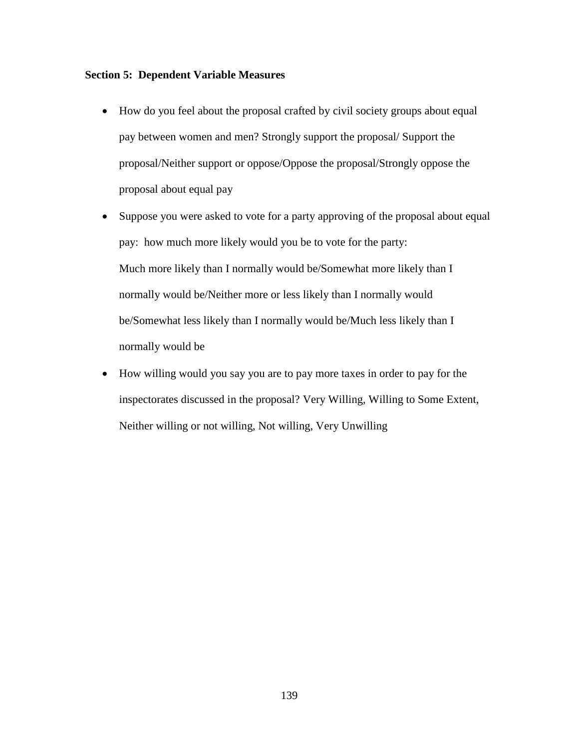### **Section 5: Dependent Variable Measures**

- How do you feel about the proposal crafted by civil society groups about equal pay between women and men? Strongly support the proposal/ Support the proposal/Neither support or oppose/Oppose the proposal/Strongly oppose the proposal about equal pay
- Suppose you were asked to vote for a party approving of the proposal about equal pay: how much more likely would you be to vote for the party: Much more likely than I normally would be/Somewhat more likely than I normally would be/Neither more or less likely than I normally would be/Somewhat less likely than I normally would be/Much less likely than I normally would be
- How willing would you say you are to pay more taxes in order to pay for the inspectorates discussed in the proposal? Very Willing, Willing to Some Extent, Neither willing or not willing, Not willing, Very Unwilling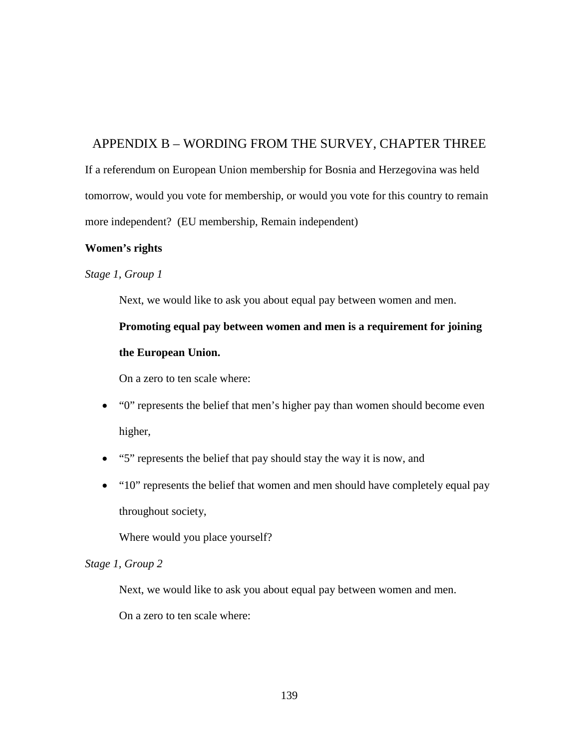# APPENDIX B – WORDING FROM THE SURVEY, CHAPTER THREE

If a referendum on European Union membership for Bosnia and Herzegovina was held tomorrow, would you vote for membership, or would you vote for this country to remain more independent? (EU membership, Remain independent)

# **Women's rights**

# *Stage 1, Group 1*

Next, we would like to ask you about equal pay between women and men.

**Promoting equal pay between women and men is a requirement for joining the European Union.**

On a zero to ten scale where:

- "0" represents the belief that men's higher pay than women should become even higher,
- "5" represents the belief that pay should stay the way it is now, and
- "10" represents the belief that women and men should have completely equal pay throughout society,

Where would you place yourself?

### *Stage 1, Group 2*

Next, we would like to ask you about equal pay between women and men.

On a zero to ten scale where: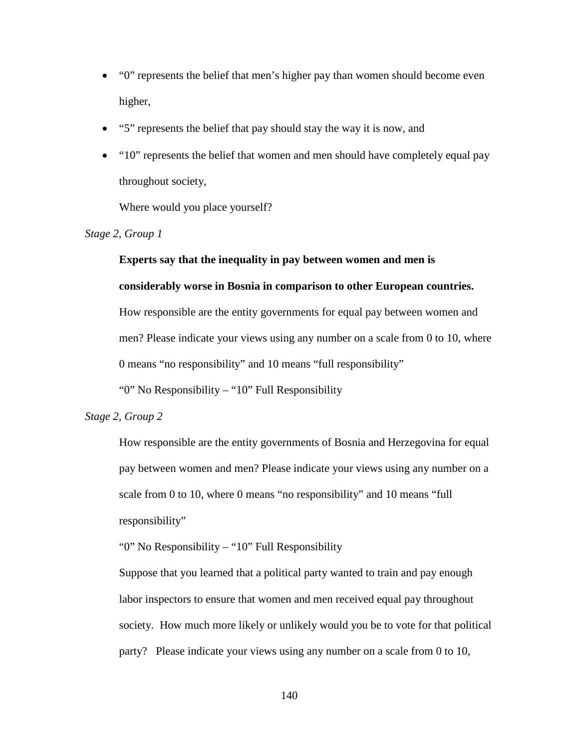- "0" represents the belief that men's higher pay than women should become even higher,
- "5" represents the belief that pay should stay the way it is now, and
- "10" represents the belief that women and men should have completely equal pay throughout society,

Where would you place yourself?

*Stage 2, Group 1* 

# **Experts say that the inequality in pay between women and men is**

### **considerably worse in Bosnia in comparison to other European countries.**

How responsible are the entity governments for equal pay between women and men? Please indicate your views using any number on a scale from 0 to 10, where 0 means "no responsibility" and 10 means "full responsibility"

"0" No Responsibility – "10" Full Responsibility

### *Stage 2, Group 2*

How responsible are the entity governments of Bosnia and Herzegovina for equal pay between women and men? Please indicate your views using any number on a scale from 0 to 10, where 0 means "no responsibility" and 10 means "full responsibility"

"0" No Responsibility – "10" Full Responsibility

Suppose that you learned that a political party wanted to train and pay enough labor inspectors to ensure that women and men received equal pay throughout society. How much more likely or unlikely would you be to vote for that political party? Please indicate your views using any number on a scale from 0 to 10,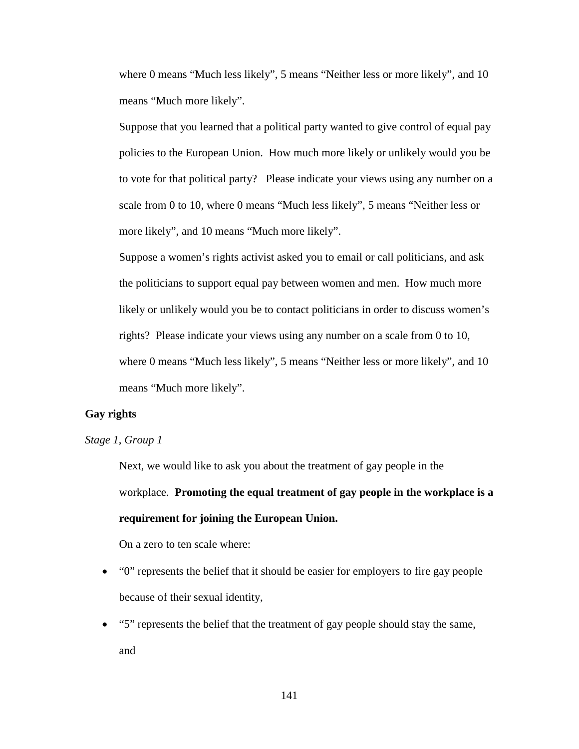where 0 means "Much less likely", 5 means "Neither less or more likely", and 10 means "Much more likely".

Suppose that you learned that a political party wanted to give control of equal pay policies to the European Union. How much more likely or unlikely would you be to vote for that political party? Please indicate your views using any number on a scale from 0 to 10, where 0 means "Much less likely", 5 means "Neither less or more likely", and 10 means "Much more likely".

Suppose a women's rights activist asked you to email or call politicians, and ask the politicians to support equal pay between women and men. How much more likely or unlikely would you be to contact politicians in order to discuss women's rights? Please indicate your views using any number on a scale from 0 to 10, where 0 means "Much less likely", 5 means "Neither less or more likely", and 10 means "Much more likely".

### **Gay rights**

### *Stage 1, Group 1*

Next, we would like to ask you about the treatment of gay people in the workplace. **Promoting the equal treatment of gay people in the workplace is a requirement for joining the European Union.** 

On a zero to ten scale where:

- "0" represents the belief that it should be easier for employers to fire gay people because of their sexual identity,
- "5" represents the belief that the treatment of gay people should stay the same, and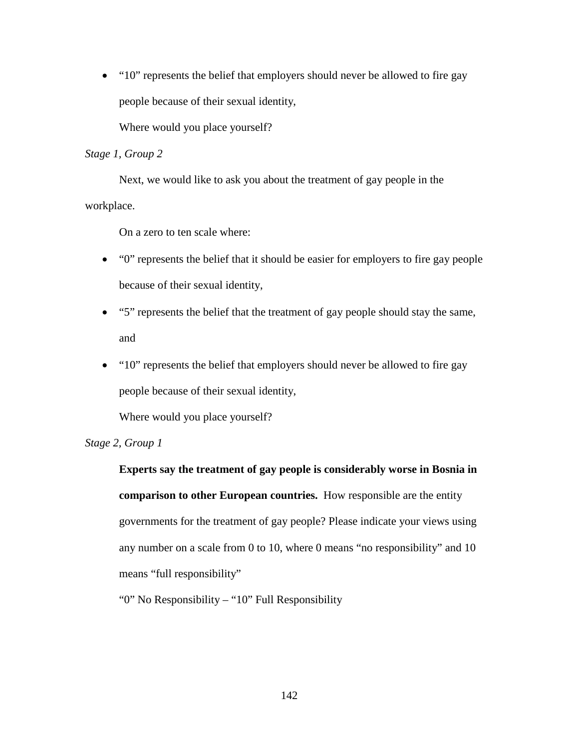• "10" represents the belief that employers should never be allowed to fire gay people because of their sexual identity,

Where would you place yourself?

### *Stage 1, Group 2*

Next, we would like to ask you about the treatment of gay people in the workplace.

On a zero to ten scale where:

- "0" represents the belief that it should be easier for employers to fire gay people because of their sexual identity,
- "5" represents the belief that the treatment of gay people should stay the same, and
- "10" represents the belief that employers should never be allowed to fire gay people because of their sexual identity,

Where would you place yourself?

### *Stage 2, Group 1*

**Experts say the treatment of gay people is considerably worse in Bosnia in comparison to other European countries.** How responsible are the entity governments for the treatment of gay people? Please indicate your views using any number on a scale from 0 to 10, where 0 means "no responsibility" and 10 means "full responsibility"

"0" No Responsibility – "10" Full Responsibility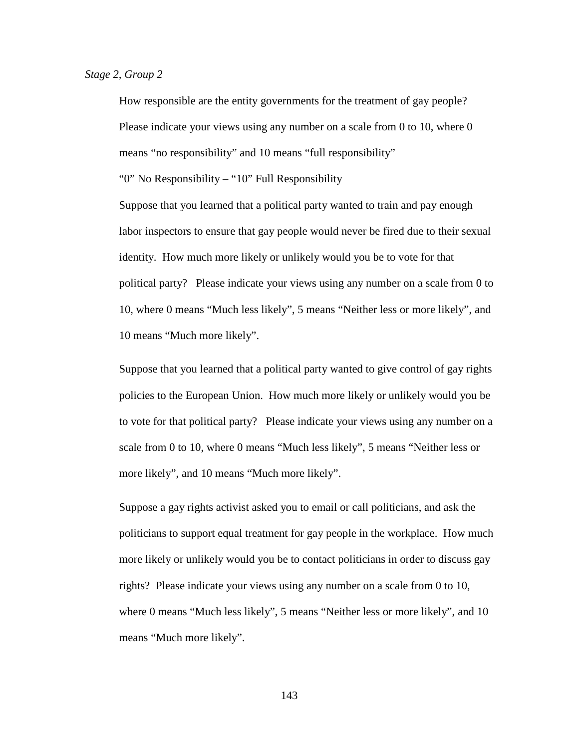How responsible are the entity governments for the treatment of gay people? Please indicate your views using any number on a scale from 0 to 10, where 0 means "no responsibility" and 10 means "full responsibility"

"0" No Responsibility – "10" Full Responsibility

Suppose that you learned that a political party wanted to train and pay enough labor inspectors to ensure that gay people would never be fired due to their sexual identity. How much more likely or unlikely would you be to vote for that political party? Please indicate your views using any number on a scale from 0 to 10, where 0 means "Much less likely", 5 means "Neither less or more likely", and 10 means "Much more likely".

Suppose that you learned that a political party wanted to give control of gay rights policies to the European Union. How much more likely or unlikely would you be to vote for that political party? Please indicate your views using any number on a scale from 0 to 10, where 0 means "Much less likely", 5 means "Neither less or more likely", and 10 means "Much more likely".

Suppose a gay rights activist asked you to email or call politicians, and ask the politicians to support equal treatment for gay people in the workplace. How much more likely or unlikely would you be to contact politicians in order to discuss gay rights? Please indicate your views using any number on a scale from 0 to 10, where 0 means "Much less likely", 5 means "Neither less or more likely", and 10 means "Much more likely".

143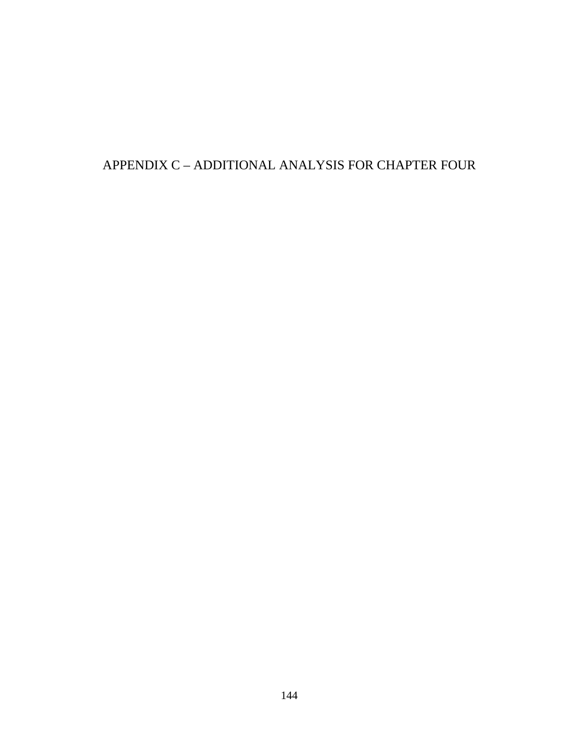# APPENDIX C – ADDITIONAL ANALYSIS FOR CHAPTER FOUR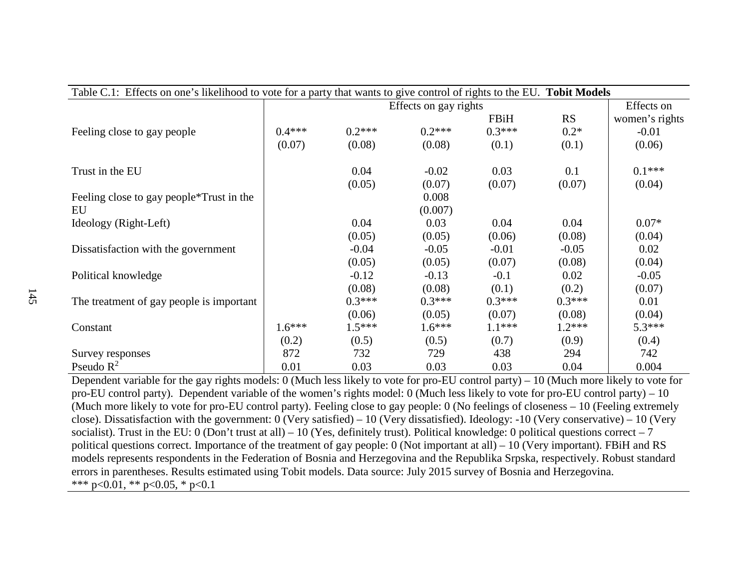| Table C.1: Effects on one's likelihood to vote for a party that wants to give control of rights to the EU. Tobit Models |                       |          |          |          |           |                |
|-------------------------------------------------------------------------------------------------------------------------|-----------------------|----------|----------|----------|-----------|----------------|
|                                                                                                                         | Effects on gay rights |          |          |          |           | Effects on     |
|                                                                                                                         |                       |          |          | FBiH     | <b>RS</b> | women's rights |
| Feeling close to gay people                                                                                             | $0.4***$              | $0.2***$ | $0.2***$ | $0.3***$ | $0.2*$    | $-0.01$        |
|                                                                                                                         | (0.07)                | (0.08)   | (0.08)   | (0.1)    | (0.1)     | (0.06)         |
| Trust in the EU                                                                                                         |                       | 0.04     | $-0.02$  | 0.03     | 0.1       | $0.1***$       |
|                                                                                                                         |                       | (0.05)   | (0.07)   | (0.07)   | (0.07)    | (0.04)         |
| Feeling close to gay people <sup>*</sup> Trust in the                                                                   |                       |          | 0.008    |          |           |                |
| EU                                                                                                                      |                       |          | (0.007)  |          |           |                |
| Ideology (Right-Left)                                                                                                   |                       | 0.04     | 0.03     | 0.04     | 0.04      | $0.07*$        |
|                                                                                                                         |                       | (0.05)   | (0.05)   | (0.06)   | (0.08)    | (0.04)         |
| Dissatisfaction with the government                                                                                     |                       | $-0.04$  | $-0.05$  | $-0.01$  | $-0.05$   | 0.02           |
|                                                                                                                         |                       | (0.05)   | (0.05)   | (0.07)   | (0.08)    | (0.04)         |
| Political knowledge                                                                                                     |                       | $-0.12$  | $-0.13$  | $-0.1$   | 0.02      | $-0.05$        |
|                                                                                                                         |                       | (0.08)   | (0.08)   | (0.1)    | (0.2)     | (0.07)         |
| The treatment of gay people is important                                                                                |                       | $0.3***$ | $0.3***$ | $0.3***$ | $0.3***$  | 0.01           |
|                                                                                                                         |                       | (0.06)   | (0.05)   | (0.07)   | (0.08)    | (0.04)         |
| Constant                                                                                                                | $1.6***$              | $1.5***$ | $1.6***$ | $1.1***$ | $1.2***$  | $5.3***$       |
|                                                                                                                         | (0.2)                 | (0.5)    | (0.5)    | (0.7)    | (0.9)     | (0.4)          |
| Survey responses                                                                                                        | 872                   | 732      | 729      | 438      | 294       | 742            |
| Pseudo $R^2$                                                                                                            | 0.01                  | 0.03     | 0.03     | 0.03     | 0.04      | 0.004          |

Dependent variable for the gay rights models: 0 (Much less likely to vote for pro-EU control party) – 10 (Much more likely to vote for pro-EU control party). Dependent variable of the women's rights model: 0 (Much less likely to vote for pro-EU control party) – 10 (Much more likely to vote for pro-EU control party). Feeling close to gay people: 0 (No feelings of closeness – 10 (Feeling extremely close). Dissatisfaction with the government: 0 (Very satisfied) – 10 (Very dissatisfied). Ideology: -10 (Very conservative) – 10 (Very socialist). Trust in the EU: 0 (Don't trust at all) – 10 (Yes, definitely trust). Political knowledge: 0 political questions correct – 7 political questions correct. Importance of the treatment of gay people: 0 (Not important at all) – 10 (Very important). FBiH and RS models represents respondents in the Federation of Bosnia and Herzegovina and the Republika Srpska, respectively. Robust standard errors in parentheses. Results estimated using Tobit models. Data source: July 2015 survey of Bosnia and Herzegovina. \*\*\* p<0.01, \*\* p<0.05, \* p<0.1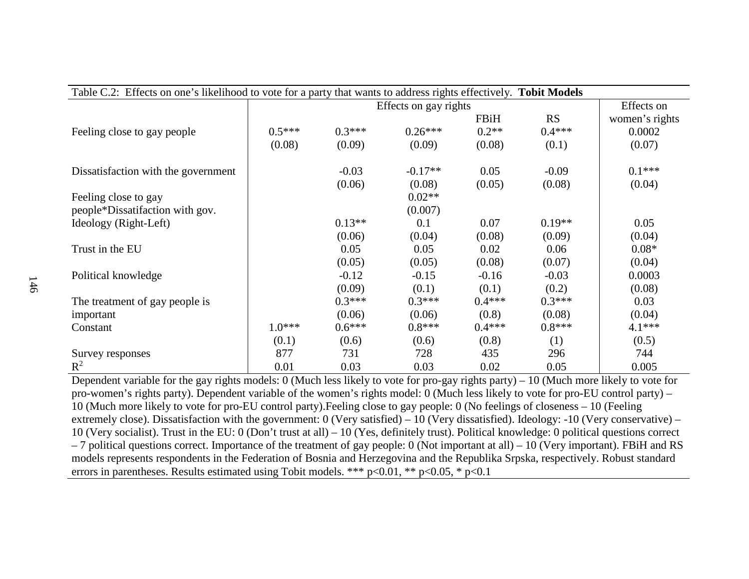| Table C.2: Effects on one's likelihood to vote for a party that wants to address rights effectively. Tobit Models |                       |          |           |          |            |                |
|-------------------------------------------------------------------------------------------------------------------|-----------------------|----------|-----------|----------|------------|----------------|
|                                                                                                                   | Effects on gay rights |          |           |          | Effects on |                |
|                                                                                                                   |                       |          |           | FBiH     | <b>RS</b>  | women's rights |
| Feeling close to gay people                                                                                       | $0.5***$              | $0.3***$ | $0.26***$ | $0.2**$  | $0.4***$   | 0.0002         |
|                                                                                                                   | (0.08)                | (0.09)   | (0.09)    | (0.08)   | (0.1)      | (0.07)         |
| Dissatisfaction with the government                                                                               |                       | $-0.03$  | $-0.17**$ | 0.05     | $-0.09$    | $0.1***$       |
|                                                                                                                   |                       | (0.06)   | (0.08)    | (0.05)   | (0.08)     | (0.04)         |
| Feeling close to gay                                                                                              |                       |          | $0.02**$  |          |            |                |
| people*Dissatifaction with gov.                                                                                   |                       |          | (0.007)   |          |            |                |
| Ideology (Right-Left)                                                                                             |                       | $0.13**$ | 0.1       | 0.07     | $0.19**$   | 0.05           |
|                                                                                                                   |                       | (0.06)   | (0.04)    | (0.08)   | (0.09)     | (0.04)         |
| Trust in the EU                                                                                                   |                       | 0.05     | 0.05      | 0.02     | 0.06       | $0.08*$        |
|                                                                                                                   |                       | (0.05)   | (0.05)    | (0.08)   | (0.07)     | (0.04)         |
| Political knowledge                                                                                               |                       | $-0.12$  | $-0.15$   | $-0.16$  | $-0.03$    | 0.0003         |
|                                                                                                                   |                       | (0.09)   | (0.1)     | (0.1)    | (0.2)      | (0.08)         |
| The treatment of gay people is                                                                                    |                       | $0.3***$ | $0.3***$  | $0.4***$ | $0.3***$   | 0.03           |
| important                                                                                                         |                       | (0.06)   | (0.06)    | (0.8)    | (0.08)     | (0.04)         |
| Constant                                                                                                          | $1.0***$              | $0.6***$ | $0.8***$  | $0.4***$ | $0.8***$   | $4.1***$       |
|                                                                                                                   | (0.1)                 | (0.6)    | (0.6)     | (0.8)    | (1)        | (0.5)          |
| Survey responses                                                                                                  | 877                   | 731      | 728       | 435      | 296        | 744            |
| $\mathbb{R}^2$                                                                                                    | 0.01                  | 0.03     | 0.03      | 0.02     | 0.05       | 0.005          |

Dependent variable for the gay rights models: 0 (Much less likely to vote for pro-gay rights party) – 10 (Much more likely to vote for pro-women's rights party). Dependent variable of the women's rights model: 0 (Much less likely to vote for pro-EU control party) – 10 (Much more likely to vote for pro-EU control party).Feeling close to gay people: 0 (No feelings of closeness – 10 (Feeling extremely close). Dissatisfaction with the government: 0 (Very satisfied) – 10 (Very dissatisfied). Ideology: -10 (Very conservative) – 10 (Very socialist). Trust in the EU: 0 (Don't trust at all) – 10 (Yes, definitely trust). Political knowledge: 0 political questions correct – 7 political questions correct. Importance of the treatment of gay people: 0 (Not important at all) – 10 (Very important). FBiH and RS models represents respondents in the Federation of Bosnia and Herzegovina and the Republika Srpska, respectively. Robust standard errors in parentheses. Results estimated using Tobit models. \*\*\*  $p<0.01$ , \*\*  $p<0.05$ , \*  $p<0.1$